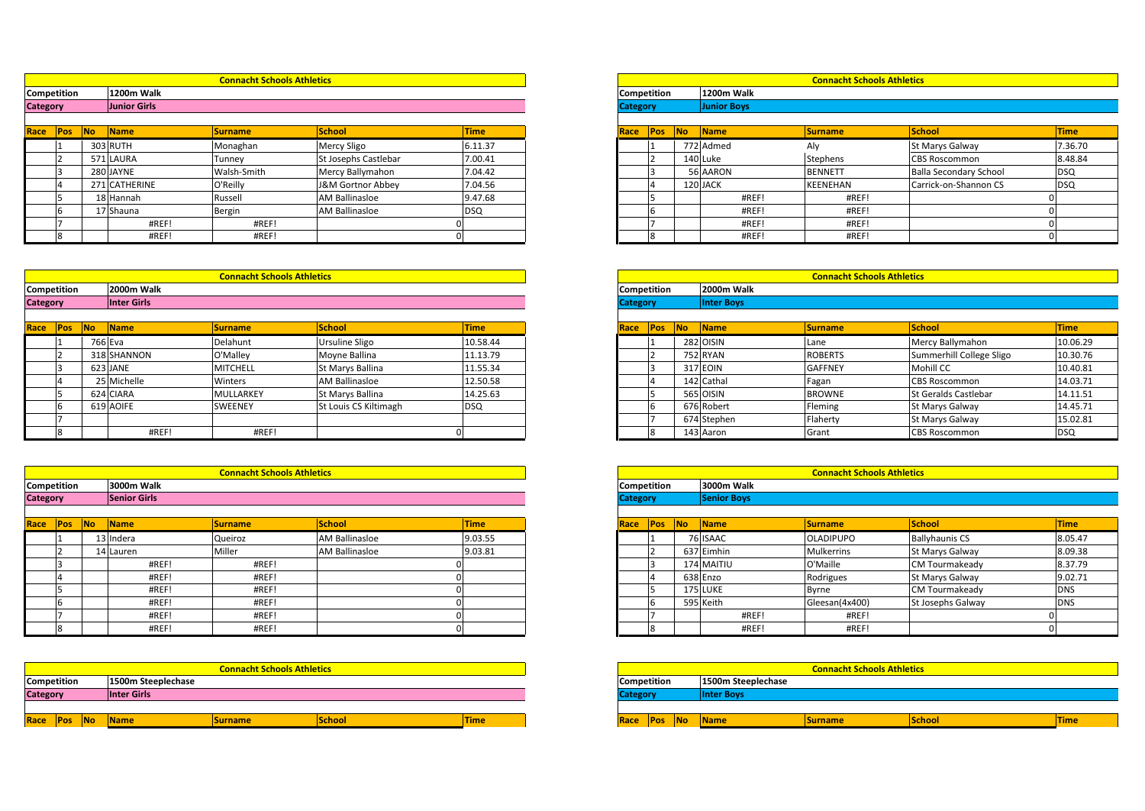|                                |                                   |                 |                    | <b>Connacht Schools Athletics</b> |
|--------------------------------|-----------------------------------|-----------------|--------------------|-----------------------------------|
|                                | <b>Connacht Schools Athletics</b> |                 |                    |                                   |
|                                | 1200m Walk                        | Competition     | 1200m Walk         |                                   |
| Competition<br><b>Category</b> | Junior Girls                      | <b>Category</b> | <b>Junior Boys</b> |                                   |

| Race | <b>Pos</b>         | <b>INo</b> | <b>Name</b>   | <b>Surname</b>                    | <b>School</b>         | <b>Time</b> | Race               | <b>Pos</b> | <b>No</b> | Name       | <b>Surname</b>                    | School            |
|------|--------------------|------------|---------------|-----------------------------------|-----------------------|-------------|--------------------|------------|-----------|------------|-----------------------------------|-------------------|
|      |                    |            | 303 RUTH      | Monaghan                          | Mercy Sligo           | 6.11.37     |                    |            |           | 772 Admed  | Aly                               | St Marys 0        |
|      |                    |            | 571 LAURA     | Tunney                            | St Josephs Castlebar  | 7.00.41     |                    |            |           | 140 Luke   | Stephens                          | <b>CBS Rosco</b>  |
|      |                    |            | 280 JAYNE     | Walsh-Smith                       | Mercy Ballymahon      | 7.04.42     |                    |            |           | 56 AARON   | <b>BENNETT</b>                    | <b>Balla Seco</b> |
|      |                    |            | 271 CATHERINE | O'Reilly                          | J&M Gortnor Abbey     | 7.04.56     |                    |            |           | 120 JACK   | <b>KEENEHAN</b>                   | Carrick-on        |
|      |                    |            | 18 Hannah     | Russell                           | <b>AM Ballinasloe</b> | 9.47.68     |                    |            |           | #REF!      | #REF!                             |                   |
|      |                    |            | 17 Shauna     | Bergin                            | <b>AM Ballinasloe</b> | <b>DSQ</b>  |                    |            |           | #REF!      | #REF!                             |                   |
|      |                    |            | #REF!         | #REF!                             |                       |             |                    |            |           | #REF!      | #REF!                             |                   |
|      |                    |            | #REF!         | #REF!                             |                       |             |                    |            |           | #REF!      | #REF!                             |                   |
|      |                    |            |               |                                   |                       |             |                    |            |           |            |                                   |                   |
|      |                    |            |               | <b>Connacht Schools Athletics</b> |                       |             |                    |            |           |            | <b>Connacht Schools Athletics</b> |                   |
|      | <b>Competition</b> |            | 2000m Walk    |                                   |                       |             | <b>Competition</b> |            |           | 2000m Walk |                                   |                   |

|                 | #REF!                  | #REF!                             |                       |             |                 |    | #REF!             | #REF!                             |                             |             |
|-----------------|------------------------|-----------------------------------|-----------------------|-------------|-----------------|----|-------------------|-----------------------------------|-----------------------------|-------------|
|                 | #REF!                  | #REF!                             |                       |             |                 |    | #REF!             | #REF!                             |                             |             |
|                 |                        |                                   |                       |             |                 |    |                   |                                   |                             |             |
|                 |                        |                                   |                       |             |                 |    |                   |                                   |                             |             |
|                 |                        | <b>Connacht Schools Athletics</b> |                       |             |                 |    |                   | <b>Connacht Schools Athletics</b> |                             |             |
| Competition     | 2000m Walk             |                                   |                       |             | Competition     |    | 2000m Walk        |                                   |                             |             |
| <b>Category</b> | <b>Inter Girls</b>     |                                   |                       |             | <b>Category</b> |    | <b>Inter Boys</b> |                                   |                             |             |
|                 |                        |                                   |                       |             |                 |    |                   |                                   |                             |             |
| Race Pos No     | $\sqrt{\mathsf{Name}}$ | <b>Surname</b>                    | School                | <b>Time</b> | Race Pos        | No | Name              | <b>Surname</b>                    | School                      | <b>Time</b> |
|                 | 766 Eva                | Delahunt                          | Ursuline Sligo        | 10.58.44    |                 |    | 282 OISIN         | Lane                              | Mercy Ballymahon            | 10.06.29    |
|                 | 318 SHANNON            | O'Malley                          | Moyne Ballina         | 11.13.79    |                 |    | 752 RYAN          | <b>ROBERTS</b>                    | Summerhill College Sligo    | 10.30.76    |
|                 | 623 JANE               | <b>MITCHELL</b>                   | St Marys Ballina      | 11.55.34    |                 |    | 317 EOIN          | <b>GAFFNEY</b>                    | Mohill CC                   | 10.40.81    |
|                 | 25 Michelle            | Winters                           | <b>AM Ballinasloe</b> | 12.50.58    |                 |    | 142 Cathal        | Fagan                             | <b>CBS Roscommon</b>        | 14.03.71    |
|                 | 624 CIARA              | <b>MULLARKEY</b>                  | St Marys Ballina      | 14.25.63    |                 |    | 565 OISIN         | <b>BROWNE</b>                     | <b>St Geralds Castlebar</b> | 14.11.51    |
| 6               | 619 AOIFE              | SWEENEY                           | St Louis CS Kiltimagh | <b>DSQ</b>  |                 |    | 676 Robert        | Fleming                           | St Marys Galway             | 14.45.71    |
|                 |                        |                                   |                       |             |                 |    | 674 Stephen       | Flaherty                          | St Marys Galway             | 15.02.81    |
|                 | #REF!                  | #REF!                             |                       |             |                 |    | 143 Aaron         | Grant                             | <b>CBS Roscommon</b>        | <b>DSQ</b>  |

|                    |   |                |                     |                                   |                       |             |                    |     |    | 674 Stephen        | Flaherty                          | <b>St Marys G</b> |
|--------------------|---|----------------|---------------------|-----------------------------------|-----------------------|-------------|--------------------|-----|----|--------------------|-----------------------------------|-------------------|
|                    | 8 |                | #REF!               | #REF!                             |                       |             |                    | 8   |    | 143 Aaron          | Grant                             | <b>CBS Rosco</b>  |
|                    |   |                |                     |                                   |                       |             |                    |     |    |                    |                                   |                   |
|                    |   |                |                     | <b>Connacht Schools Athletics</b> |                       |             |                    |     |    |                    | <b>Connacht Schools Athletics</b> |                   |
| Competition        |   |                | 3000m Walk          |                                   |                       |             | Competition        |     |    | 3000m Walk         |                                   |                   |
| Category           |   |                | <b>Senior Girls</b> |                                   |                       |             | <b>Category</b>    |     |    | <b>Senior Boys</b> |                                   |                   |
|                    |   |                |                     |                                   |                       |             |                    |     |    |                    |                                   |                   |
| Race Pos           |   | N <sub>o</sub> | Name                | <b>Surname</b>                    | <b>School</b>         | <b>Time</b> | Race               | Pos | No | Name               | <b>Surname</b>                    | <b>School</b>     |
|                    |   |                | 13 Indera           | Queiroz                           | AM Ballinasloe        | 9.03.55     |                    |     |    | 76 ISAAC           | <b>OLADIPUPO</b>                  | Ballyhauni        |
|                    |   |                | 14 Lauren           | Miller                            | <b>AM Ballinasloe</b> | 9.03.81     |                    |     |    | 637 Eimhin         | <b>Mulkerrins</b>                 | St Marys 0        |
|                    |   |                | #REF!               | #REF!                             |                       |             |                    |     |    | 174 MAITIU         | O'Maille                          | <b>CM Tourm</b>   |
|                    | 4 |                | #REF!               | #REF!                             |                       |             |                    |     |    | 638 Enzo           | Rodrigues                         | St Marys 0        |
|                    |   |                | #REF!               | #REF!                             |                       |             |                    |     |    | 175 LUKE           | <b>Byrne</b>                      | <b>CM Tourm</b>   |
|                    | 6 |                | #REF!               | #REF!                             |                       |             |                    | IЬ  |    | 595 Keith          | Gleesan(4x400)                    | St Josephs        |
|                    |   |                | #REF!               | #REF!                             |                       |             |                    |     |    | #REF!              | #REF!                             |                   |
|                    | 8 |                | #REF!               | #REF!                             |                       |             |                    | 8   |    | #REF!              | #REF!                             |                   |
|                    |   |                |                     |                                   |                       |             |                    |     |    |                    |                                   |                   |
|                    |   |                |                     |                                   |                       |             |                    |     |    |                    |                                   |                   |
|                    |   |                |                     | <b>Connacht Schools Athletics</b> |                       |             |                    |     |    |                    | <b>Connacht Schools Athletics</b> |                   |
| <b>Competition</b> |   |                | 1500m Steeplechase  |                                   |                       |             | <b>Competition</b> |     |    | 1500m Steeplechase |                                   |                   |

| Race               | <b>Pos</b> | <b>No</b> | <b>IName</b>       | <b>Surname</b>                    | School | <b>Time</b> | Race               | <b>IPos</b> | <b>INo</b> | Name              |
|--------------------|------------|-----------|--------------------|-----------------------------------|--------|-------------|--------------------|-------------|------------|-------------------|
|                    |            |           |                    |                                   |        |             |                    |             |            |                   |
| <b>Category</b>    |            |           | <b>Inter Girls</b> |                                   |        |             | <b>Category</b>    |             |            | <b>Inter Boys</b> |
| <b>Competition</b> |            |           | 1500m Steeplechase |                                   |        |             | <b>Competition</b> |             |            | 1500m Steeplech   |
|                    |            |           |                    | <b>Connacht Schools Athletics</b> |        |             |                    |             |            |                   |
|                    |            |           |                    |                                   |        |             |                    |             |            |                   |
|                    |            |           | #REF!              | #REF!                             |        |             |                    |             |            | #REF!             |
|                    |            |           | #REF!              | #REF!                             |        |             |                    |             |            | #REF!             |

|                       |               | <b>Connacht Schools Athletics</b> |                       |             |
|-----------------------|---------------|-----------------------------------|-----------------------|-------------|
| ition:                | 1200m Walk    |                                   |                       |             |
|                       | Junior Girls  |                                   |                       |             |
| N <sub>o</sub><br>Pos | Name          | <b>Surname</b>                    | School                | <b>Time</b> |
|                       | 303 RUTH      | Monaghan                          | <b>Mercy Sligo</b>    | 6.11.37     |
|                       | 571 LAURA     | Tunney                            | St Josephs Castlebar  | 7.00.41     |
|                       | 280 JAYNE     | Walsh-Smith                       | Mercy Ballymahon      | 7.04.42     |
|                       | 271 CATHERINE | O'Reilly                          | J&M Gortnor Abbey     | 7.04.56     |
|                       | 18 Hannah     | Russell                           | <b>AM Ballinasloe</b> | 9.47.68     |
|                       | 17 Shauna     | Bergin                            | <b>AM Ballinasloe</b> | <b>DSQ</b>  |
|                       | #REF!         | #REF!                             |                       |             |
|                       | #REF!         | #REF!                             |                       |             |

|             | <b>Connacht Schools Athletics</b> |
|-------------|-----------------------------------|
| Competition | 2000m Walk                        |
| Category    | <b>Inter Boys</b>                 |
|             |                                   |

| <b>Name</b> | <b>Surname</b>  | <b>School</b>         | <b>Time</b> |
|-------------|-----------------|-----------------------|-------------|
| 766 Eva     | Delahunt        | Ursuline Sligo        | 10.58.44    |
| 318 SHANNON | O'Malley        | Moyne Ballina         | 11.13.79    |
| 623 JANE    | <b>MITCHELL</b> | St Marys Ballina      | 11.55.34    |
| 25 Michelle | Winters         | <b>AM Ballinasloe</b> | 12.50.58    |
| 624 CIARA   | MULLARKEY       | St Marys Ballina      | 14.25.63    |
| 619 AOIFE   | <b>SWEENEY</b>  | St Louis CS Kiltimagh | <b>DSQ</b>  |
|             |                 |                       |             |
| #REF!       | #REF!           |                       |             |

|           |                     | <b>Connacht Schools Athletics</b> |                       |             |
|-----------|---------------------|-----------------------------------|-----------------------|-------------|
|           | 3000m Walk          |                                   |                       |             |
|           | <b>Senior Girls</b> |                                   |                       |             |
| <b>No</b> | Name                | <b>Surname</b>                    | School                | <b>Time</b> |
|           | 13 Indera           | Queiroz                           | <b>AM Ballinasloe</b> | 9.03.55     |
|           | 14 Lauren           | Miller                            | <b>AM Ballinasloe</b> | 9.03.81     |
|           | #REF!               | #REF!                             |                       |             |
|           | #REF!               | #REF!                             |                       |             |
|           | #REF!               | #REF!                             |                       |             |
|           | #REF!               | #REF!                             |                       |             |
|           | #REF!               | #REF!                             |                       |             |
|           | #REF!               | #REF!                             |                       |             |

|        | <b>Connacht Schools Athletics</b> |                |               |             |  |  |
|--------|-----------------------------------|----------------|---------------|-------------|--|--|
| ition: | 1500m Steeplechase                |                |               |             |  |  |
|        | Inter Girls                       |                |               |             |  |  |
|        |                                   |                |               |             |  |  |
| Pos No | <b>Name</b>                       | <b>Surname</b> | <b>School</b> | <b>Time</b> |  |  |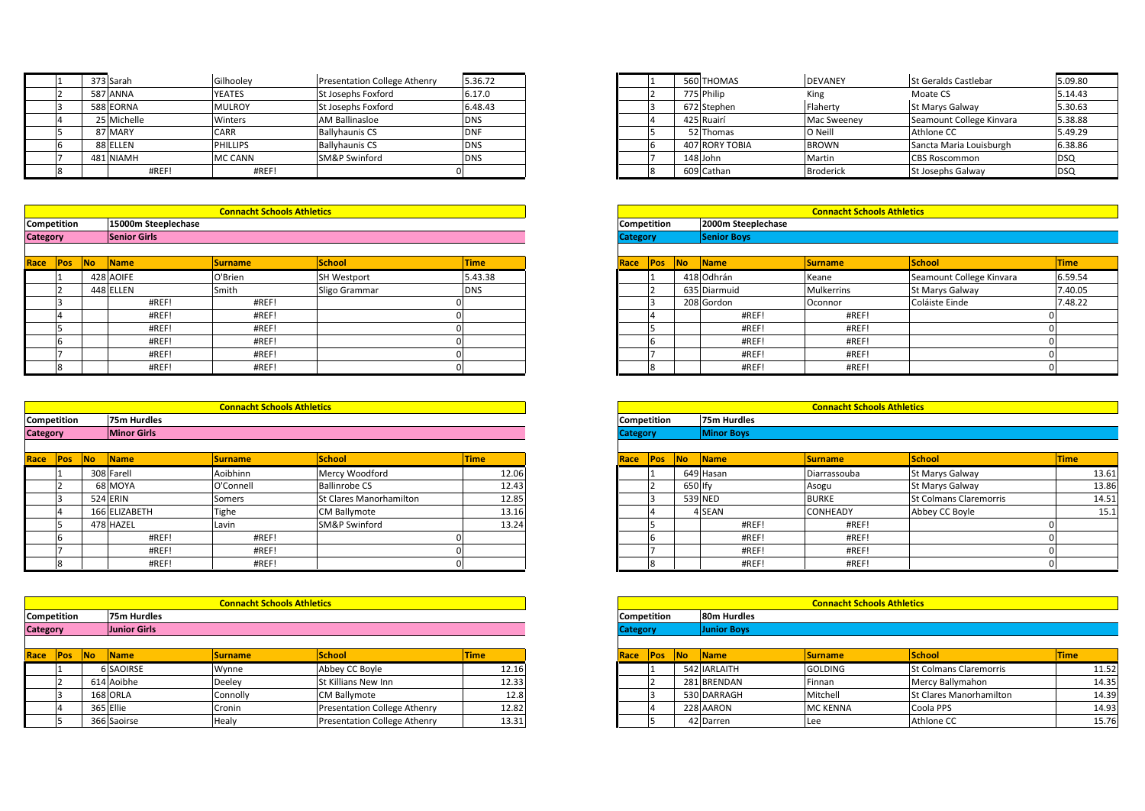|             | <b>Connacht Schools Athletics</b> |                                                                                              |                                                                                                                                                                             |                                               |                | <b>Connacht Schools Athletics</b> |                   |
|-------------|-----------------------------------|----------------------------------------------------------------------------------------------|-----------------------------------------------------------------------------------------------------------------------------------------------------------------------------|-----------------------------------------------|----------------|-----------------------------------|-------------------|
|             |                                   |                                                                                              |                                                                                                                                                                             |                                               |                |                                   |                   |
|             |                                   |                                                                                              |                                                                                                                                                                             |                                               |                |                                   |                   |
| #REF!       | #REF!                             |                                                                                              |                                                                                                                                                                             |                                               | 609 Cathan     |                                   | <b>St Josephs</b> |
| 481 NIAMH   |                                   |                                                                                              | <b>DNS</b>                                                                                                                                                                  |                                               | 148 John       | Martin                            | <b>CBS Rosco</b>  |
| 88 ELLEN    |                                   |                                                                                              | <b>DNS</b>                                                                                                                                                                  |                                               | 407 RORY TOBIA | <b>BROWN</b>                      | Sancta Ma         |
| 87 MARY     |                                   |                                                                                              |                                                                                                                                                                             |                                               | 52 Thomas      | O Neill                           | Athlone C         |
| 25 Michelle |                                   |                                                                                              |                                                                                                                                                                             |                                               | 425 Ruairí     | Mac Sweeney                       | Seamount          |
| 588 EORNA   |                                   |                                                                                              | 6.48.43                                                                                                                                                                     |                                               | 672 Stephen    | Flaherty                          | St Marys 0        |
| 587 ANNA    |                                   |                                                                                              |                                                                                                                                                                             |                                               | 775 Philip     | King                              | Moate CS          |
| 373 Sarah   |                                   |                                                                                              |                                                                                                                                                                             |                                               | 560 THOMAS     | <b>DEVANEY</b>                    | <b>St Geralds</b> |
|             |                                   | Gilhooley<br>YEATES<br><b>MULROY</b><br>Winters<br>CARR<br><b>PHILLIPS</b><br><b>MC CANN</b> | <b>Presentation College Athenry</b><br>St Josephs Foxford<br>St Josephs Foxford<br><b>AM Ballinasloe</b><br><b>Ballyhaunis CS</b><br><b>Ballyhaunis CS</b><br>SM&P Swinford | 5.36.72<br>6.17.0<br><b>DNS</b><br><b>DNF</b> |                |                                   | <b>Broderick</b>  |

|                    | 481 NIAMH           | <b>IMC CANN</b>                   | <b>ISM&amp;P Swinford</b> | <b>DNS</b> |                    | 148 John           |
|--------------------|---------------------|-----------------------------------|---------------------------|------------|--------------------|--------------------|
| 8                  | #REF!               | #REF!                             |                           |            |                    | 609 Cathan         |
|                    |                     |                                   |                           |            |                    |                    |
|                    |                     |                                   |                           |            |                    |                    |
|                    |                     | <b>Connacht Schools Athletics</b> |                           |            |                    |                    |
| <b>Competition</b> | 15000m Steeplechase |                                   |                           |            | <b>Competition</b> | 2000m Steer        |
| <b>Category</b>    | <b>Senior Girls</b> |                                   |                           |            | <b>Category</b>    | <b>Senior Boys</b> |
|                    |                     |                                   |                           |            |                    |                    |

| Race               | Pos | <b>No</b> | <b>Name</b>        | <b>Surname</b>                    | <b>School</b>      | <b>Time</b> |
|--------------------|-----|-----------|--------------------|-----------------------------------|--------------------|-------------|
|                    |     |           | 428 AOIFE          | O'Brien                           | <b>SH Westport</b> | 5.43.38     |
|                    |     |           | 448 ELLEN          | Smith                             | Sligo Grammar      | <b>DNS</b>  |
|                    | 3   |           | #REF!              | #REF!                             |                    |             |
|                    | 4   |           | #REF!              | #REF!                             |                    |             |
|                    | 5   |           | #REF!              | #REF!                             |                    |             |
|                    | 6   |           | #REF!              | #REF!                             |                    |             |
|                    |     |           | #REF!              | #REF!                             |                    |             |
|                    | 8   |           | #REF!              | #REF!                             |                    |             |
|                    |     |           |                    |                                   |                    |             |
|                    |     |           |                    |                                   |                    |             |
|                    |     |           |                    | <b>Connacht Schools Athletics</b> |                    |             |
| <b>Competition</b> |     |           | <b>75m Hurdles</b> |                                   |                    |             |

|                 | #REF<br>#REF!      | #REF<br>#REF!                     |               |             |                       | #REF<br>#REF!     | #REF<br>#REF!                     |               |             |
|-----------------|--------------------|-----------------------------------|---------------|-------------|-----------------------|-------------------|-----------------------------------|---------------|-------------|
|                 |                    |                                   |               |             |                       |                   |                                   |               |             |
|                 |                    |                                   |               |             |                       |                   |                                   |               |             |
|                 |                    | <b>Connacht Schools Athletics</b> |               |             |                       |                   | <b>Connacht Schools Athletics</b> |               |             |
| Competition     | 75m Hurdles        |                                   |               |             | Competition           | 75m Hurdles       |                                   |               |             |
| <b>Category</b> | <b>Minor Girls</b> |                                   |               |             | <b>Category</b>       | <b>Minor Boys</b> |                                   |               |             |
|                 |                    |                                   |               |             |                       |                   |                                   |               |             |
| Race Pos No     | <b>Name</b>        | <b>Surname</b>                    | <b>School</b> | <b>Time</b> | Race<br><b>Pos</b> No | <b>IName</b>      | <b>ISurname</b>                   | <b>School</b> | <b>Time</b> |

| Race | <b>Pos</b>                        | <b>No</b> | <b>Name</b>   | <b>Surname</b> | <b>School</b>            | Time  | Race               | <b>Pos</b> | <b>No</b> | Name        | <b>Surname</b>                    | School           |
|------|-----------------------------------|-----------|---------------|----------------|--------------------------|-------|--------------------|------------|-----------|-------------|-----------------------------------|------------------|
|      |                                   |           | 308 Farell    | Aoibhinn       | Mercy Woodford           | 12.06 |                    |            |           | 649 Hasan   | Diarrassouba                      | St Marys 0       |
|      |                                   |           | 68 MOYA       | O'Connell      | <b>Ballinrobe CS</b>     | 12.43 |                    |            | 650 Ify   |             | Asogu                             | St Marys 0       |
|      |                                   |           | 524 ERIN      | Somers         | St Clares Manorhamilton  | 12.85 |                    |            |           | 539 NED     | <b>BURKE</b>                      | <b>St Colman</b> |
|      |                                   |           | 166 ELIZABETH | Tighe          | <b>CM Ballymote</b>      | 13.16 |                    |            |           | 4 SEAN      | <b>CONHEADY</b>                   | Abbey CC         |
|      |                                   |           | 478 HAZEL     | Lavin          | <b>SM&amp;P Swinford</b> | 13.24 |                    |            |           | #REF!       | #REF!                             |                  |
|      |                                   |           | #REF!         | #REF!          |                          |       |                    |            |           | #REF!       | #REF!                             |                  |
|      |                                   |           | #REF!         | #REF!          |                          |       |                    |            |           | #REF!       | #REF!                             |                  |
|      |                                   |           | #REF!         | #REF!          |                          |       |                    |            |           | #REF!       | #REF!                             |                  |
|      |                                   |           |               |                |                          |       |                    |            |           |             |                                   |                  |
|      | <b>Connacht Schools Athletics</b> |           |               |                |                          |       |                    |            |           |             | <b>Connacht Schools Athletics</b> |                  |
|      | <b>Competition</b><br>75m Hurdles |           |               |                |                          |       | <b>Competition</b> |            |           | 80m Hurdles |                                   |                  |

| <b>Category</b>    | <b>Junior Girls</b> |                                   |  | <b>Category</b> | <b>Junior Boys</b> |
|--------------------|---------------------|-----------------------------------|--|-----------------|--------------------|
| <b>Competition</b> | 75m Hurdles         |                                   |  | Competition     | 80m Hurdles        |
|                    |                     | <b>Connacht Schools Athletics</b> |  |                 |                    |
|                    |                     |                                   |  |                 |                    |
| 8                  | #REF!               | #REF!                             |  |                 | #REF!              |
|                    | #REF!               | #REF!                             |  |                 | #REF!              |

| Race | Pos | <b>INo</b> | <b>Name</b> | <b>Surname</b> | <b>School</b>                       | <b>Time</b> |
|------|-----|------------|-------------|----------------|-------------------------------------|-------------|
|      |     |            | 6 SAOIRSE   | Wynne          | Abbey CC Boyle                      | 12.16       |
|      |     |            | 614 Aoibhe  | Deelev         | <b>St Killians New Inn</b>          | 12.33       |
|      |     |            | 168 ORLA    | Connolly       | <b>CM Ballymote</b>                 | 12.8        |
|      |     |            | 365 Ellie   | Cronin         | <b>Presentation College Athenry</b> | 12.82       |
|      |     |            | 366 Saoirse | Healy          | <b>Presentation College Athenry</b> | 13.31       |

| 373 Sarah   | Gilhooley       | Presentation College Athenry | 5.36.72    |
|-------------|-----------------|------------------------------|------------|
| 587 ANNA    | <b>YEATES</b>   | St Josephs Foxford           | 6.17.0     |
| 588 EORNA   | <b>MULROY</b>   | St Josephs Foxford           | 6.48.43    |
| 25 Michelle | Winters         | AM Ballinasloe               | <b>DNS</b> |
| 87 MARY     | CARR            | <b>Ballyhaunis CS</b>        | <b>DNF</b> |
| 88 ELLEN    | <b>PHILLIPS</b> | <b>Ballyhaunis CS</b>        | <b>DNS</b> |
| 481 NIAMH   | <b>MC CANN</b>  | <b>SM&amp;P Swinford</b>     | <b>DNS</b> |
| #REF!       | #REF!           |                              |            |

|           |                     | <b>Connacht Schools Athletics</b> |                    |             |
|-----------|---------------------|-----------------------------------|--------------------|-------------|
| :ition    | 15000m Steeplechase |                                   |                    |             |
|           | Senior Girls        |                                   |                    |             |
| No<br>Pos | Name                | <b>Surname</b>                    | School             | <b>Time</b> |
|           | 428 AOIFE           | O'Brien                           | <b>SH Westport</b> | 5.43.38     |
|           | 448 ELLEN           | Smith                             | Sligo Grammar      | <b>DNS</b>  |
|           | #REF!               | #REF!                             |                    |             |
|           | #REF!               | #REF!                             |                    |             |
|           | #REF!               | #REF!                             |                    |             |
|           | #REF!               | #REF!                             |                    |             |
|           | #REF!               | #REF!                             |                    |             |
|           | #REF!               | #REF!                             |                    |             |

| #REF!              | #REF!                             |                |                   |
|--------------------|-----------------------------------|----------------|-------------------|
| #REF!              | #REF!                             |                |                   |
|                    |                                   |                |                   |
|                    |                                   |                |                   |
|                    | <b>Connacht Schools Athletics</b> |                |                   |
| 75m Hurdles        |                                   |                |                   |
| <b>Minor Girls</b> |                                   |                |                   |
|                    |                                   |                |                   |
| <b>Name</b>        | <b>Surname</b>                    | School         | Time <sup>1</sup> |
| 308 Farell         | Aoibhinn                          | Mercy Woodford | 12.06             |

|                    | <b>Connacht Schools Athletics</b> |                         |             |  |  |  |  |
|--------------------|-----------------------------------|-------------------------|-------------|--|--|--|--|
| 75m Hurdles        |                                   |                         |             |  |  |  |  |
| <b>Minor Girls</b> |                                   |                         |             |  |  |  |  |
| <b>Name</b>        | <b>Surname</b>                    | School                  | <b>Time</b> |  |  |  |  |
| 308 Farell         | Aoibhinn                          | Mercy Woodford          | 12.06       |  |  |  |  |
| 68 MOYA            | O'Connell                         | <b>Ballinrobe CS</b>    | 12.43       |  |  |  |  |
| 524 ERIN           | Somers                            | St Clares Manorhamilton | 12.85       |  |  |  |  |
| 166 ELIZABETH      | Tighe                             | <b>CM Ballymote</b>     | 13.16       |  |  |  |  |
| 478 HAZEL          | Lavin                             | SM&P Swinford           | 13.24       |  |  |  |  |
| #REF!              | #REF!                             |                         |             |  |  |  |  |
| #REF!              | #REF!                             |                         |             |  |  |  |  |
| #REF!              | #REF!                             |                         |             |  |  |  |  |

|                  |                     | <b>Connacht Schools Athletics</b> |                                     |             |
|------------------|---------------------|-----------------------------------|-------------------------------------|-------------|
| ition:           | 75m Hurdles         |                                   |                                     |             |
|                  | <b>Junior Girls</b> |                                   |                                     |             |
|                  |                     |                                   |                                     |             |
| <b>No</b><br>Pos | <b>Name</b>         | <b>Surname</b>                    | <b>School</b>                       | <b>Time</b> |
|                  | 6 SAOIRSE           | Wynne                             | Abbey CC Boyle                      | 12.16       |
|                  | 614 Aoibhe          | Deeley                            | St Killians New Inn                 | 12.33       |
|                  | 168 ORLA            | Connolly                          | <b>CM Ballymote</b>                 | 12.8        |
|                  |                     | Cronin                            | <b>Presentation College Athenry</b> | 12.82       |
|                  | 365 Ellie           |                                   |                                     |             |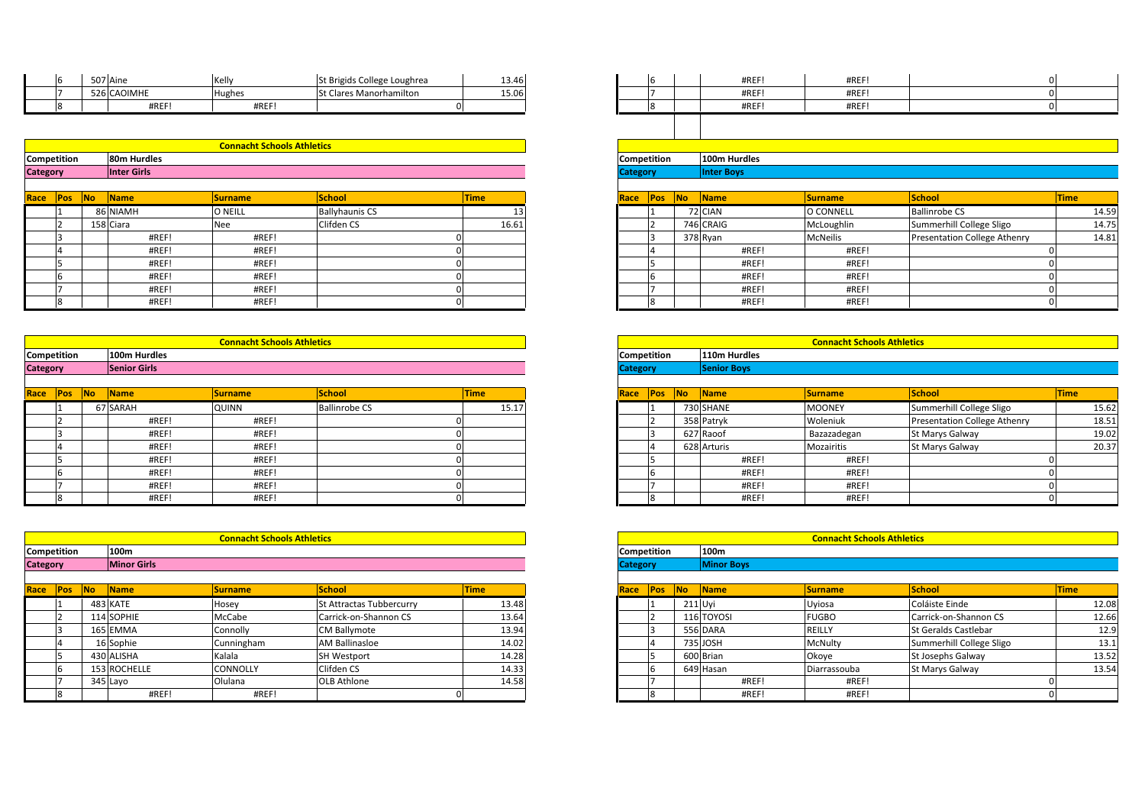| <b>Competition</b> | 80m Hurdles |                                   |                                |       | <b>Competition</b> | 100m Hurdles |
|--------------------|-------------|-----------------------------------|--------------------------------|-------|--------------------|--------------|
|                    |             | <b>Connacht Schools Athletics</b> |                                |       |                    |              |
|                    |             |                                   |                                |       |                    |              |
|                    | #REF!       | #REF!                             |                                |       |                    | #REF!        |
|                    | 526 CAOIMHE | <b>Hughes</b>                     | <b>St Clares Manorhamilton</b> | 15.06 |                    | #REF!        |
| ь                  | 507 Aine    | Kelly                             | St Brigids College Loughrea    | 13.46 | 6                  | #REF!        |
|                    |             |                                   |                                |       |                    |              |

|                 |           | 526 CAOIMHE | Hughes                            | <b>St Clares Manorhamilton</b> | 15.06 |                    |  | #REF!             | #REF!     |                      |       |
|-----------------|-----------|-------------|-----------------------------------|--------------------------------|-------|--------------------|--|-------------------|-----------|----------------------|-------|
|                 |           | #REF!       | #REF                              |                                |       |                    |  | #REF!             | #REF!     |                      |       |
|                 |           |             |                                   |                                |       |                    |  |                   |           |                      |       |
|                 |           |             |                                   |                                |       |                    |  |                   |           |                      |       |
|                 |           |             | <b>Connacht Schools Athletics</b> |                                |       |                    |  |                   |           |                      |       |
| Competition     |           | 80m Hurdles |                                   |                                |       | Competition        |  | 100m Hurdles      |           |                      |       |
| <b>Category</b> |           | Inter Girls |                                   |                                |       | <b>Category</b>    |  | <b>Inter Boys</b> |           |                      |       |
|                 |           |             |                                   |                                |       |                    |  |                   |           |                      |       |
| Race <b>Pos</b> | <b>No</b> | <b>Name</b> | <b>Surname</b>                    | School                         | Time  | Race <b>Pos</b> No |  | <b>Name</b>       | Surname   | <b>School</b>        | Time  |
|                 |           | 86 NIAMH    | O NEILL                           | <b>Ballyhaunis CS</b>          |       |                    |  | 72 CIAN           | O CONNELL | <b>Ballinrobe CS</b> | 14.59 |

| Race               | Pos | <b>No</b> | <b>Name</b>  | <b>Surname</b>                    | <b>School</b>         | <b>Time</b> | Race               | <b>Pos</b> | <b>INO</b> | <b>Name</b>  | <b>Surname</b>                    | <b>School</b> |
|--------------------|-----|-----------|--------------|-----------------------------------|-----------------------|-------------|--------------------|------------|------------|--------------|-----------------------------------|---------------|
|                    |     |           | 86 NIAMH     | <b>O NEILL</b>                    | <b>Ballyhaunis CS</b> | 13          |                    |            |            | 72 CIAN      | O CONNELL                         | Ballinrobe    |
|                    |     |           | 158 Ciara    | Nee                               | Clifden CS            | 16.61       |                    |            |            | 746 CRAIG    | McLoughlin                        | Summerhi      |
|                    |     |           | #REF!        | #REF!                             |                       |             |                    |            |            | 378 Ryan     | <b>McNeilis</b>                   | Presentati    |
|                    |     |           | #REF!        | #REF!                             |                       |             |                    |            |            | #REF!        | #REF!                             |               |
|                    |     |           | #REF!        | #REF!                             |                       |             |                    |            |            | #REF!        | #REF!                             |               |
|                    |     |           | #REF!        | #REF!                             |                       |             |                    | ıĥ         |            | #REF!        | #REF!                             |               |
|                    |     |           | #REF!        | #REF!                             |                       |             |                    |            |            | #REF!        | #REF!                             |               |
|                    |     |           | #REF!        | #REF!                             |                       |             |                    |            |            | #REF!        | #REF!                             |               |
|                    |     |           |              |                                   |                       |             |                    |            |            |              |                                   |               |
|                    |     |           |              | <b>Connacht Schools Athletics</b> |                       |             |                    |            |            |              | <b>Connacht Schools Athletics</b> |               |
| <b>Competition</b> |     |           | 100m Hurdles |                                   |                       |             | <b>Competition</b> |            |            | 110m Hurdles |                                   |               |

|                    |                | #REF!               | #REF                              |                      |             |      |                    |    | #REF!              | #REF!                             |                              | $\Omega$    |
|--------------------|----------------|---------------------|-----------------------------------|----------------------|-------------|------|--------------------|----|--------------------|-----------------------------------|------------------------------|-------------|
|                    |                | #REF!               | #REF!                             |                      |             |      |                    |    | #REF!              | #REF!                             |                              | 0           |
|                    |                |                     |                                   |                      |             |      |                    |    |                    |                                   |                              |             |
|                    |                |                     | <b>Connacht Schools Athletics</b> |                      |             |      |                    |    |                    | <b>Connacht Schools Athletics</b> |                              |             |
| Competition        |                | 100m Hurdles        |                                   |                      |             |      | Competition        |    | 110m Hurdles       |                                   |                              |             |
| <b>Category</b>    |                | <b>Senior Girls</b> |                                   |                      |             |      | <b>Category</b>    |    | <b>Senior Boys</b> |                                   |                              |             |
|                    |                |                     |                                   |                      |             |      |                    |    |                    |                                   |                              |             |
| Race Pos           | N <sub>o</sub> | Name                | <b>Surname</b>                    | <b>School</b>        | <b>Time</b> | Race | Pos                | No | Name               | <b>Surname</b>                    | School                       | <b>Time</b> |
|                    |                | 67 SARAH            | <b>QUINN</b>                      | <b>Ballinrobe CS</b> | 15.17       |      |                    |    | 730 SHANE          | <b>MOONEY</b>                     | Summerhill College Sligo     |             |
|                    |                | #REF!               | #REF!                             |                      |             |      |                    |    | 358 Patryk         | Woleniuk                          | Presentation College Athenry |             |
|                    |                | #REF!               | #REF!                             |                      |             |      |                    |    | 627 Raoof          | Bazazadegan                       | St Marys Galway              |             |
|                    |                | #REF!               | #REF                              |                      |             |      |                    |    | 628 Arturis        | Mozairitis                        | St Marys Galway              |             |
|                    |                | #REF!               | #REF!                             |                      |             |      |                    |    | #REF!              | #REF!                             |                              |             |
|                    |                | #REF!               | #REF!                             |                      |             |      |                    |    | #REF!              | #REF!                             |                              |             |
|                    |                | #REF!               | #REF!                             |                      |             |      |                    |    | #REF!              | #REF!                             |                              |             |
|                    |                | #REF!               | #REF!                             |                      |             |      |                    |    | #REF!              | #REF!                             |                              |             |
|                    |                |                     |                                   |                      |             |      |                    |    |                    |                                   |                              |             |
|                    |                |                     | <b>Connacht Schools Athletics</b> |                      |             |      |                    |    |                    | <b>Connacht Schools Athletics</b> |                              |             |
| <b>Competition</b> |                | 100m                |                                   |                      |             |      | <b>Competition</b> |    | 100m               |                                   |                              |             |

|                    |            |     | #REF!              | #REF!                             | 0                               |             |                 |            |           | #R                |
|--------------------|------------|-----|--------------------|-----------------------------------|---------------------------------|-------------|-----------------|------------|-----------|-------------------|
|                    | 8          |     | #REF!              | #REF!                             | 0                               |             |                 | 8          |           | #R                |
|                    |            |     |                    |                                   |                                 |             |                 |            |           |                   |
|                    |            |     |                    |                                   |                                 |             |                 |            |           |                   |
|                    |            |     |                    | <b>Connacht Schools Athletics</b> |                                 |             |                 |            |           |                   |
| <b>Competition</b> |            |     | 100m               |                                   |                                 |             | Competition     |            |           | 100m              |
| <b>Category</b>    |            |     | <b>Minor Girls</b> |                                   |                                 |             | <b>Category</b> |            |           | <b>Minor Boys</b> |
|                    |            |     |                    |                                   |                                 |             |                 |            |           |                   |
| Race               | <b>Pos</b> | No. | <b>Name</b>        | <b>Surname</b>                    | <b>School</b>                   | <b>Time</b> | Race            | <b>Pos</b> | <b>No</b> | Name              |
|                    |            |     | 483 KATE           | Hosey                             | <b>St Attractas Tubbercurry</b> | 13.48       |                 |            | 211 Uyi   |                   |
|                    |            |     | 114 SOPHIE         | McCabe                            | Carrick-on-Shannon CS           | 13.64       |                 |            |           | 116 TOYOSI        |
|                    | 3          |     | 165 EMMA           | Connolly                          | <b>CM Ballymote</b>             | 13.94       |                 | 3          |           | <b>556 DARA</b>   |
|                    | 4          |     | 16 Sophie          | Cunningham                        | <b>AM Ballinasloe</b>           | 14.02       |                 | 14         |           | 735 JOSH          |
|                    | 5          |     | 430 ALISHA         | Kalala                            | <b>SH Westport</b>              | 14.28       |                 | 5          |           | 600 Brian         |
|                    | 6          |     | 153 ROCHELLE       | <b>CONNOLLY</b>                   | Clifden CS                      | 14.33       |                 | 6          |           | 649 Hasan         |
|                    |            |     | 345 Layo           | Olulana                           | <b>OLB Athlone</b>              | 14.58       |                 |            |           | #R                |
|                    | 8          |     | #REF!              | #REF!                             |                                 |             |                 | 8          |           | #R                |

| 507 Aine<br>St Brigids College Loughrea<br>Kelly<br>13.46<br>#REF!<br>#REF!<br>IЬ |  |  |  |
|-----------------------------------------------------------------------------------|--|--|--|
|                                                                                   |  |  |  |
| 526 CAOIMHE<br>St Clares Manorhamilton<br>#REF!<br>15.06<br>#REF!<br>Hughes       |  |  |  |
| #REF!<br>#REF!<br>#REF!<br>#REF!                                                  |  |  |  |

| <b>Connacht Schools Athletics</b> |                |                       |             |  |  |  |  |  |  |  |
|-----------------------------------|----------------|-----------------------|-------------|--|--|--|--|--|--|--|
| 80m Hurdles                       |                |                       |             |  |  |  |  |  |  |  |
| <b>Inter Girls</b>                |                |                       |             |  |  |  |  |  |  |  |
|                                   |                |                       |             |  |  |  |  |  |  |  |
| <b>Name</b>                       | <b>Surname</b> | School                | <b>Time</b> |  |  |  |  |  |  |  |
| 86 NIAMH                          | O NEILL        | <b>Ballyhaunis CS</b> |             |  |  |  |  |  |  |  |
| 158 Ciara                         | Nee            | Clifden CS            | 16.61       |  |  |  |  |  |  |  |
| #REF!                             | #REF!          |                       |             |  |  |  |  |  |  |  |
| #REF!                             | #REF!          |                       |             |  |  |  |  |  |  |  |
| #REF!                             | #REF!          |                       |             |  |  |  |  |  |  |  |
| #REF!                             | #REF!          |                       |             |  |  |  |  |  |  |  |
| #REF!                             | #REF!          |                       |             |  |  |  |  |  |  |  |
| #REF!                             | #REF!          |                       |             |  |  |  |  |  |  |  |

|            |                     | <b>Connacht Schools Athletics</b> |                      |             |
|------------|---------------------|-----------------------------------|----------------------|-------------|
| ition:     | 100m Hurdles        |                                   |                      |             |
|            | <b>Senior Girls</b> |                                   |                      |             |
|            |                     |                                   |                      |             |
| No.<br>Pos | <b>Name</b>         | <b>Surname</b>                    | School               | <b>Time</b> |
|            | 67 SARAH            | <b>QUINN</b>                      | <b>Ballinrobe CS</b> | 15.17       |
|            | #REF!               | #REF!                             |                      |             |
|            | #REF!               | #REF!                             |                      |             |
|            | #REF!               | #REF!                             |                      |             |
|            | #REF!               | #REF!                             |                      |             |
|            | #REF!               | #REF!                             |                      |             |
|            | #REF                | #REF!                             |                      |             |

|           |                    | <b>Connacht Schools Athletics</b> |                                 |             |
|-----------|--------------------|-----------------------------------|---------------------------------|-------------|
| ition:    | 100m               |                                   |                                 |             |
|           | <b>Minor Girls</b> |                                   |                                 |             |
|           |                    |                                   |                                 |             |
| No<br>Pos | Name               | <b>Surname</b>                    | <b>School</b>                   | <b>Time</b> |
|           | 483 KATE           | Hosey                             | <b>St Attractas Tubbercurry</b> | 13.48       |
|           | 114 SOPHIE         | McCabe                            | Carrick-on-Shannon CS           | 13.64       |
|           | 165 EMMA           | Connolly                          | <b>CM Ballymote</b>             | 13.94       |
|           | 16 Sophie          | Cunningham                        | <b>AM Ballinasloe</b>           | 14.02       |
|           | 430 ALISHA         | Kalala                            | <b>SH Westport</b>              | 14.28       |
|           | 153 ROCHELLE       | CONNOLLY                          | Clifden CS                      | 14.33       |
|           | 345 Layo           | Olulana                           | <b>OLB Athlone</b>              | 14.58       |
|           | #REF!              | #REF!                             |                                 |             |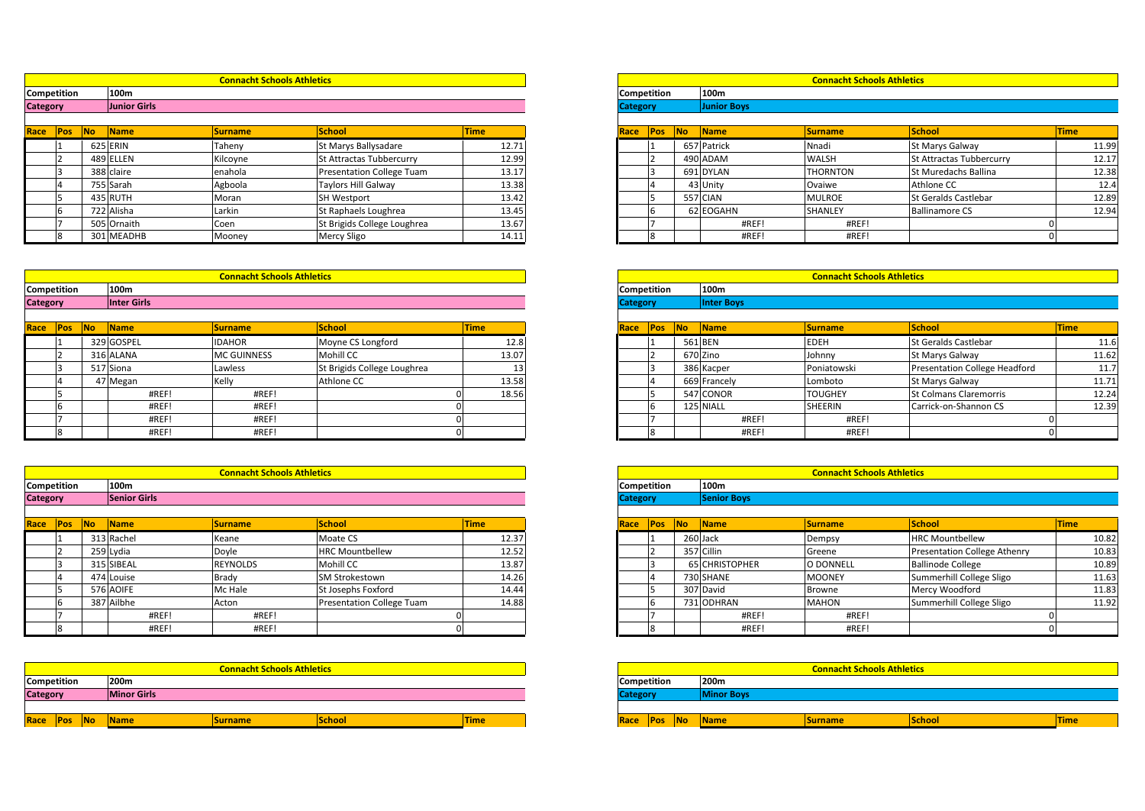|             |     |           |                     | <b>Connacht Schools Athletics</b> |                                                                                                                 |      |
|-------------|-----|-----------|---------------------|-----------------------------------|-----------------------------------------------------------------------------------------------------------------|------|
|             |     |           | 100m                |                                   |                                                                                                                 |      |
| Competition |     |           |                     |                                   |                                                                                                                 |      |
| Category    |     |           | <b>Junior Girls</b> |                                   |                                                                                                                 |      |
|             |     |           |                     |                                   |                                                                                                                 |      |
| Race        | Pos | <b>No</b> | Name                | <b>Surname</b>                    | School                                                                                                          | Time |
|             |     |           |                     | <b>Contract Contract Contract</b> | the contract of the contract of the contract of the contract of the contract of the contract of the contract of |      |

| Competition | 100m        |                                   |                                  |       | <b>Competition</b> |   | 100m        |                                   |                    |
|-------------|-------------|-----------------------------------|----------------------------------|-------|--------------------|---|-------------|-----------------------------------|--------------------|
|             |             | <b>Connacht Schools Athletics</b> |                                  |       |                    |   |             | <b>Connacht Schools Athletics</b> |                    |
|             |             |                                   |                                  |       |                    |   |             |                                   |                    |
|             | 301 MEADHB  | Mooney                            | Mercy Sligo                      | 14.11 |                    | 8 | #REF!       | #REF!                             |                    |
|             | 505 Ornaith | Coen                              | St Brigids College Loughrea      | 13.67 |                    |   | #REF!       | #REF!                             |                    |
|             | 722 Alisha  | Larkin                            | St Raphaels Loughrea             | 13.45 |                    |   | 62 EOGAHN   | SHANLEY                           | Ballinamo          |
|             | 435 RUTH    | Moran                             | <b>SH Westport</b>               | 13.42 |                    |   | 557 CIAN    | <b>MULROE</b>                     | <b>St Geralds</b>  |
|             | 755 Sarah   | Agboola                           | <b>Taylors Hill Galway</b>       | 13.38 |                    |   | 43 Unity    | Ovaiwe                            | Athlone C          |
|             | 388 claire  | enahola                           | <b>Presentation College Tuam</b> | 13.17 |                    |   | 691 DYLAN   | <b>THORNTON</b>                   | St Mureda          |
|             | 489 ELLEN   | Kilcoyne                          | St Attractas Tubbercurry         | 12.99 |                    |   | 490 ADAM    | <b>WALSH</b>                      | <b>St Attracta</b> |
|             | 625 ERIN    | Taheny                            | St Marys Ballysadare             | 12.71 |                    |   | 657 Patrick | Nnadi                             | St Marys 0         |

|                 |            | 505 Ornaith        | Coen                              | St Brigids College Loughrea |             | 13.67 |                    |         | #REF                   | #REF!                             |                      |      |
|-----------------|------------|--------------------|-----------------------------------|-----------------------------|-------------|-------|--------------------|---------|------------------------|-----------------------------------|----------------------|------|
|                 |            | 301 MEADHB         | Mooney                            | <b>Mercy Sligo</b>          |             | 14.11 |                    |         | #REF!                  | #REF!                             |                      |      |
|                 |            |                    |                                   |                             |             |       |                    |         |                        |                                   |                      |      |
|                 |            |                    |                                   |                             |             |       |                    |         |                        |                                   |                      |      |
|                 |            |                    | <b>Connacht Schools Athletics</b> |                             |             |       |                    |         |                        | <b>Connacht Schools Athletics</b> |                      |      |
| Competition     |            | 100m               |                                   |                             |             |       | <b>Competition</b> |         | 100m                   |                                   |                      |      |
| <b>Category</b> |            | <b>Inter Girls</b> |                                   |                             |             |       | <b>Category</b>    |         | <b>Inter Boys</b>      |                                   |                      |      |
|                 |            |                    |                                   |                             |             |       |                    |         |                        |                                   |                      |      |
| Race Pos        | <b>INo</b> | <b>Name</b>        | <b>Surname</b>                    | <b>School</b>               | <b>Time</b> |       | Race <b>Pos</b> No |         | $\sqrt{\mathsf{Name}}$ | Surname                           | <b>School</b>        | Time |
|                 |            | 329 GOSPEL         | <b>IDAHOR</b>                     | Movne CS Longford           |             | 12.8  |                    | 561 BEN |                        | <b>EDEH</b>                       | St Geralds Castlebar | 11.6 |

| Race               | Pos | <b>No</b> | <b>Name</b> | <b>Surname</b>                    | School                      | <b>Time</b> | Race               | <b>Pos</b> | No. | <b>Name</b>  | <b>Surname</b>                    | School            |
|--------------------|-----|-----------|-------------|-----------------------------------|-----------------------------|-------------|--------------------|------------|-----|--------------|-----------------------------------|-------------------|
|                    |     |           | 329 GOSPEL  | <b>IDAHOR</b>                     | Moyne CS Longford           | 12.8        |                    |            |     | 561 BEN      | <b>EDEH</b>                       | <b>St Geralds</b> |
|                    |     |           | 316 ALANA   | <b>MC GUINNESS</b>                | <b>Mohill CC</b>            | 13.07       |                    |            |     | 670 Zino     | Johnny                            | St Marys 0        |
|                    |     |           | 517 Siona   | Lawless                           | St Brigids College Loughrea |             |                    |            |     | 386 Kacper   | Poniatowski                       | Presentati        |
|                    |     |           | 47 Megan    | Kelly                             | Athlone CC                  | 13.58       |                    |            |     | 669 Francely | Lomboto                           | St Marys 0        |
|                    |     |           | #REF!       | #REF!                             |                             | 18.56       |                    |            |     | 547 CONOR    | <b>TOUGHEY</b>                    | <b>St Colman</b>  |
|                    |     |           | #REF!       | #REF!                             |                             |             |                    |            |     | 125 NIALL    | <b>SHEERIN</b>                    | Carrick-on        |
|                    |     |           | #REF!       | #REF!                             |                             |             |                    |            |     | #REF!        | #REF!                             |                   |
|                    |     |           | #REF!       | #REF!                             |                             |             |                    |            |     | #REF!        | #REF!                             |                   |
|                    |     |           |             |                                   |                             |             |                    |            |     |              |                                   |                   |
|                    |     |           |             | <b>Connacht Schools Athletics</b> |                             |             |                    |            |     |              | <b>Connacht Schools Athletics</b> |                   |
| <b>Competition</b> |     |           | 100m        |                                   |                             |             | <b>Competition</b> |            |     | 100m         |                                   |                   |

|                 |                    |                | #REF!               | #REF!                             |                                  | 0           |                    |                |    | #REF!              | #REF!                             |                 |
|-----------------|--------------------|----------------|---------------------|-----------------------------------|----------------------------------|-------------|--------------------|----------------|----|--------------------|-----------------------------------|-----------------|
|                 |                    |                | #REF!               | #REF!                             |                                  | 0           |                    | 8              |    | #REF!              | #REF!                             |                 |
|                 |                    |                |                     |                                   |                                  |             |                    |                |    |                    |                                   |                 |
|                 |                    |                |                     | <b>Connacht Schools Athletics</b> |                                  |             |                    |                |    |                    | <b>Connacht Schools Athletics</b> |                 |
|                 | Competition        |                | 100m                |                                   |                                  |             |                    | Competition    |    | 100m               |                                   |                 |
| <b>Category</b> |                    |                | <b>Senior Girls</b> |                                   |                                  |             | <b>Category</b>    |                |    | <b>Senior Boys</b> |                                   |                 |
|                 |                    |                |                     |                                   |                                  |             |                    |                |    |                    |                                   |                 |
| Race Pos        |                    | N <sub>o</sub> | Name                | <b>Surname</b>                    | <b>School</b>                    | <b>Time</b> | Race               | Pos            | No | Name               | Surname                           | <b>School</b>   |
|                 |                    |                | 313 Rachel          | Keane                             | Moate CS                         | 12.37       |                    | 11             |    | 260 Jack           | Dempsy                            | <b>HRC Mour</b> |
|                 |                    |                | 259 Lydia           | Doyle                             | <b>HRC Mountbellew</b>           | 12.52       |                    | 12             |    | 357 Cillin         | Greene                            | Presentati      |
|                 |                    |                | 315 SIBEAL          | <b>REYNOLDS</b>                   | Mohill CC                        | 13.87       |                    | 13             |    | 65 CHRISTOPHER     | O DONNELL                         | Ballinode       |
|                 |                    |                | 474 Louise          | <b>Brady</b>                      | SM Strokestown                   | 14.26       |                    | $\overline{4}$ |    | 730 SHANE          | <b>MOONEY</b>                     | Summerhi        |
|                 |                    |                | 576 AOIFE           | Mc Hale                           | St Josephs Foxford               | 14.44       |                    | l5             |    | 307 David          | Browne                            | Mercy Wo        |
|                 | b                  |                | 387 Ailbhe          | Acton                             | <b>Presentation College Tuam</b> | 14.88       |                    | 6              |    | 731 ODHRAN         | <b>MAHON</b>                      | Summerhi        |
|                 |                    |                | #REF!               | #REF!                             |                                  |             |                    |                |    | #REF!              | #REF!                             |                 |
|                 |                    |                | #REF!               | #REF!                             |                                  | 0           |                    | l8             |    | #REF!              | #REF!                             |                 |
|                 |                    |                |                     |                                   |                                  |             |                    |                |    |                    |                                   |                 |
|                 |                    |                |                     |                                   |                                  |             |                    |                |    |                    |                                   |                 |
|                 |                    |                |                     | <b>Connacht Schools Athletics</b> |                                  |             |                    |                |    |                    | <b>Connacht Schools Athletics</b> |                 |
|                 | <b>Competition</b> |                | 200 <sub>m</sub>    |                                   |                                  |             | <b>Competition</b> |                |    | 200 <sub>m</sub>   |                                   |                 |

| Race               | Pos | <b>INo</b> | <b>Name</b>        | <b>Surname</b>                    | <b>School</b> | <b>Time</b> | Race               | <b>IPos</b> | <b>INo</b> | Name              |
|--------------------|-----|------------|--------------------|-----------------------------------|---------------|-------------|--------------------|-------------|------------|-------------------|
|                    |     |            |                    |                                   |               |             |                    |             |            |                   |
| <b>Category</b>    |     |            | <b>Minor Girls</b> |                                   |               |             | <b>Category</b>    |             |            | <b>Minor Boys</b> |
| <b>Competition</b> |     |            | 200m               |                                   |               |             | <b>Competition</b> |             |            | 200 <sub>m</sub>  |
|                    |     |            |                    | <b>Connacht Schools Athletics</b> |               |             |                    |             |            |                   |
|                    |     |            |                    |                                   |               |             |                    |             |            |                   |
|                    |     |            | #REF!              | #REF!                             |               |             |                    | ıο<br>ם ו   |            | #R                |
|                    |     |            | #REF!              | #REF!                             | 0             |             |                    |             |            | #R                |

|                   |              | <b>Connacht Schools Athletics</b> |                             |             |
|-------------------|--------------|-----------------------------------|-----------------------------|-------------|
| ition:            | 100m         |                                   |                             |             |
|                   | Junior Girls |                                   |                             |             |
|                   |              |                                   |                             |             |
| <b>No</b><br>Pos: | <b>Name</b>  | <b>Surname</b>                    | <b>School</b>               | <b>Time</b> |
|                   | 625 ERIN     | Taheny                            | St Marys Ballysadare        | 12.71       |
|                   | 489 ELLEN    | Kilcoyne                          | St Attractas Tubbercurry    | 12.99       |
|                   | 388 claire   | enahola                           | Presentation College Tuam   | 13.17       |
|                   | 755 Sarah    | Agboola                           | <b>Taylors Hill Galway</b>  | 13.38       |
|                   | 435 RUTH     | Moran                             | <b>SH Westport</b>          | 13.42       |
|                   | 722 Alisha   | Larkin                            | St Raphaels Loughrea        | 13.45       |
|                   | 505 Ornaith  | Coen                              | St Brigids College Loughrea | 13.67       |
|                   | 301 MEADHB   | Mooney                            | Mercy Sligo                 | 14.11       |

|             | <b>Connacht Schools Athletics</b> |
|-------------|-----------------------------------|
| Competition | 100m                              |
| Category    | <b>Inter Boys</b>                 |

|                    | <b>Connacht Schools Athletics</b> |                             |             |
|--------------------|-----------------------------------|-----------------------------|-------------|
| 100m               |                                   |                             |             |
| <b>Inter Girls</b> |                                   |                             |             |
| <b>Name</b>        | <b>Surname</b>                    | School                      | <b>Time</b> |
| 329 GOSPEL         | DAHOR                             | Moyne CS Longford           | 12.8        |
| 316 ALANA          | <b>MC GUINNESS</b>                | Mohill CC                   | 13.07       |
| 517 Siona          | Lawless                           | St Brigids College Loughrea |             |
| 47 Megan           | Kelly                             | Athlone CC                  | 13.58       |
| #REF!              | #REF!                             |                             | 18.56       |
| #REF!              | #REF!                             |                             |             |
| #REF!              | #REF!                             |                             |             |
| #REF!              | #REF!                             |                             |             |

|            |                     | <b>Connacht Schools Athletics</b> |                           |             |
|------------|---------------------|-----------------------------------|---------------------------|-------------|
| :ition     | 100m                |                                   |                           |             |
|            | <b>Senior Girls</b> |                                   |                           |             |
|            |                     |                                   |                           |             |
| No.<br>'os | Name                | <b>Surname</b>                    | <b>School</b>             | <b>Time</b> |
|            | 313 Rachel          | Keane                             | Moate CS                  | 12.37       |
|            | 259 Lydia           | Doyle                             | <b>HRC Mountbellew</b>    | 12.52       |
|            | 315 SIBEAL          | REYNOLDS                          | <b>Mohill CC</b>          | 13.87       |
|            | 474 Louise          | Brady                             | <b>SM Strokestown</b>     | 14.26       |
|            | 576 AOIFE           | Mc Hale                           | St Josephs Foxford        | 14.44       |
|            | 387 Ailbhe          | Acton                             | Presentation College Tuam | 14.88       |
|            | #REF!               | #REF!                             |                           |             |
|            | #REF                | #REF!                             |                           |             |

|        |                    | <b>Connacht Schools Athletics</b> |        |             |
|--------|--------------------|-----------------------------------|--------|-------------|
| :ition | 200m               |                                   |        |             |
|        | <b>Minor Girls</b> |                                   |        |             |
|        |                    |                                   |        |             |
| Pos No | Name               | Surname                           | School | <b>Time</b> |
|        |                    |                                   |        |             |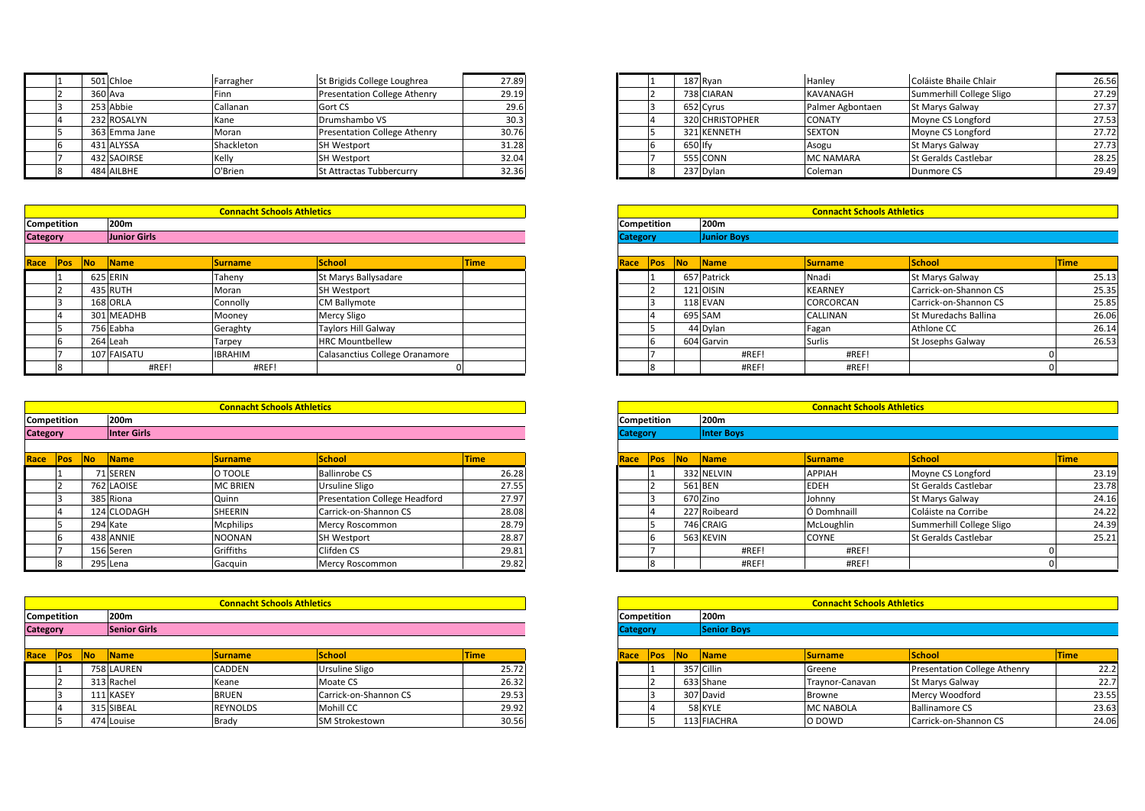| <b>Competition</b> | 200 <sub>m</sub> |                                   |                                     |       | <b>Competition</b> | 200 <sub>m</sub> |                                   |                   |
|--------------------|------------------|-----------------------------------|-------------------------------------|-------|--------------------|------------------|-----------------------------------|-------------------|
|                    |                  | <b>Connacht Schools Athletics</b> |                                     |       |                    |                  | <b>Connacht Schools Athletics</b> |                   |
|                    |                  |                                   |                                     |       |                    |                  |                                   |                   |
|                    | 484 AILBHE       | O'Brien                           | St Attractas Tubbercurry            | 32.36 |                    | 237 Dylan        | Coleman                           | Dunmore           |
|                    | 432 SAOIRSE      | Kelly                             | <b>SH Westport</b>                  | 32.04 |                    | 555 CONN         | <b>MC NAMARA</b>                  | <b>St Geralds</b> |
|                    | 431 ALYSSA       | Shackleton                        | <b>SH Westport</b>                  | 31.28 |                    | 650 Ify          | Asogu                             | St Marys 0        |
|                    | 363 Emma Jane    | Moran                             | <b>Presentation College Athenry</b> | 30.76 |                    | 321 KENNETH      | <b>SEXTON</b>                     | Moyne CS          |
|                    | 232 ROSALYN      | Kane                              | Drumshambo VS                       | 30.3  |                    | 320 CHRISTOPHER  | <b>CONATY</b>                     | Moyne CS          |
|                    | 253 Abbie        | Callanan                          | Gort CS                             | 29.6  |                    | 652 Cyrus        | Palmer Agbontaen                  | St Marys 0        |
|                    | 360 Ava          | Finn                              | <b>Presentation College Athenry</b> | 29.19 |                    | 738 CIARAN       | <b>KAVANAGH</b>                   | Summerhi          |
|                    | 501 Chloe        | Farragher                         | St Brigids College Loughrea         | 27.89 |                    | 187 Ryan         | Hanley                            | Coláiste B        |

| <b>Category</b>    | <b>Junior Girls</b> |                                   |                          |       | <b>Category</b>    | <b>Junior Boys</b> |
|--------------------|---------------------|-----------------------------------|--------------------------|-------|--------------------|--------------------|
| <b>Competition</b> | 200m                |                                   |                          |       | <b>Competition</b> | 200m               |
|                    |                     | <b>Connacht Schools Athletics</b> |                          |       |                    |                    |
|                    |                     |                                   |                          |       |                    |                    |
|                    | 484 AILBHE          | O'Brien                           | St Attractas Tubbercurry | 32.36 | 18                 | 237 Dylan          |
|                    | 432 SAOIRSE         | Kelly                             | <b>SH Westport</b>       | 32.04 |                    | 555 CONN           |

| Race Pos           |     | <b>No</b> | <b>Name</b>      | <b>Surname</b>                    | <b>School</b>                  | <b>Time</b> | Race               | <b>Pos</b> | <b>No</b> | <b>Name</b>      | <b>Surname</b>                    | School            |
|--------------------|-----|-----------|------------------|-----------------------------------|--------------------------------|-------------|--------------------|------------|-----------|------------------|-----------------------------------|-------------------|
|                    |     |           | 625 ERIN         | Taheny                            | St Marys Ballysadare           |             |                    |            |           | 657 Patrick      | Nnadi                             | St Marys 0        |
|                    |     |           | 435 RUTH         | Moran                             | <b>SH Westport</b>             |             |                    |            |           | 121 OISIN        | <b>KEARNEY</b>                    | Carrick-on        |
|                    |     |           | 168 ORLA         | Connolly                          | <b>CM Ballymote</b>            |             |                    |            |           | 118 EVAN         | CORCORCAN                         | Carrick-on        |
|                    |     |           | 301 MEADHB       | Mooney                            | Mercy Sligo                    |             |                    |            |           | 695 SAM          | <b>CALLINAN</b>                   | St Mureda         |
|                    |     |           | 756 Eabha        | Geraghty                          | Taylors Hill Galway            |             |                    |            |           | 44 Dylan         | Fagan                             | Athlone C         |
|                    | 16. |           | 264 Leah         | Tarpey                            | <b>HRC Mountbellew</b>         |             |                    | IЬ         |           | 604 Garvin       | Surlis                            | <b>St Josephs</b> |
|                    |     |           | 107 FAISATU      | <b>IBRAHIM</b>                    | Calasanctius College Oranamore |             |                    |            |           | #REF!            | #REF!                             |                   |
|                    | 8   |           | #REF!            | #REF!                             |                                |             |                    |            |           | #REF!            | #REF!                             |                   |
|                    |     |           |                  |                                   |                                |             |                    |            |           |                  |                                   |                   |
|                    |     |           |                  |                                   |                                |             |                    |            |           |                  |                                   |                   |
|                    |     |           |                  | <b>Connacht Schools Athletics</b> |                                |             |                    |            |           |                  | <b>Connacht Schools Athletics</b> |                   |
| <b>Competition</b> |     |           | 200 <sub>m</sub> |                                   |                                |             | <b>Competition</b> |            |           | 200 <sub>m</sub> |                                   |                   |

| <b>Category</b>    | <b>Inter Girls</b> |                                   |                                |  | <b>Category</b>    |  | <b>Inter Boys</b> |
|--------------------|--------------------|-----------------------------------|--------------------------------|--|--------------------|--|-------------------|
| <b>Competition</b> | 200m               |                                   |                                |  | <b>Competition</b> |  | 200m              |
|                    |                    | <b>Connacht Schools Athletics</b> |                                |  |                    |  |                   |
|                    |                    |                                   |                                |  |                    |  |                   |
|                    | #REF!              | #REF!                             | 01                             |  |                    |  | #REF!             |
|                    | 107 FAISATU        | <b>IBRAHIM</b>                    | Calasanctius College Oranamore |  |                    |  | #REF!             |

| Race Pos           | No | <b>Name</b>      | <b>Surname</b>                    | <b>School</b>                        | <b>Time</b> | Race               | <b>Pos</b> | <b>No</b> | Name             | <b>Surname</b>                    | School            |
|--------------------|----|------------------|-----------------------------------|--------------------------------------|-------------|--------------------|------------|-----------|------------------|-----------------------------------|-------------------|
|                    |    | 71 SEREN         | O TOOLE                           | <b>Ballinrobe CS</b>                 | 26.28       |                    |            |           | 332 NELVIN       | <b>APPIAH</b>                     | Moyne CS          |
|                    |    | 762 LAOISE       | <b>MC BRIEN</b>                   | Ursuline Sligo                       | 27.55       |                    |            |           | 561 BEN          | <b>EDEH</b>                       | <b>St Geralds</b> |
|                    |    | 385 Riona        | Quinn                             | <b>Presentation College Headford</b> | 27.97       |                    |            |           | 670 Zino         | Johnny                            | St Marys 0        |
|                    |    | 124 CLODAGH      | <b>SHEERIN</b>                    | Carrick-on-Shannon CS                | 28.08       |                    |            |           | 227 Roibeard     | Ó Domhnaill                       | Coláiste na       |
|                    |    | 294 Kate         | Mcphilips                         | Mercy Roscommon                      | 28.79       |                    |            |           | 746 CRAIG        | McLoughlin                        | Summerhi          |
|                    |    | 438 ANNIE        | <b>NOONAN</b>                     | <b>SH Westport</b>                   | 28.87       |                    |            |           | 563 KEVIN        | <b>COYNE</b>                      | <b>St Geralds</b> |
|                    |    | 156 Seren        | Griffiths                         | Clifden CS                           | 29.81       |                    |            |           | #REF!            | #REF!                             |                   |
|                    |    | 295 Lena         | Gacquin                           | Mercy Roscommon                      | 29.82       |                    |            |           | #REF!            | #REF!                             |                   |
|                    |    |                  |                                   |                                      |             |                    |            |           |                  |                                   |                   |
|                    |    |                  |                                   |                                      |             |                    |            |           |                  |                                   |                   |
|                    |    |                  | <b>Connacht Schools Athletics</b> |                                      |             |                    |            |           |                  | <b>Connacht Schools Athletics</b> |                   |
| <b>Competition</b> |    | 200 <sub>m</sub> |                                   |                                      |             | <b>Competition</b> |            |           | 200 <sub>m</sub> |                                   |                   |

| <b>Category</b>    | <b>Senior Girls</b> |                                   |                    |       | <b>Category</b>    | <b>Senior Boys</b> |
|--------------------|---------------------|-----------------------------------|--------------------|-------|--------------------|--------------------|
| <b>Competition</b> | 200m                |                                   |                    |       | <b>Competition</b> | 200m               |
|                    |                     | <b>Connacht Schools Athletics</b> |                    |       |                    |                    |
|                    |                     |                                   |                    |       |                    |                    |
|                    | 295 Lena            | Gacquin                           | Mercy Roscommon    | 29.82 | 18                 | #R                 |
|                    | 156 Seren           | Griffiths                         | <b>IClifden CS</b> | 29.81 |                    | #RI                |

| Race | Pos | <b>INo</b> | <b>Name</b> | <b>Surname</b>  | <b>School</b>         | Time  |
|------|-----|------------|-------------|-----------------|-----------------------|-------|
|      |     |            | 758 LAUREN  | <b>CADDEN</b>   | Ursuline Sligo        | 25.72 |
|      |     |            | 313 Rachel  | Keane           | Moate CS              | 26.32 |
|      |     |            | 111 KASEY   | <b>BRUEN</b>    | Carrick-on-Shannon CS | 29.53 |
|      |     |            | 315 SIBEAL  | <b>REYNOLDS</b> | Mohill CC             | 29.92 |
|      |     |            | 474 Louise  | Brady           | <b>SM Strokestown</b> | 30.56 |

| 501 Chloe     | Farragher  | St Brigids College Loughrea         | 27.89 |
|---------------|------------|-------------------------------------|-------|
| 360 Ava       | Finn       | <b>Presentation College Athenry</b> | 29.19 |
| 253 Abbie     | Callanan   | Gort CS                             | 29.6  |
| 232 ROSALYN   | Kane       | Drumshambo VS                       | 30.3  |
| 363 Emma Jane | Moran      | <b>Presentation College Athenry</b> | 30.76 |
| 431 ALYSSA    | Shackleton | <b>SH Westport</b>                  | 31.28 |
| 432 SAOIRSE   | Kelly      | <b>SH Westport</b>                  | 32.04 |
| 484 AILBHE    | O'Brien    | <b>St Attractas Tubbercurry</b>     | 32.36 |

|                             |              | <b>Connacht Schools Athletics</b> |                      |             |
|-----------------------------|--------------|-----------------------------------|----------------------|-------------|
| :ition                      | 200m         |                                   |                      |             |
|                             | Junior Girls |                                   |                      |             |
|                             |              |                                   |                      |             |
| N <sub>o</sub><br><b>OS</b> | Name         | <b>Surname</b>                    | <b>School</b>        | <b>Time</b> |
|                             | 625 ERIN     | Taheny                            | St Marys Ballysadare |             |
|                             | 435 RUTH     | Moran                             | <b>SH Westport</b>   |             |

| 1200m               |                |                                |             |  |  |  |  |
|---------------------|----------------|--------------------------------|-------------|--|--|--|--|
| <b>Junior Girls</b> |                |                                |             |  |  |  |  |
|                     |                |                                |             |  |  |  |  |
| <b>Name</b>         | <b>Surname</b> | School                         | <b>Time</b> |  |  |  |  |
| 625 ERIN            | Taheny         | St Marys Ballysadare           |             |  |  |  |  |
| 435 RUTH            | Moran          | <b>SH Westport</b>             |             |  |  |  |  |
| 168 ORLA            | Connolly       | <b>CM Ballymote</b>            |             |  |  |  |  |
| 301 MEADHB          | Mooney         | Mercy Sligo                    |             |  |  |  |  |
| 756 Eabha           | Geraghty       | <b>Taylors Hill Galway</b>     |             |  |  |  |  |
| 264 Leah            | Tarpey         | <b>HRC Mountbellew</b>         |             |  |  |  |  |
| 107 FAISATU         | <b>BRAHIM</b>  | Calasanctius College Oranamore |             |  |  |  |  |
| #REF!               | #REF!          |                                |             |  |  |  |  |

|             |                    | <b>Connacht Schools Athletics</b> |                      |             |
|-------------|--------------------|-----------------------------------|----------------------|-------------|
| ition:      | 200m               |                                   |                      |             |
|             | <b>Inter Girls</b> |                                   |                      |             |
|             |                    |                                   |                      |             |
| No <br>POS. | Name               | <b>Surname</b>                    | <b>School</b>        | <u>Fime</u> |
|             | 71 SEREN           | O TOOLE                           | <b>Ballinrobe CS</b> | 26.28       |

| <b>Connacht Schools Athletics</b> |                    |                 |                               |             |  |  |  |
|-----------------------------------|--------------------|-----------------|-------------------------------|-------------|--|--|--|
| 200m                              |                    |                 |                               |             |  |  |  |
|                                   | <b>Inter Girls</b> |                 |                               |             |  |  |  |
|                                   | <b>Name</b>        | <b>Surname</b>  | School                        | <b>Time</b> |  |  |  |
|                                   | 71 SEREN           | O TOOLE         | <b>Ballinrobe CS</b>          | 26.28       |  |  |  |
|                                   | 762 LAOISE         | <b>MC BRIEN</b> | Ursuline Sligo                | 27.55       |  |  |  |
|                                   | 385 Riona          | Quinn           | Presentation College Headford | 27.97       |  |  |  |
|                                   | 124 CLODAGH        | <b>SHEERIN</b>  | Carrick-on-Shannon CS         | 28.08       |  |  |  |
|                                   | 294 Kate           | Mcphilips       | Mercy Roscommon               | 28.79       |  |  |  |
|                                   | 438 ANNIE          | NOONAN          | <b>SH Westport</b>            | 28.87       |  |  |  |
|                                   | 156 Seren          | Griffiths       | Clifden CS                    | 29.81       |  |  |  |
|                                   | 295 Lena           | Gacquin         | Mercy Roscommon               | 29.82       |  |  |  |

|                             |                     | <b>Connacht Schools Athletics</b> |                       |             |
|-----------------------------|---------------------|-----------------------------------|-----------------------|-------------|
| :ition                      | 200m                |                                   |                       |             |
|                             | <b>Senior Girls</b> |                                   |                       |             |
|                             |                     |                                   |                       |             |
| N <sub>o</sub><br><b>OS</b> | <b>Name</b>         | <b>Surname</b>                    | <b>School</b>         | <b>Time</b> |
|                             | 758 LAUREN          | CADDEN                            | <b>Ursuline Sligo</b> | 25.72       |
|                             | 313 Rachel          | Keane                             | Moate CS              | 26.32       |
|                             | 111 KASEY           | <b>BRUEN</b>                      | Carrick-on-Shannon CS | 29.53       |
|                             | 315 SIBEAL          | <b>REYNOLDS</b>                   | <b>Mohill CC</b>      | 29.92       |
|                             |                     |                                   | SM Strokestown        | 30.56       |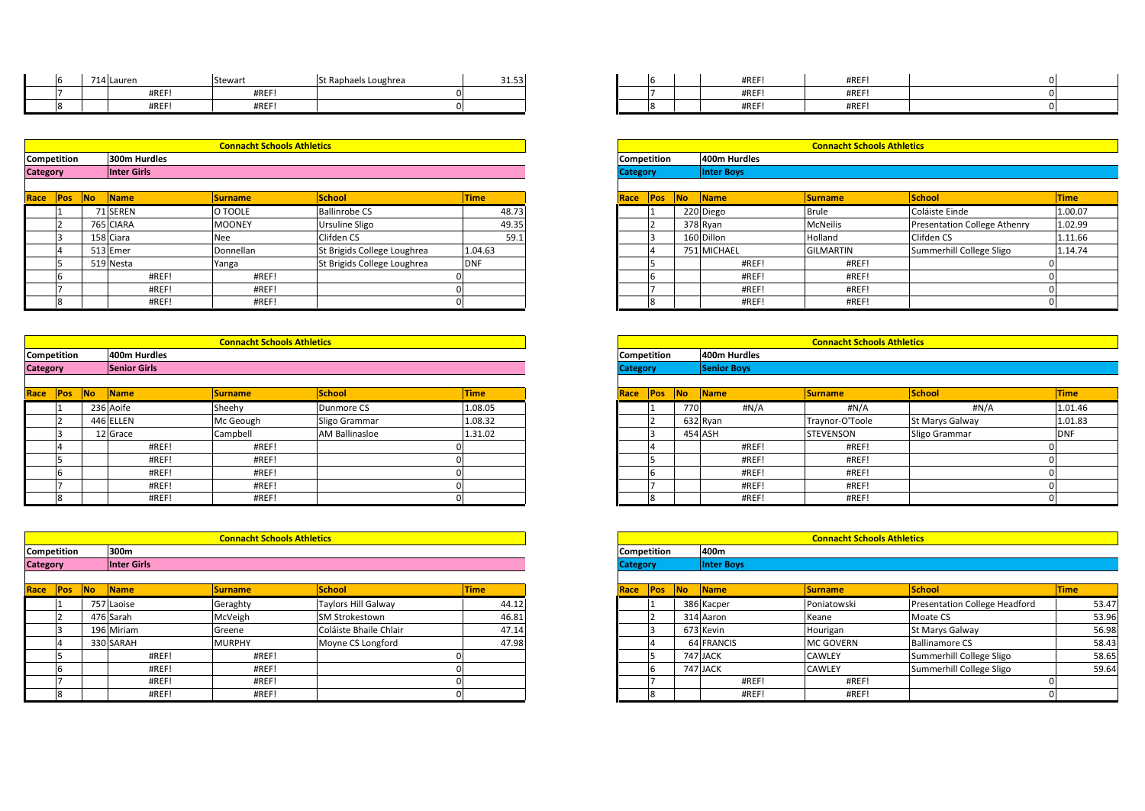|                    | 714 Lauren   | Stewart                           | St Raphaels Loughrea | 31.53 |                    |  | #REF!        | #REF!                             |  |
|--------------------|--------------|-----------------------------------|----------------------|-------|--------------------|--|--------------|-----------------------------------|--|
|                    | #REF!        | #REF!                             |                      |       |                    |  | #REF!        | #REF!                             |  |
|                    | #REF!        | #REF!                             |                      |       |                    |  | #REF!        | #REF!                             |  |
|                    |              |                                   |                      |       |                    |  |              |                                   |  |
|                    |              |                                   |                      |       |                    |  |              |                                   |  |
|                    |              | <b>Connacht Schools Athletics</b> |                      |       |                    |  |              | <b>Connacht Schools Athletics</b> |  |
| <b>Competition</b> | 300m Hurdles |                                   |                      |       | <b>Competition</b> |  | 400m Hurdles |                                   |  |

| Race        | <b>Pos</b>                            | <b>No</b> | <b>Name</b>  | <b>Surname</b>                    | <b>School</b> | <b>Time</b> | Race               | <b>IPos</b> | <b>INo</b> | <b>Name</b>       |
|-------------|---------------------------------------|-----------|--------------|-----------------------------------|---------------|-------------|--------------------|-------------|------------|-------------------|
|             |                                       |           |              |                                   |               |             |                    |             |            |                   |
|             | <b>Category</b><br><b>Inter Girls</b> |           |              |                                   |               |             | <b>Category</b>    |             |            | <b>Inter Boys</b> |
| Competition |                                       |           | 300m Hurdles |                                   |               |             | <b>Competition</b> |             |            | 400m Hurdles      |
|             |                                       |           |              | <b>Connacht Schools Athletics</b> |               |             |                    |             |            |                   |
|             |                                       |           |              |                                   |               |             |                    |             |            |                   |
|             |                                       |           | #REF!        | #REF!                             |               |             |                    |             |            | #REF!             |
|             |                                       |           | #REF!        | #REF!                             |               |             |                    |             |            | #REF!             |

| <b>Competition</b> |  | 400m Hurdles |                                   |                             |            | <b>Competition</b> |  | 400m Hurdles |                                   |             |
|--------------------|--|--------------|-----------------------------------|-----------------------------|------------|--------------------|--|--------------|-----------------------------------|-------------|
|                    |  |              | <b>Connacht Schools Athletics</b> |                             |            |                    |  |              | <b>Connacht Schools Athletics</b> |             |
|                    |  |              |                                   |                             |            |                    |  |              |                                   |             |
|                    |  | #REF!        | #REF!                             |                             |            |                    |  | #REF!        | #REF!                             |             |
|                    |  | #REF!        | #REF!                             |                             |            |                    |  | #REF!        | #REF!                             |             |
|                    |  | #REF!        | #REF!                             |                             |            |                    |  | #REF!        | #REF!                             |             |
|                    |  | 519 Nesta    | Yanga                             | St Brigids College Loughrea | <b>DNF</b> |                    |  | #REF!        | #REF!                             |             |
|                    |  | 513 Emer     | Donnellan                         | St Brigids College Loughrea | 1.04.63    |                    |  | 751 MICHAEL  | <b>GILMARTIN</b>                  | Summerhi    |
|                    |  | 158 Ciara    | Nee                               | Clifden CS                  | 59.1       |                    |  | 160 Dillon   | Holland                           | Clifden CS  |
|                    |  | 765 CIARA    | <b>MOONEY</b>                     | Ursuline Sligo              | 49.35      |                    |  | 378 Ryan     | <b>McNeilis</b>                   | Presentati  |
|                    |  | 71 SEREN     | O TOOLE                           | <b>Ballinrobe CS</b>        | 48.73      |                    |  | 220 Diego    | <b>Brule</b>                      | Coláiste Ei |

|                 |           | #REF!               | #REF!                             |                       |             |                 |       |     | #REF!              | #REF!                             |                 |             |
|-----------------|-----------|---------------------|-----------------------------------|-----------------------|-------------|-----------------|-------|-----|--------------------|-----------------------------------|-----------------|-------------|
|                 |           | #REF!               | #REF!                             |                       |             |                 |       |     | #REF!              | #REF!                             |                 |             |
|                 |           |                     |                                   |                       |             |                 |       |     |                    |                                   |                 |             |
|                 |           |                     |                                   |                       |             |                 |       |     |                    |                                   |                 |             |
|                 |           |                     | <b>Connacht Schools Athletics</b> |                       |             |                 |       |     |                    | <b>Connacht Schools Athletics</b> |                 |             |
| Competition     |           | 400m Hurdles        |                                   |                       |             | Competition     |       |     | 400m Hurdles       |                                   |                 |             |
| <b>Category</b> |           | <b>Senior Girls</b> |                                   |                       |             | <b>Category</b> |       |     | <b>Senior Boys</b> |                                   |                 |             |
|                 |           |                     |                                   |                       |             |                 |       |     |                    |                                   |                 |             |
| Race<br>Pos     | No Name   |                     | <b>Surname</b>                    | <b>School</b>         | <b>Time</b> | Race            | $Pos$ | No  | Name               | <b>Surname</b>                    | School          | <b>Time</b> |
|                 | 236 Aoife |                     | Sheehy                            | Dunmore CS            | 1.08.05     |                 |       | 770 | #N/A               | #N/A                              | #N/A            | 1.01.46     |
|                 | 446 ELLEN |                     | Mc Geough                         | Sligo Grammar         | 1.08.32     |                 |       |     | 632 Ryan           | Traynor-O'Toole                   | St Marys Galway | 1.01.83     |
|                 | 12 Grace  |                     | Campbell                          | <b>AM Ballinasloe</b> | 1.31.02     |                 |       |     | 454 ASH            | STEVENSON                         | Sligo Grammar   | <b>DNF</b>  |
|                 |           | #REF!               | #REF!                             |                       |             |                 |       |     | #REF!              | #REF!                             |                 |             |
|                 |           | #REF!               | #REF!                             |                       |             |                 |       |     | #REF!              | #REF!                             |                 |             |
|                 |           | #REF!               | #REF!                             |                       |             |                 | ı'n   |     | #REF!              | #REF!                             |                 |             |
|                 |           | #REF!               | #REF!                             |                       |             |                 |       |     | #REF!              | #REF!                             |                 |             |
|                 |           | #REF!               | #REF!                             |                       |             |                 |       |     | #REF!              | #REF!                             |                 |             |

|                    |     |           | #REF!       | #REF!                             |                            | 01 |             |                 |            |    | #                 |
|--------------------|-----|-----------|-------------|-----------------------------------|----------------------------|----|-------------|-----------------|------------|----|-------------------|
|                    | 8   |           | #REF!       | #REF!                             |                            | 0  |             |                 | 8          |    | #                 |
|                    |     |           |             |                                   |                            |    |             |                 |            |    |                   |
|                    |     |           |             | <b>Connacht Schools Athletics</b> |                            |    |             |                 |            |    |                   |
| <b>Competition</b> |     |           | 300m        |                                   |                            |    |             | Competition     |            |    | 400m              |
| <b>Category</b>    |     |           | Inter Girls |                                   |                            |    |             | <b>Category</b> |            |    | <b>Inter Boys</b> |
|                    |     |           |             |                                   |                            |    |             |                 |            |    |                   |
| Race               | Pos | <b>No</b> | Name        | <b>Surname</b>                    | <b>School</b>              |    | <b>Time</b> | Race            | <b>Pos</b> | No | Name              |
|                    |     |           | 757 Laoise  | Geraghty                          | <b>Taylors Hill Galway</b> |    | 44.12       |                 |            |    | 386 Kacper        |
|                    |     |           | 476 Sarah   | McVeigh                           | SM Strokestown             |    | 46.81       |                 |            |    | 314 Aaron         |
|                    |     |           | 196 Miriam  | Greene                            | Coláiste Bhaile Chlair     |    | 47.14       |                 |            |    | 673 Kevin         |
|                    | 4   |           | 330 SARAH   | <b>MURPHY</b>                     | Moyne CS Longford          |    | 47.98       |                 | 4          |    | <b>64 FRANCIS</b> |
|                    |     |           | #REF!       | #REF!                             |                            |    |             |                 |            |    | 747 JACK          |
|                    | 6   |           | #REF!       | #REF!                             |                            | n  |             |                 | 16         |    | 747 JACK          |
|                    |     |           | #REF!       | #REF!                             |                            | n  |             |                 |            |    | #                 |
|                    | 8   |           | #REF!       | #REF!                             |                            | 0  |             |                 | 8          |    | #                 |

| 714 Lauren | Stewart | St Raphaels Loughrea | 31.53 |  |  | #REF! | #REF! |  |
|------------|---------|----------------------|-------|--|--|-------|-------|--|
| #REF!      | #REF!   |                      |       |  |  | #REF! | #REF! |  |
| #REF!      | #REF!   |                      |       |  |  | #REF! | #REF! |  |

|        |                    | <b>Connacht Schools Athletics</b> |                             |             |
|--------|--------------------|-----------------------------------|-----------------------------|-------------|
| :ition | 300m Hurdles       |                                   |                             |             |
|        | <b>Inter Girls</b> |                                   |                             |             |
|        |                    |                                   |                             |             |
| Pos    | No.<br><b>Name</b> | <b>Surname</b>                    | School                      | <b>Time</b> |
|        | 71 SEREN           | O TOOLE                           | <b>Ballinrobe CS</b>        | 48.73       |
|        | 765 CIARA          | <b>MOONEY</b>                     | <b>Ursuline Sligo</b>       | 49.35       |
|        | 158 Ciara          | Nee                               | Clifden CS                  | 59.1        |
|        | 513 Emer           | Donnellan                         | St Brigids College Loughrea | 1.04.63     |
|        | 519 Nesta          | Yanga                             | St Brigids College Loughrea | <b>DNF</b>  |
|        | #REF!              | #REF!                             |                             |             |
|        | #REF!              | #REF!                             |                             |             |
|        | #REF!              | #REF!                             |                             |             |

|                 | <b>Connacht Schools Athletics</b> |
|-----------------|-----------------------------------|
| Competition     | 400m Hurdles                      |
| <b>Category</b> | <b>Senior Boys</b>                |
|                 |                                   |

| Name    | <b>Surname</b> | School                | <b>Time</b> | Race | Pos No |     | <b>Name</b> | <b>Surname</b>  | <b>School</b>          | <b>Time</b> |
|---------|----------------|-----------------------|-------------|------|--------|-----|-------------|-----------------|------------------------|-------------|
| 6 Aoife | Sheehy         | Dunmore CS            | 1.08.05     |      |        | 770 | #N/A        | #N/A            | H N/A                  | 1.01.46     |
| 6 ELLEN | Mc Geough      | Sligo Grammar         | 1.08.32     |      |        |     | 632 Ryan    | Traynor-O'Toole | <b>St Marys Galway</b> | 1.01.83     |
| 2 Grace | Campbell       | <b>AM Ballinasloe</b> | 1.31.02     |      |        |     | 454 ASH     | STEVENSON       | Sligo Grammar          | וויש        |
| #REF!   | #REF!          |                       |             |      |        |     | #REF!       | #REF!           |                        |             |
| #REF!   | #REF!          |                       |             |      |        |     | #REF!       | #REF!           |                        |             |
| #REF!   | #REF!          |                       |             |      |        |     | #REF!       | #REF!           |                        |             |
| #REF!   | #REF!          |                       |             |      |        |     | #REF!       | #REF!           |                        |             |
| #REF!   | #REF!          |                       |             |      |        |     | #REF!       | #REF!           |                        |             |

|        |    |                    | <b>Connacht Schools Athletics</b> |                            |             |
|--------|----|--------------------|-----------------------------------|----------------------------|-------------|
| ition: |    | 300m               |                                   |                            |             |
|        |    | <b>Inter Girls</b> |                                   |                            |             |
|        |    |                    |                                   |                            |             |
| Pos    | No | <b>Name</b>        | <b>Surname</b>                    | <b>School</b>              | <b>Time</b> |
|        |    | 757 Laoise         | Geraghty                          | <b>Taylors Hill Galway</b> | 44.12       |
|        |    | 476 Sarah          | McVeigh                           | SM Strokestown             | 46.81       |
|        |    | 196 Miriam         | Greene                            | Coláiste Bhaile Chlair     | 47.14       |
|        |    | 330 SARAH          | <b>MURPHY</b>                     | Moyne CS Longford          | 47.98       |
|        |    | #REF!              | #REF!                             |                            |             |
|        |    | #REF!              | #REF!                             |                            |             |
|        |    | #REF!              | #REF!                             |                            |             |
|        |    | #REF!              | #REF!                             |                            |             |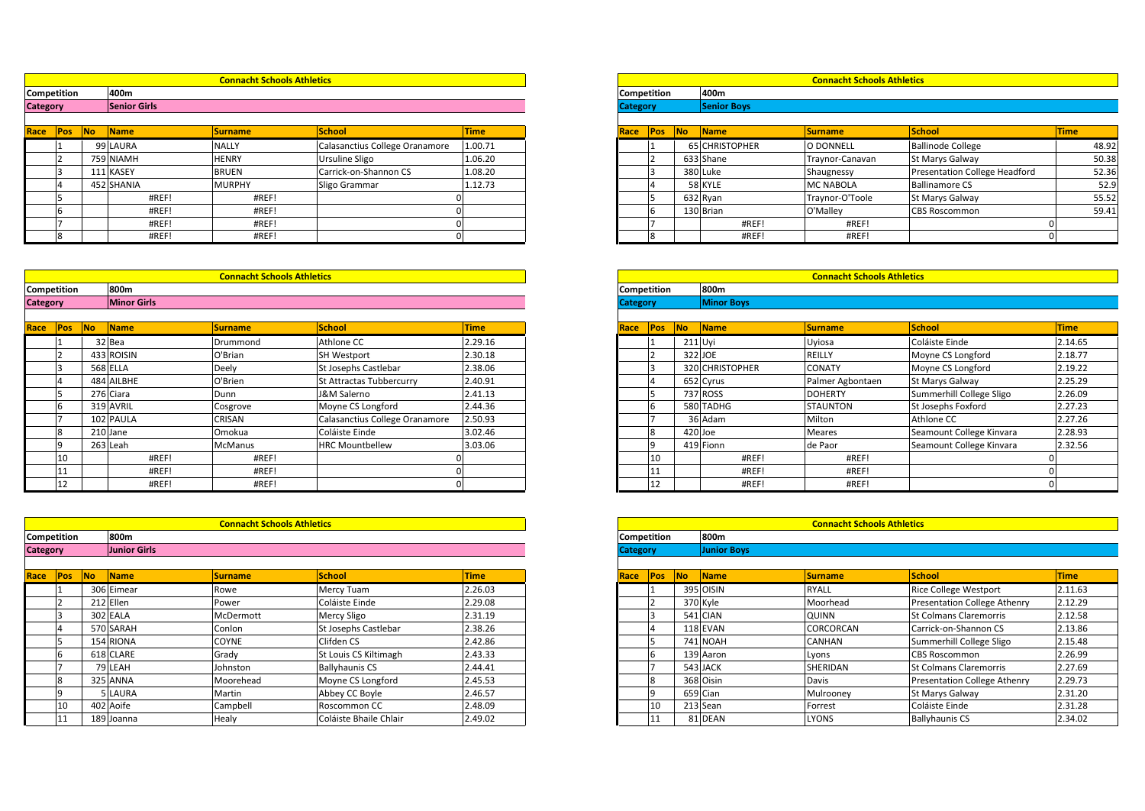|                 | <b>Connacht Schools Athletics</b> |                 |             | <b>Connacht Schools Athletics</b> |
|-----------------|-----------------------------------|-----------------|-------------|-----------------------------------|
| Competition     | 400m                              | Competition     | 400m        |                                   |
| <b>Category</b> | Senior Girls                      | <b>Category</b> | Senior Boys |                                   |
|                 |                                   |                 |             |                                   |
|                 | the company's company's company's |                 |             |                                   |

| Race               | IPos: | INO. | <b>IName</b> | <b>Surname</b>                    | <b>ISchool</b>                 | Time    | Race               | <b>IPos</b> | INO. | <b>Name</b>    | <b>ISurname</b>                   | <b>School</b>    |
|--------------------|-------|------|--------------|-----------------------------------|--------------------------------|---------|--------------------|-------------|------|----------------|-----------------------------------|------------------|
|                    |       |      | 99 LAURA     | <b>NALLY</b>                      | Calasanctius College Oranamore | 1.00.71 |                    |             |      | 65 CHRISTOPHER | <b>O DONNELL</b>                  | Ballinode        |
|                    |       |      | 759 NIAMH    | <b>HENRY</b>                      | Ursuline Sligo                 | 1.06.20 |                    |             |      | 633 Shane      | Traynor-Canavan                   | St Marys 0       |
|                    |       |      | 111 KASEY    | <b>BRUEN</b>                      | Carrick-on-Shannon CS          | 1.08.20 |                    |             |      | 380 Luke       | Shaugnessy                        | Presentati       |
|                    |       |      | 452 SHANIA   | <b>MURPHY</b>                     | Sligo Grammar                  | 1.12.73 |                    |             |      | 58 KYLE        | <b>MC NABOLA</b>                  | Ballinamo        |
|                    |       |      | #REF!        | #REF!                             |                                |         |                    |             |      | 632 Ryan       | Traynor-O'Toole                   | St Marys 0       |
|                    |       |      | #REF!        | #REF!                             |                                |         |                    |             |      | 130 Brian      | O'Malley                          | <b>CBS Rosco</b> |
|                    |       |      | #REF!        | #REF!                             |                                |         |                    |             |      | #REF!          | #REF!                             |                  |
|                    |       |      | #REF!        | #REF!                             |                                |         |                    |             |      | #REF!          | #REF!                             |                  |
|                    |       |      |              |                                   |                                |         |                    |             |      |                |                                   |                  |
|                    |       |      |              | <b>Connacht Schools Athletics</b> |                                |         |                    |             |      |                | <b>Connacht Schools Athletics</b> |                  |
| <b>Competition</b> |       |      | 800m         |                                   |                                |         | <b>Competition</b> |             |      | 800m           |                                   |                  |

|                    |    | #REF!              | #REF!                             |                                |         |                 |                    | #REF!             | #REF!                             |                          |             |
|--------------------|----|--------------------|-----------------------------------|--------------------------------|---------|-----------------|--------------------|-------------------|-----------------------------------|--------------------------|-------------|
|                    |    | #REF!              | #REF!                             |                                |         |                 |                    | #REF!             | #REF!                             |                          |             |
|                    |    |                    |                                   |                                |         |                 |                    |                   |                                   |                          |             |
|                    |    |                    | <b>Connacht Schools Athletics</b> |                                |         |                 |                    |                   | <b>Connacht Schools Athletics</b> |                          |             |
| Competition        |    | 800m               |                                   |                                |         |                 | Competition        | 800m              |                                   |                          |             |
| <b>Category</b>    |    | <b>Minor Girls</b> |                                   |                                |         | <b>Category</b> |                    | <b>Minor Boys</b> |                                   |                          |             |
|                    |    |                    |                                   |                                |         |                 |                    |                   |                                   |                          |             |
|                    |    | Race Pos No Name   | <b>Surname</b>                    | School                         | Time    | Race            |                    | Pos No Name       | <b>Surname</b>                    | School                   | <b>Time</b> |
|                    |    | 32 Bea             | Drummond                          | Athlone CC                     | 2.29.16 |                 |                    | 211 Uyi           | Uyiosa                            | Coláiste Einde           | 2.14.65     |
|                    |    | 433 ROISIN         | O'Brian                           | <b>SH Westport</b>             | 2.30.18 |                 |                    | 322 JOE           | REILLY                            | Moyne CS Longford        | 2.18.77     |
|                    |    | <b>568 ELLA</b>    | Deely                             | <b>St Josephs Castlebar</b>    | 2.38.06 |                 |                    | 320 CHRISTOPHER   | CONATY                            | Moyne CS Longford        | 2.19.22     |
|                    |    | 484 AILBHE         | O'Brien                           | St Attractas Tubbercurry       | 2.40.91 |                 |                    | 652 Cyrus         | Palmer Agbontaen                  | St Marys Galway          | 2.25.29     |
|                    |    | 276 Ciara          | Dunn                              | J&M Salerno                    | 2.41.13 |                 |                    | 737 ROSS          | <b>DOHERTY</b>                    | Summerhill College Sligo | 2.26.09     |
|                    |    | 319 AVRIL          | Cosgrove                          | Moyne CS Longford              | 2.44.36 |                 |                    | 580 TADHG         | <b>STAUNTON</b>                   | St Josephs Foxford       | 2.27.23     |
|                    |    | 102 PAULA          | CRISAN                            | Calasanctius College Oranamore | 2.50.93 |                 |                    | 36 Adam           | Milton                            | Athlone CC               | 2.27.26     |
|                    |    | 210 Jane           | Omokua                            | Coláiste Einde                 | 3.02.46 |                 |                    | 420 Joe           | Meares                            | Seamount College Kinvara | 2.28.93     |
|                    | lq | 263 Leah           | McManus                           | <b>HRC Mountbellew</b>         | 3.03.06 |                 |                    | 419 Fionn         | de Paor                           | Seamount College Kinvara | 2.32.56     |
|                    | 10 | #REF!              | #REF!                             |                                |         |                 | 10                 | #REF!             | #REF!                             |                          |             |
|                    |    | #REF!              | #REF!                             |                                |         |                 | 11                 | #REF!             | #REF!                             |                          |             |
|                    | 12 | #REF!              | #REF!                             |                                |         |                 | 12                 | #REF!             | #REF!                             |                          |             |
|                    |    |                    |                                   |                                |         |                 |                    |                   |                                   |                          |             |
|                    |    |                    | <b>Connacht Schools Athletics</b> |                                |         |                 |                    |                   | <b>Connacht Schools Athletics</b> |                          |             |
| <b>Competition</b> |    | 800m               |                                   |                                |         |                 | <b>Competition</b> | 800m              |                                   |                          |             |

|                 | 11                 |                | #REF!               | #REF!                             |                        | 0           |      | 11              |    | #REF!              |
|-----------------|--------------------|----------------|---------------------|-----------------------------------|------------------------|-------------|------|-----------------|----|--------------------|
|                 | 12                 |                | #REF!               | #REF!                             |                        | $\Omega$    |      | 12              |    | #REF!              |
|                 |                    |                |                     |                                   |                        |             |      |                 |    |                    |
|                 |                    |                |                     |                                   |                        |             |      |                 |    |                    |
|                 |                    |                |                     | <b>Connacht Schools Athletics</b> |                        |             |      |                 |    |                    |
|                 | <b>Competition</b> |                | 800m                |                                   |                        |             |      | Competition     |    | 800m               |
| <b>Category</b> |                    |                | <b>Junior Girls</b> |                                   |                        |             |      | <b>Category</b> |    | <b>Junior Boys</b> |
|                 |                    |                |                     |                                   |                        |             |      |                 |    |                    |
| Race            | <b>Pos</b>         | N <sub>o</sub> | Name                | <b>Surname</b>                    | <b>School</b>          | <b>Time</b> | Race | <b>Pos</b>      | No | Name               |
|                 |                    |                | 306 Eimear          | Rowe                              | Mercy Tuam             | 2.26.03     |      |                 |    | 395 OISIN          |
|                 |                    |                | 212 Ellen           | Power                             | Coláiste Einde         | 2.29.08     |      |                 |    | 370 Kyle           |
|                 | 3                  |                | 302 EALA            | McDermott                         | Mercy Sligo            | 2.31.19     |      |                 |    | 541 CIAN           |
|                 | 4                  |                | 570 SARAH           | Conlon                            | St Josephs Castlebar   | 2.38.26     |      |                 |    | 118 EVAN           |
|                 | 5                  |                | 154 RIONA           | <b>COYNE</b>                      | Clifden CS             | 2.42.86     |      |                 |    | <b>741 NOAH</b>    |
|                 | 6                  |                | 618 CLARE           | Grady                             | St Louis CS Kiltimagh  | 2.43.33     |      | 6               |    | 139 Aaron          |
|                 |                    |                | 79 LEAH             | Johnston                          | <b>Ballyhaunis CS</b>  | 2.44.41     |      |                 |    | 543 JACK           |
|                 | 8                  |                | 325 ANNA            | Moorehead                         | Moyne CS Longford      | 2.45.53     |      | 8               |    | 368 Oisin          |
|                 | 9                  |                | 5 LAURA             | Martin                            | Abbey CC Boyle         | 2.46.57     |      | 19              |    | 659 Cian           |
|                 | 10                 |                | 402 Aoife           | Campbell                          | Roscommon CC           | 2.48.09     |      | 10              |    | 213 Sean           |
|                 | 11                 |                | 189 Joanna          | Healy                             | Coláiste Bhaile Chlair | 2.49.02     |      | 11              |    | 81 DEAN            |

|            |                     | <b>Connacht Schools Athletics</b> |                                |             |
|------------|---------------------|-----------------------------------|--------------------------------|-------------|
| ition:     | 400m                |                                   |                                |             |
|            | <b>Senior Girls</b> |                                   |                                |             |
|            |                     |                                   |                                |             |
| No.<br>Pos | <b>Name</b>         | <b>Surname</b>                    | <b>School</b>                  | <b>Time</b> |
|            | 99 LAURA            | <b>NALLY</b>                      | Calasanctius College Oranamore | 1.00.71     |
|            | 759 NIAMH           | <b>HENRY</b>                      | <b>Ursuline Sligo</b>          | 1.06.20     |
|            | 111 KASEY           | <b>BRUEN</b>                      | Carrick-on-Shannon CS          | 1.08.20     |
|            | 452 SHANIA          | <b>MURPHY</b>                     | Sligo Grammar                  | 1.12.73     |
|            | #REF!               | #REF!                             |                                |             |
|            | #REF!               | #REF!                             |                                |             |
|            | #REF!               | #REF!                             |                                |             |
|            | #REF!               | #REF!                             |                                |             |

|                    | #REF!             | #REF!                             |  |
|--------------------|-------------------|-----------------------------------|--|
|                    | #REF!             | #REF!                             |  |
|                    |                   |                                   |  |
|                    |                   |                                   |  |
|                    |                   | <b>Connacht Schools Athletics</b> |  |
| <b>Competition</b> | 800m              |                                   |  |
| <b>Category</b>    | <b>Minor Boys</b> |                                   |  |

| Name            | <b>Surname</b> | <b>School</b>                  | <b>Time</b> |
|-----------------|----------------|--------------------------------|-------------|
| 32 Bea          | Drummond       | Athlone CC                     | 2.29.16     |
| 433 ROISIN      | O'Brian        | <b>SH Westport</b>             | 2.30.18     |
| <b>568 ELLA</b> | Deely          | St Josephs Castlebar           | 2.38.06     |
| 484 AILBHE      | O'Brien        | St Attractas Tubbercurry       | 2.40.91     |
| 276 Ciara       | Dunn           | J&M Salerno                    | 2.41.13     |
| 319 AVRIL       | Cosgrove       | Moyne CS Longford              | 2.44.36     |
| 102 PAULA       | CRISAN         | Calasanctius College Oranamore | 2.50.93     |
| 210 Jane        | Omokua         | Coláiste Einde                 | 3.02.46     |
| 263 Leah        | <b>McManus</b> | <b>HRC Mountbellew</b>         | 3.03.06     |
| #REF!           | #REF!          |                                |             |
| #REF!           | #REF!          |                                |             |
| #REF!           | #REF!          |                                |             |

|        |                          | <b>Connacht Schools Athletics</b> |                        |             |  |  |  |
|--------|--------------------------|-----------------------------------|------------------------|-------------|--|--|--|
| ition: | 800m                     |                                   |                        |             |  |  |  |
|        | <b>Junior Girls</b>      |                                   |                        |             |  |  |  |
| Pos:   | <b>No</b><br><b>Name</b> | <b>Surname</b>                    | School                 | <b>Time</b> |  |  |  |
|        | 306 Eimear               | Rowe                              | Mercy Tuam             | 2.26.03     |  |  |  |
|        | 212 Ellen                | Power                             | Coláiste Einde         | 2.29.08     |  |  |  |
|        | 302 EALA                 | McDermott                         | Mercy Sligo            | 2.31.19     |  |  |  |
|        | 570 SARAH                | Conlon                            | St Josephs Castlebar   | 2.38.26     |  |  |  |
|        | 154 RIONA                | <b>COYNE</b>                      | Clifden CS             | 2.42.86     |  |  |  |
|        | 618 CLARE                | Grady                             | St Louis CS Kiltimagh  | 2.43.33     |  |  |  |
|        | '9 LEAH                  | Johnston                          | <b>Ballyhaunis CS</b>  | 2.44.41     |  |  |  |
|        | 325 ANNA                 | Moorehead                         | Moyne CS Longford      | 2.45.53     |  |  |  |
|        | LAURA                    | Martin                            | Abbey CC Boyle         | 2.46.57     |  |  |  |
| 10     | 402 Aoife                | Campbell                          | Roscommon CC           | 2.48.09     |  |  |  |
|        | 189 Joanna               | Healy                             | Coláiste Bhaile Chlair | 2.49.02     |  |  |  |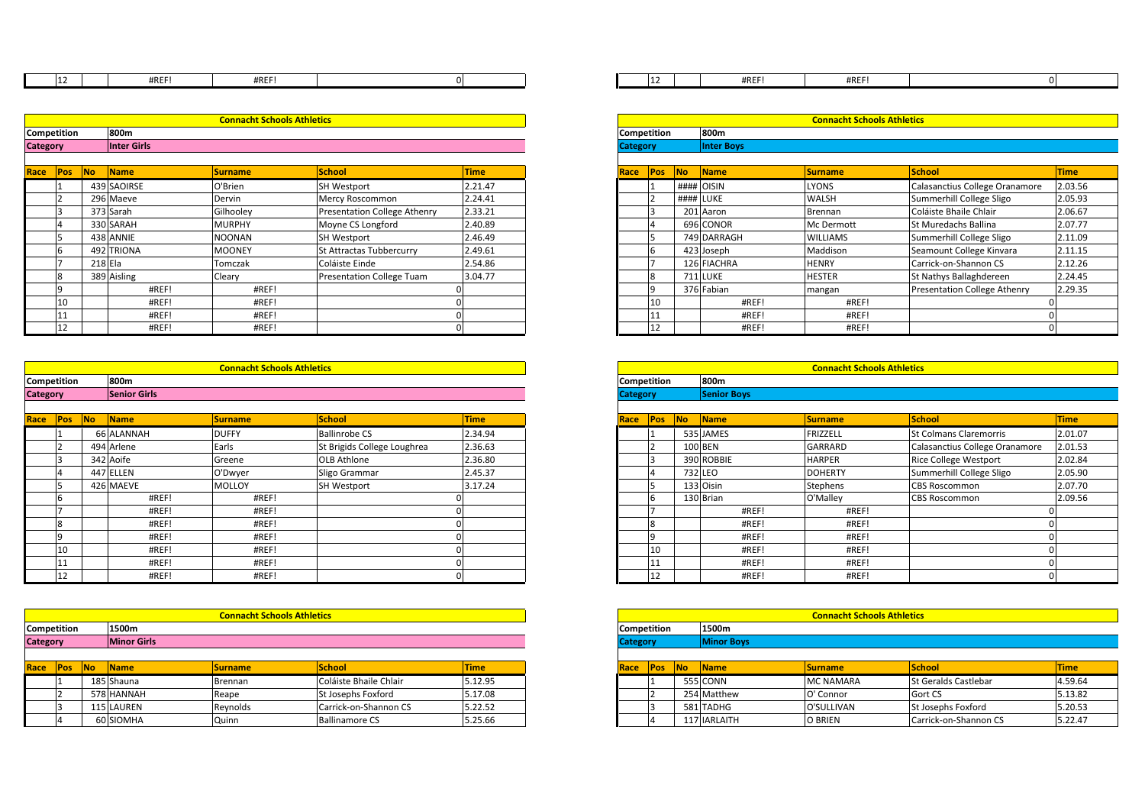| ᅶᄼ |                                   |  | #REF! | #REF! |  |                                   |  |
|----|-----------------------------------|--|-------|-------|--|-----------------------------------|--|
|    |                                   |  |       |       |  |                                   |  |
|    |                                   |  |       |       |  |                                   |  |
|    | <b>Connacht Schools Athletics</b> |  |       |       |  | <b>Connacht Schools Athletics</b> |  |

|      | 12                  |           | #REF!              | #REF!                             |                                     | $\Omega$    |  |  |
|------|---------------------|-----------|--------------------|-----------------------------------|-------------------------------------|-------------|--|--|
|      |                     |           |                    |                                   |                                     |             |  |  |
|      |                     |           |                    | <b>Connacht Schools Athletics</b> |                                     |             |  |  |
|      | 800m<br>Competition |           |                    |                                   |                                     |             |  |  |
|      | Category            |           | <b>Inter Girls</b> |                                   |                                     |             |  |  |
|      |                     |           |                    |                                   |                                     |             |  |  |
| Race | Pos                 | <b>No</b> | <b>Name</b>        | <b>Surname</b>                    | <b>School</b>                       | <b>Time</b> |  |  |
|      |                     |           | 439 SAOIRSE        | O'Brien                           | <b>SH Westport</b>                  | 2.21.47     |  |  |
|      |                     |           | 296 Maeve          | Dervin                            | Mercy Roscommon                     | 2.24.41     |  |  |
|      |                     |           | 373 Sarah          | Gilhooley                         | <b>Presentation College Athenry</b> | 2.33.21     |  |  |
|      | 4                   |           | 330 SARAH          | <b>MURPHY</b>                     | Moyne CS Longford                   | 2.40.89     |  |  |
|      |                     |           | 438 ANNIE          | <b>NOONAN</b>                     | <b>SH Westport</b>                  | 2.46.49     |  |  |
|      | b                   |           | 492 TRIONA         | <b>MOONEY</b>                     | St Attractas Tubbercurry            | 2.49.61     |  |  |
|      |                     | 218 Fla   |                    | Tomezak                           | Coláiste Finde                      | 25486       |  |  |

| 800m<br>Competition |                                   |         | <b>Competition</b> |         | 800m                             |         |  |      |             |                                   |                  |
|---------------------|-----------------------------------|---------|--------------------|---------|----------------------------------|---------|--|------|-------------|-----------------------------------|------------------|
|                     | <b>Connacht Schools Athletics</b> |         |                    |         |                                  |         |  |      |             | <b>Connacht Schools Athletics</b> |                  |
|                     |                                   |         |                    |         |                                  |         |  |      |             |                                   |                  |
|                     | ᅶ                                 |         | #REF!              | #REF!   |                                  |         |  | 12   | #REF!       | #REF!                             |                  |
|                     | <b>ILL</b>                        |         | #REF!              | #REF!   |                                  |         |  | L 1. | #REF!       | #REF!                             |                  |
|                     | 10                                |         | #REF!              | #REF!   |                                  |         |  | 10   | #REF!       | #REF!                             |                  |
|                     |                                   |         | #REF!              | #REF!   |                                  |         |  |      | 376 Fabian  | mangan                            | Presentati       |
|                     |                                   |         | 389 Aisling        | Cleary  | <b>Presentation College Tuam</b> | 3.04.77 |  |      | 711 LUKE    | <b>HESTER</b>                     | <b>St Nathys</b> |
|                     |                                   | 218 Ela |                    | Tomczak | Coláiste Einde                   | 2.54.86 |  |      | 126 FIACHRA | <b>HENRY</b>                      | Carrick-on       |
|                     |                                   |         |                    |         |                                  |         |  |      |             |                                   |                  |

| <b>Category</b> | <b>Senior Girls</b> |       |    |  | <b>Category</b> | Senior Boys |
|-----------------|---------------------|-------|----|--|-----------------|-------------|
| Competition     | 800m                |       |    |  | Competition     | 800m        |
|                 |                     |       |    |  |                 |             |
|                 |                     |       |    |  |                 |             |
| 12              | #REF!               | #REF! | DΙ |  | ᅶ               | #REF!       |
| 11              | #REF!               | #REF! | ΟI |  | 11              | #REF!       |

| Race | <b>Pos</b> | <b>No</b> | Name       | <b>Surname</b> | <b>School</b>               | <b>Time</b> |
|------|------------|-----------|------------|----------------|-----------------------------|-------------|
|      |            |           | 66 ALANNAH | <b>DUFFY</b>   | <b>Ballinrobe CS</b>        | 2.34.94     |
|      |            |           | 494 Arlene | Earls          | St Brigids College Loughrea | 2.36.63     |
|      |            |           | 342 Aoife  | Greene         | OLB Athlone                 | 2.36.80     |
|      |            |           | 447 ELLEN  | O'Dwyer        | Sligo Grammar               | 2.45.37     |
|      |            |           | 426 MAEVE  | <b>MOLLOY</b>  | <b>SH Westport</b>          | 3.17.24     |
|      |            |           | #REF!      | #REF!          |                             |             |
|      |            |           | #REF!      | #REF!          |                             |             |
|      |            |           | #REF!      | #REF!          |                             |             |
|      |            |           | #REF!      | #REF!          |                             |             |
| 10   |            |           | #REF!      | #REF!          |                             |             |
|      |            |           | #REF!      | #REF!          |                             |             |
| 12   |            |           | #REF!      | #REF!          |                             |             |

|                 |                    |  | #REF!       | #REF!                             |                        | O.          |                 | 111        |           | #R                |
|-----------------|--------------------|--|-------------|-----------------------------------|------------------------|-------------|-----------------|------------|-----------|-------------------|
| 12              |                    |  | #REF!       | #REF!                             |                        |             |                 | 12         |           | #R                |
|                 |                    |  |             |                                   |                        |             |                 |            |           |                   |
|                 |                    |  |             | <b>Connacht Schools Athletics</b> |                        |             |                 |            |           |                   |
| Competition     |                    |  | 1500m       |                                   | Competition            |             |                 | 1500m      |           |                   |
| <b>Category</b> | <b>Minor Girls</b> |  |             |                                   |                        |             | <b>Category</b> |            |           | <b>Minor Boys</b> |
|                 |                    |  |             |                                   |                        |             |                 |            |           |                   |
| Race            | Pos<br><b>No</b>   |  | <b>Name</b> | <b>Surname</b>                    | <b>School</b>          | <b>Time</b> | Race            | <b>Pos</b> | <b>No</b> | <b>Name</b>       |
|                 |                    |  | 185 Shauna  | Brennan                           | Coláiste Bhaile Chlair | 5.12.95     |                 |            |           | <b>555 CONN</b>   |
|                 |                    |  | 578 HANNAH  | Reape                             | St Josephs Foxford     | 5.17.08     |                 |            |           | 254 Matthew       |
|                 |                    |  | 115 LAUREN  | Reynolds                          | Carrick-on-Shannon CS  | 5.22.52     |                 |            |           | 581 TADHG         |
|                 |                    |  | 60 SIOMHA   | Quinn                             | <b>Ballinamore CS</b>  | 5.25.66     |                 |            |           | 117 IARLAITH      |

| #REF! | #REF! |  |  | #REF! | #REF! |  |
|-------|-------|--|--|-------|-------|--|

|        |                    | <b>Connacht Schools Athletics</b> |                                     |             |  |
|--------|--------------------|-----------------------------------|-------------------------------------|-------------|--|
| ition: | 800m               |                                   |                                     |             |  |
|        | <b>Inter Girls</b> |                                   |                                     |             |  |
| Pos    |                    |                                   |                                     |             |  |
|        | <b>No</b><br>Name  | <b>Surname</b>                    | School                              | <b>Time</b> |  |
|        | 439 SAOIRSE        | O'Brien                           | <b>SH Westport</b>                  | 2.21.47     |  |
|        | 296 Maeve          | Dervin                            | Mercy Roscommon                     | 2.24.41     |  |
|        | 373 Sarah          | Gilhooley                         | <b>Presentation College Athenry</b> | 2.33.21     |  |
|        | 330 SARAH          | <b>MURPHY</b>                     | Moyne CS Longford                   | 2.40.89     |  |
|        | 438 ANNIE          | <b>NOONAN</b>                     | <b>SH Westport</b>                  | 2.46.49     |  |
|        | 492 TRIONA         | <b>MOONEY</b>                     | St Attractas Tubbercurry            | 2.49.61     |  |
|        | 218 Ela            | Tomczak                           | Coláiste Einde                      | 2.54.86     |  |
|        | 389 Aisling        | Cleary                            | <b>Presentation College Tuam</b>    | 3.04.77     |  |
|        | #REF!              | #REF!                             |                                     |             |  |
|        | #REF!              | #REF!                             |                                     |             |  |
|        | #REF!              | #REF!                             |                                     |             |  |
|        | #REF!              | #REF!                             |                                     |             |  |

|        |           |                     | <b>Connacht Schools Athletics</b> |                             |             |
|--------|-----------|---------------------|-----------------------------------|-----------------------------|-------------|
| ition: |           | 800m                |                                   |                             |             |
|        |           | <b>Senior Girls</b> |                                   |                             |             |
|        |           |                     |                                   |                             |             |
| Pos    | <b>No</b> | Name                | <b>Surname</b>                    | School                      | <b>Time</b> |
|        |           | 66 ALANNAH          | <b>DUFFY</b>                      | <b>Ballinrobe CS</b>        | 2.34.94     |
|        |           | 494 Arlene          | Earls                             | St Brigids College Loughrea | 2.36.63     |
|        |           | 342 Aoife           | Greene                            | OLB Athlone                 | 2.36.80     |
|        |           | 447 ELLEN           | O'Dwyer                           | Sligo Grammar               | 2.45.37     |
|        |           | 426 MAEVE           | <b>MOLLOY</b>                     | <b>SH Westport</b>          | 3.17.24     |
|        |           | #REF!               | #REF!                             |                             |             |
|        |           | #REF!               | #REF!                             |                             |             |
|        |           | #REF!               | #REF!                             |                             |             |
|        |           | #REF!               | #REF!                             |                             |             |
|        |           | #REF!               | #REF!                             |                             |             |
|        |           | #REF!               | #REF!                             |                             |             |
|        |           | #REF!               | #REF!                             |                             |             |

|                    | <b>Connacht Schools Athletics</b> |                |                        |             |  |  |  |  |  |  |  |
|--------------------|-----------------------------------|----------------|------------------------|-------------|--|--|--|--|--|--|--|
| ition:             | 1500m                             |                |                        |             |  |  |  |  |  |  |  |
|                    | <b>Minor Girls</b>                |                |                        |             |  |  |  |  |  |  |  |
|                    |                                   |                |                        |             |  |  |  |  |  |  |  |
| <b>No</b><br>Pos 7 | <b>Name</b>                       | <b>Surname</b> | School                 | <b>Time</b> |  |  |  |  |  |  |  |
|                    | 185 Shauna                        | Brennan        | Coláiste Bhaile Chlair | 5.12.95     |  |  |  |  |  |  |  |
|                    | 578 HANNAH                        | Reape          | St Josephs Foxford     | 5.17.08     |  |  |  |  |  |  |  |
|                    | 115 LAUREN                        | Reynolds       | Carrick-on-Shannon CS  | 5.22.52     |  |  |  |  |  |  |  |
|                    | 60 SIOMHA                         | Quinn          | <b>Ballinamore CS</b>  | 5.25.66     |  |  |  |  |  |  |  |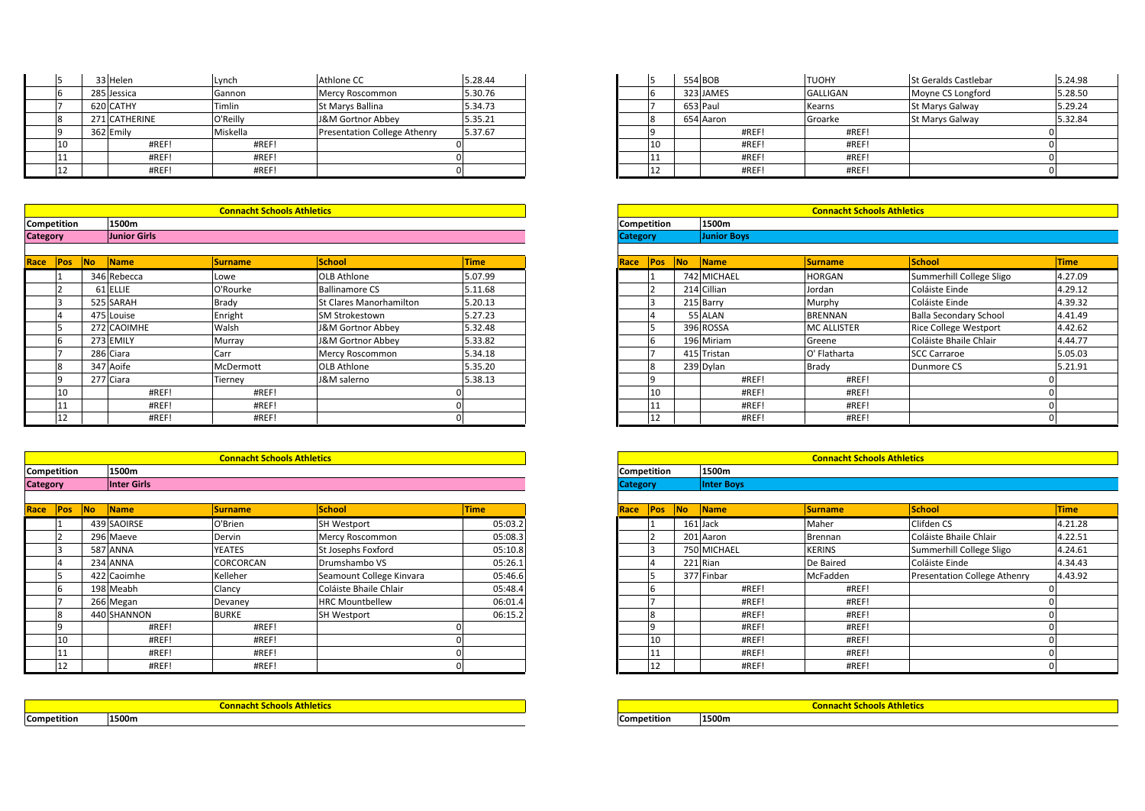|                             |    |  | 33 Helen      | Lynch                             | Athlone CC                          | 5.28.44 |       |     | 554 BOB  |                                   | <b>TUOHY</b>    | <b>St Geralds</b> |
|-----------------------------|----|--|---------------|-----------------------------------|-------------------------------------|---------|-------|-----|----------|-----------------------------------|-----------------|-------------------|
|                             |    |  | 285 Jessica   | Gannon                            | Mercy Roscommon                     | 5.30.76 |       |     |          | 323 JAMES                         | <b>GALLIGAN</b> | Moyne CS          |
|                             |    |  | 620 CATHY     | Timlin                            | St Marys Ballina                    | 5.34.73 |       |     | 653 Paul |                                   | Kearns          | St Marys 0        |
|                             |    |  | 271 CATHERINE | O'Reilly                          | J&M Gortnor Abbey                   | 5.35.21 |       |     |          | 654 Aaron                         | Groarke         | St Marys 0        |
|                             |    |  | 362 Emily     | Miskella                          | <b>Presentation College Athenry</b> | 5.37.67 |       |     |          | #REF!                             | #REF!           |                   |
|                             | 10 |  | #REF!         | #REF!                             |                                     |         |       | 10. |          | #REF!                             | #REF!           |                   |
|                             | 11 |  | #REF!         | #REF!                             |                                     |         |       |     |          | #REF!                             | #REF!           |                   |
|                             | 12 |  | #REF!         | #REF!                             |                                     |         |       |     |          | #REF!                             | #REF!           |                   |
|                             |    |  |               |                                   |                                     |         |       |     |          |                                   |                 |                   |
|                             |    |  |               | <b>Connacht Schools Athletics</b> |                                     |         |       |     |          | <b>Connacht Schools Athletics</b> |                 |                   |
| <b>Competition</b><br>1500m |    |  |               | <b>Competition</b>                |                                     |         | 1500m |     |          |                                   |                 |                   |

| <b>Category</b>                | <b>Junior Girls</b> |                                   |  | <b>Category</b>    | <b>Junior Boys</b> |
|--------------------------------|---------------------|-----------------------------------|--|--------------------|--------------------|
| <b>Competition</b>             | 1500m               |                                   |  | <b>Competition</b> | 1500m              |
|                                |                     | <b>Connacht Schools Athletics</b> |  |                    |                    |
|                                |                     |                                   |  |                    |                    |
| $\overline{\phantom{0}}$<br>∸∸ | #REF!               | #REF!                             |  | 12                 | #REF!              |
| ᅶ                              | #REF!               | #REF!                             |  | 11                 | #REF!              |

| Race Pos           | <b>No</b> | <b>Name</b> | <b>Surname</b>                    | <b>School</b>           | <b>Time</b> |
|--------------------|-----------|-------------|-----------------------------------|-------------------------|-------------|
|                    |           | 346 Rebecca | Lowe                              | <b>OLB Athlone</b>      | 5.07.99     |
|                    |           | 61 ELLIE    | O'Rourke                          | <b>Ballinamore CS</b>   | 5.11.68     |
|                    |           | 525 SARAH   | Brady                             | St Clares Manorhamilton | 5.20.13     |
| $\overline{4}$     |           | 475 Louise  | Enright                           | <b>SM Strokestown</b>   | 5.27.23     |
|                    |           | 272 CAOIMHE | Walsh                             | J&M Gortnor Abbey       | 5.32.48     |
| 16                 |           | 273 EMILY   | Murray                            | J&M Gortnor Abbey       | 5.33.82     |
|                    |           | 286 Ciara   | Carr                              | Mercy Roscommon         | 5.34.18     |
| 18                 |           | 347 Aoife   | McDermott                         | <b>OLB Athlone</b>      | 5.35.20     |
| 9                  |           | 277 Ciara   | Tierney                           | J&M salerno             | 5.38.13     |
| 10                 |           | #REF!       | #REF!                             |                         |             |
| 11                 |           | #REF!       | #REF!                             |                         |             |
| 12                 |           | #REF!       | #REF!                             |                         |             |
|                    |           |             |                                   |                         |             |
|                    |           |             | <b>Connacht Schools Athletics</b> |                         |             |
| <b>Competition</b> |           | 1500m       |                                   |                         |             |

| Race Pos No     |    | <b>Name</b>        | <b>Surname</b>                    | <b>School</b> | <b>Time</b> | Race Pos No     |     | <b>Name</b>       | <b>Surname</b>                    | <b>School</b> | <b>Time</b> |
|-----------------|----|--------------------|-----------------------------------|---------------|-------------|-----------------|-----|-------------------|-----------------------------------|---------------|-------------|
|                 |    |                    |                                   |               |             |                 |     |                   |                                   |               |             |
| <b>Category</b> |    | <b>Inter Girls</b> |                                   |               |             | <b>Category</b> |     | <b>Inter Boys</b> |                                   |               |             |
| Competition     |    | 1500m              |                                   |               |             | Competition     |     | 1500m             |                                   |               |             |
|                 |    |                    | <b>Connacht Schools Athletics</b> |               |             |                 |     |                   | <b>Connacht Schools Athletics</b> |               |             |
|                 |    |                    |                                   |               |             |                 |     |                   |                                   |               |             |
|                 | ᅩ  | #REF!              | #REF!                             |               |             |                 | 112 | #REF!             | #REF!                             |               |             |
|                 | ⊥⊥ | #REF!              | #REF!                             |               |             |                 | 11  | #REF!             | #REF!                             |               |             |

| Race Pos           |                | <b>No</b> | <b>Name</b> | <b>Surname</b>                    | <b>School</b>            | <b>Time</b> | Race               | <b>Pos</b>     | <b>INo</b> | <b>Name</b> | <b>Surname</b>                    | School      |
|--------------------|----------------|-----------|-------------|-----------------------------------|--------------------------|-------------|--------------------|----------------|------------|-------------|-----------------------------------|-------------|
|                    |                |           | 439 SAOIRSE | O'Brien                           | <b>SH Westport</b>       | 05:03.2     |                    |                |            | 161 Jack    | Maher                             | Clifden CS  |
|                    |                |           | 296 Maeve   | Dervin                            | Mercy Roscommon          | 05:08.3     |                    |                |            | 201 Aaron   | Brennan                           | Coláiste B  |
|                    |                |           | 587 ANNA    | <b>YEATES</b>                     | St Josephs Foxford       | 05:10.8     |                    | 3              |            | 750 MICHAEL | <b>KERINS</b>                     | Summerhi    |
|                    | $\overline{4}$ |           | 234 ANNA    | CORCORCAN                         | Drumshambo VS            | 05:26.1     |                    | $\overline{4}$ |            | 221 Rian    | De Baired                         | Coláiste Ei |
|                    |                |           | 422 Caoimhe | Kelleher                          | Seamount College Kinvara | 05:46.6     |                    |                |            | 377 Finbar  | McFadden                          | Presentati  |
|                    | 16             |           | 198 Meabh   | Clancy                            | Coláiste Bhaile Chlair   | 05:48.4     |                    |                |            | #REF!       | #REF!                             |             |
|                    |                |           | 266 Megan   | Devaney                           | <b>HRC Mountbellew</b>   | 06:01.4     |                    |                |            | #REF!       | #REF!                             |             |
|                    | 8              |           | 440 SHANNON | <b>BURKE</b>                      | <b>SH Westport</b>       | 06:15.2     |                    | 8              |            | #REF!       | #REF!                             |             |
|                    | ۱q             |           | #REF!       | #REF!                             |                          |             |                    | ١q             |            | #REF!       | #REF!                             |             |
|                    | 10             |           | #REF!       | #REF!                             |                          |             |                    | 10             |            | #REF!       | #REF!                             |             |
|                    | -11            |           | #REF!       | #REF!                             |                          |             |                    |                |            | #REF!       | #REF!                             |             |
|                    | 12             |           | #REF!       | #REF!                             |                          |             |                    | 12             |            | #REF!       | #REF!                             |             |
|                    |                |           |             |                                   |                          |             |                    |                |            |             |                                   |             |
|                    |                |           |             | <b>Connacht Schools Athletics</b> |                          |             |                    |                |            |             | <b>Connacht Schools Athletics</b> |             |
| <b>Competition</b> |                |           | 1500m       |                                   |                          |             | <b>Competition</b> |                |            | 1500m       |                                   |             |

|             | Connacht Schools Athletics |
|-------------|----------------------------|
| Competition | 1500m                      |

| 33 Helen      | Lynch    | Athlone CC                   | 5.28.44 |
|---------------|----------|------------------------------|---------|
| 285 Jessica   | Gannon   | Mercy Roscommon              | 5.30.76 |
| 620 CATHY     | Timlin   | St Marys Ballina             | 5.34.73 |
| 271 CATHERINE | O'Reilly | J&M Gortnor Abbey            | 5.35.21 |
| 362 Emily     | Miskella | Presentation College Athenry | 5.37.67 |
| #REF!         | #REF!    |                              |         |
| #REF!         | #REF!    |                              |         |
| #REF!         | #REF!    |                              |         |

|        |                     | <b>Connacht Schools Athletics</b> |                    |             |
|--------|---------------------|-----------------------------------|--------------------|-------------|
| ition: | 1500m               |                                   |                    |             |
|        | <b>Junior Girls</b> |                                   |                    |             |
|        |                     |                                   |                    |             |
| Pos 7  | No Name             | <b>Surname</b>                    | School             | <b>Time</b> |
|        | 346 Rebecca         | Lowe                              | <b>OLB Athlone</b> | 5.07.99     |
|        | 61 ELLIE            | O'Rourke                          | Ballinamore CS     | 5.11.68     |

| 1500m        |                |                              |             | Competition     |             |     | 1500m              |                    |                               |             |  |  |  |  |
|--------------|----------------|------------------------------|-------------|-----------------|-------------|-----|--------------------|--------------------|-------------------------------|-------------|--|--|--|--|
| Junior Girls |                |                              |             | <b>Category</b> |             |     | <b>Junior Boys</b> |                    |                               |             |  |  |  |  |
|              |                |                              |             |                 |             |     |                    |                    |                               |             |  |  |  |  |
| <b>Name</b>  | <b>Surname</b> | <b>School</b>                | <b>Time</b> | Race            | <b>IPos</b> | No. | <b>Name</b>        | <b>Surname</b>     | <b>School</b>                 | <b>Time</b> |  |  |  |  |
| 346 Rebecca  | Lowe           | <b>OLB Athlone</b>           | 5.07.99     |                 |             |     | 742 MICHAEL        | <b>HORGAN</b>      | Summerhill College Sligo      | 4.27.09     |  |  |  |  |
| 61 ELLIE     | O'Rourke       | <b>Ballinamore CS</b>        | 5.11.68     |                 |             |     | 214 Cillian        | Jordan             | Coláiste Einde                | 4.29.12     |  |  |  |  |
| 525 SARAH    | Brady          | St Clares Manorhamilton      | 5.20.13     |                 |             |     | 215 Barry          | Murphy             | Coláiste Einde                | 4.39.32     |  |  |  |  |
| 475 Louise   | Enright        | <b>SM Strokestown</b>        | 5.27.23     |                 |             |     | 55 ALAN            | <b>BRENNAN</b>     | <b>Balla Secondary School</b> | 4.41.49     |  |  |  |  |
| 272 CAOIMHE  | Walsh          | <b>J&amp;M Gortnor Abbey</b> | 5.32.48     |                 |             |     | 396 ROSSA          | <b>MC ALLISTER</b> | <b>Rice College Westport</b>  | 4.42.62     |  |  |  |  |
| 273 EMILY    | Murray         | J&M Gortnor Abbey            | 5.33.82     |                 |             |     | 196 Miriam         | Greene             | Coláiste Bhaile Chlair        | 4.44.77     |  |  |  |  |
| 286 Ciara    | Carr           | Mercy Roscommon              | 5.34.18     |                 |             |     | 415 Tristan        | O' Flatharta       | <b>SCC Carraroe</b>           | 5.05.03     |  |  |  |  |
| 347 Aoife    | McDermott      | OLB Athlone                  | 5.35.20     |                 |             |     | 239 Dylan          | <b>Brady</b>       | Dunmore CS                    | 5.21.91     |  |  |  |  |
| 277 Ciara    | Tierney        | J&M salerno                  | 5.38.13     |                 |             |     | #REF!              | #REF!              |                               |             |  |  |  |  |
| #REF!        | #REF!          |                              |             |                 |             |     | #REF!              | #REF!              |                               |             |  |  |  |  |
| #REF!        | #REF!          |                              |             |                 |             |     | #REF!              | #REF!              |                               |             |  |  |  |  |
| #REF!        | #REF!          |                              |             |                 |             |     | #REF!              | #REF!              |                               |             |  |  |  |  |

|                                                  | <b>Connacht Schools Athletics</b> |      |            |                    |             |                |              | <b>Connacht Schools Athletics</b> |            |         |
|--------------------------------------------------|-----------------------------------|------|------------|--------------------|-------------|----------------|--------------|-----------------------------------|------------|---------|
| 1500m                                            |                                   |      |            | <b>Competition</b> |             |                | 1500m        |                                   |            |         |
| Inter Girls                                      |                                   |      |            | <b>Category</b>    |             |                | Inter Bovs   |                                   |            |         |
|                                                  |                                   |      |            |                    |             |                |              |                                   |            |         |
| Name                                             |                                   | Race | <b>Pos</b> | <b>INo</b>         | <b>Name</b> | <b>Surname</b> | <b>Schoo</b> |                                   |            |         |
| 439 SAOIRSE<br>05:03.2<br>O'Brien<br>SH Westport |                                   |      |            |                    |             | 161 Jack       |              | Maher                             | Clifden CS | 4.21.28 |

|                 | <b>Connacht Schools Athletics</b> |                          |             |                 | <b>Connacht Schools Athletics</b> |           |             |                |                              |             |  |  |  |  |  |
|-----------------|-----------------------------------|--------------------------|-------------|-----------------|-----------------------------------|-----------|-------------|----------------|------------------------------|-------------|--|--|--|--|--|
| 1500m           |                                   |                          |             |                 | Competition                       |           | 1500m       |                |                              |             |  |  |  |  |  |
| Inter Girls     |                                   |                          |             | <b>Category</b> |                                   |           | Inter Boys  |                |                              |             |  |  |  |  |  |
| Name            | <b>Surname</b>                    | <b>School</b>            | <b>Time</b> | Race            | <b>Pos</b>                        | <b>No</b> | Name        | <b>Surname</b> | <b>School</b>                | <b>Time</b> |  |  |  |  |  |
| 439 SAOIRSE     | O'Brien                           | <b>SH Westport</b>       | 05:03.2     |                 |                                   |           | 161 Jack    | Maher          | Clifden CS                   | 4.21.28     |  |  |  |  |  |
| 296 Maeve       | Dervin                            | Mercy Roscommon          | 05:08.3     |                 |                                   |           | 201 Aaron   | Brennan        | Coláiste Bhaile Chlair       | 4.22.51     |  |  |  |  |  |
| <b>587 ANNA</b> | <b>YEATES</b>                     | St Josephs Foxford       | 05:10.8     |                 |                                   |           | 750 MICHAEL | <b>KERINS</b>  | Summerhill College Sligo     | 4.24.61     |  |  |  |  |  |
| 234 ANNA        | CORCORCAN                         | Drumshambo VS            | 05:26.1     |                 |                                   |           | 221 Rian    | De Baired      | Coláiste Einde               | 4.34.43     |  |  |  |  |  |
| 422 Caoimhe     | Kelleher                          | Seamount College Kinvara | 05:46.6     |                 |                                   |           | 377 Finbar  | McFadden       | Presentation College Athenry | 4.43.92     |  |  |  |  |  |
| 198 Meabh       | Clancy                            | Coláiste Bhaile Chlair   | 05:48.4     |                 |                                   |           | #REF!       | #REF!          |                              |             |  |  |  |  |  |
| 266 Megan       | Devanev                           | <b>HRC Mountbellew</b>   | 06:01.4     |                 |                                   |           | #REF!       | #REF!          |                              |             |  |  |  |  |  |
| 440 SHANNON     | <b>BURKE</b>                      | <b>SH Westport</b>       | 06:15.2     |                 |                                   |           | #REF!       | #REF!          |                              |             |  |  |  |  |  |
| #REF!           | #REF!                             |                          |             |                 |                                   |           | #REF!       | #REF!          |                              |             |  |  |  |  |  |
| #REF!           | #REF!                             |                          |             |                 |                                   |           | #REF!       | #REF!          |                              |             |  |  |  |  |  |
| #REF!           | #REF!                             |                          |             |                 |                                   |           | #REF!       | #REF!          |                              |             |  |  |  |  |  |
| #REF!           | #REF!                             |                          |             |                 | ŦΣ                                |           | #REF!       | #REF!          |                              |             |  |  |  |  |  |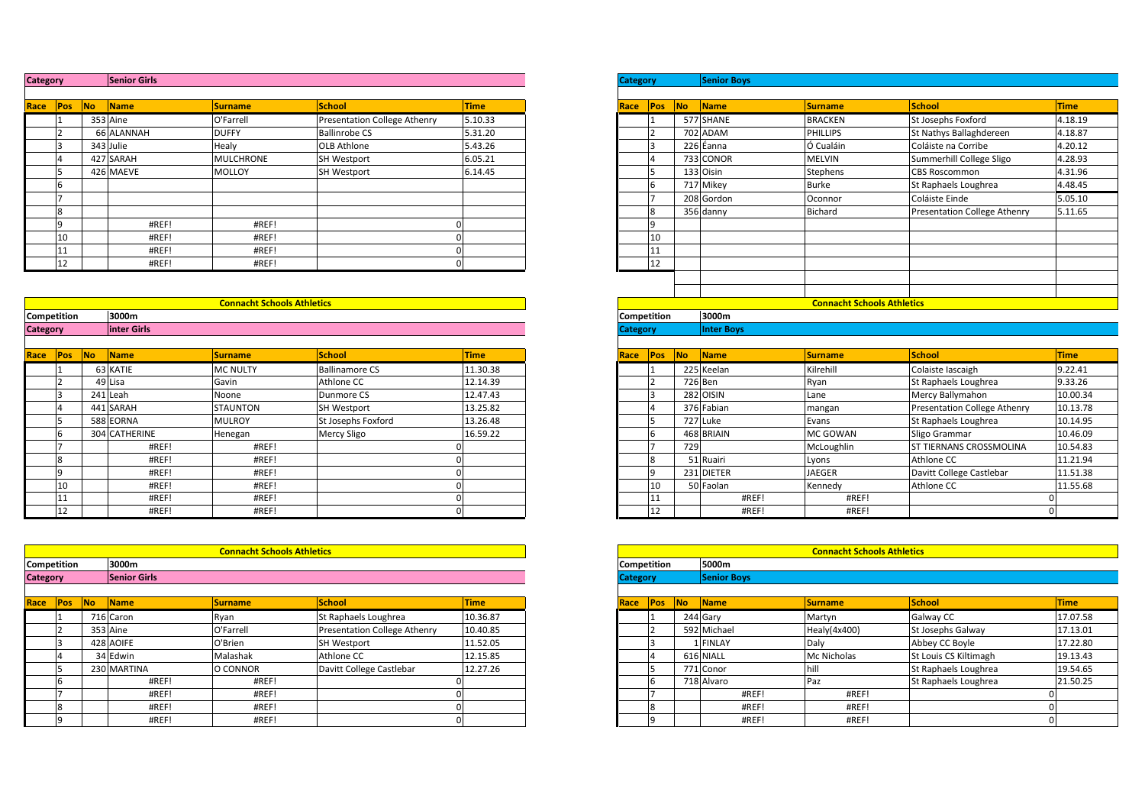| <b>Category</b> |    | <b>Senior Girls</b> |                  |                                     |             |
|-----------------|----|---------------------|------------------|-------------------------------------|-------------|
|                 |    |                     |                  |                                     |             |
| Pos<br>Race     | No | Name                | <b>Surname</b>   | <b>School</b>                       | <b>Time</b> |
|                 |    | 353 Aine            | O'Farrell        | <b>Presentation College Athenry</b> | 5.10.33     |
|                 |    | 66 ALANNAH          | <b>DUFFY</b>     | <b>Ballinrobe CS</b>                | 5.31.20     |
| 3               |    | 343 Julie           | Healy            | OLB Athlone                         | 5.43.26     |
| 4               |    | 427 SARAH           | <b>MULCHRONE</b> | <b>SH Westport</b>                  | 6.05.21     |
|                 |    | 426 MAEVE           | <b>MOLLOY</b>    | SH Westport                         | 6.14.45     |
| 6               |    |                     |                  |                                     |             |
|                 |    |                     |                  |                                     |             |
| 8               |    |                     |                  |                                     |             |
| 9               |    | #REF!               | #REF!            |                                     | $\Omega$    |
| 10              |    | #REF!               | #REF!            |                                     | O           |
| 11              |    | #REF!               | #REF!            |                                     | $\Omega$    |
| 12              |    | #REF!               | #REF!            |                                     | $\mathbf 0$ |

|                    | 11       |     | #REF!         | #REF!                             |                       | ΩI          |                    | 11           |     |                   |                                   |                                     |             |
|--------------------|----------|-----|---------------|-----------------------------------|-----------------------|-------------|--------------------|--------------|-----|-------------------|-----------------------------------|-------------------------------------|-------------|
|                    | 12       |     | #REF!         | #REF!                             |                       |             |                    | 12           |     |                   |                                   |                                     |             |
|                    |          |     |               |                                   |                       |             |                    |              |     |                   |                                   |                                     |             |
|                    |          |     |               |                                   |                       |             |                    |              |     |                   |                                   |                                     |             |
|                    |          |     |               | <b>Connacht Schools Athletics</b> |                       |             |                    |              |     |                   | <b>Connacht Schools Athletics</b> |                                     |             |
| Competition        |          |     | 3000m         |                                   |                       |             | Competition        |              |     | 3000m             |                                   |                                     |             |
| <b>Category</b>    |          |     | inter Girls   |                                   |                       |             | <b>Category</b>    |              |     | <b>Inter Boys</b> |                                   |                                     |             |
|                    |          |     |               |                                   |                       |             |                    |              |     |                   |                                   |                                     |             |
| Race Pos           |          | No. | Name          | <b>Surname</b>                    | School                | <b>Time</b> | Race               | Pos          | No  | Name              | <b>Surname</b>                    | School                              | <b>Time</b> |
|                    |          |     | 63 KATIE      | <b>MC NULTY</b>                   | <b>Ballinamore CS</b> | 11.30.38    |                    |              |     | 225 Keelan        | Kilrehill                         | Colaiste Iascaigh                   | 9.22.41     |
|                    |          |     | 49 Lisa       | Gavin                             | Athlone CC            | 12.14.39    |                    |              |     | 726 Ben           | Ryan                              | St Raphaels Loughrea                | 9.33.26     |
|                    |          |     | 241 Leah      | Noone                             | Dunmore CS            | 12.47.43    |                    |              |     | 282 OISIN         | Lane                              | Mercy Ballymahon                    | 10.00.34    |
|                    |          |     | 441 SARAH     | <b>STAUNTON</b>                   | <b>SH Westport</b>    | 13.25.82    |                    |              |     | 376 Fabian        | mangan                            | <b>Presentation College Athenry</b> | 10.13.78    |
|                    |          |     | 588 EORNA     | <b>MULROY</b>                     | St Josephs Foxford    | 13.26.48    |                    |              |     | 727 Luke          | Evans                             | St Raphaels Loughrea                | 10.14.95    |
|                    |          |     | 304 CATHERINE | Henegan                           | <b>Mercy Sligo</b>    | 16.59.22    |                    |              |     | 468 BRIAIN        | MC GOWAN                          | Sligo Grammar                       | 10.46.09    |
|                    |          |     | #REF!         | #REF!                             |                       |             |                    |              | 729 |                   | McLoughlin                        | ST TIERNANS CROSSMOLINA             | 10.54.83    |
|                    |          |     | #REF!         | #REF!                             |                       |             |                    |              |     | 51 Ruairi         | Lyons                             | Athlone CC                          | 11.21.94    |
|                    | $\Omega$ |     | #REF!         | #REF!                             |                       |             |                    | $\mathbf{q}$ |     | 231 DIETER        | <b>JAEGER</b>                     | Davitt College Castlebar            | 11.51.38    |
|                    | 10       |     | #REF!         | #REF!                             |                       |             |                    | 10           |     | 50 Faolan         | Kennedy                           | Athlone CC                          | 11.55.68    |
|                    |          |     | #REF!         | #REF!                             |                       |             |                    | 11           |     | #REF!             | #REF!                             |                                     |             |
|                    | 12       |     | #REF!         | #REF!                             |                       |             |                    | 12           |     | #REF!             | #REF!                             |                                     |             |
|                    |          |     |               |                                   |                       |             |                    |              |     |                   |                                   |                                     |             |
|                    |          |     |               |                                   |                       |             |                    |              |     |                   |                                   |                                     |             |
|                    |          |     |               | <b>Connacht Schools Athletics</b> |                       |             |                    |              |     |                   | <b>Connacht Schools Athletics</b> |                                     |             |
| <b>Competition</b> |          |     | 3000m         |                                   |                       |             | <b>Competition</b> |              |     | 5000m             |                                   |                                     |             |

| <b>Category</b>    | <b>Senior Girls</b> |                                   |    |  | <b>Category</b>    | Senior Boys |
|--------------------|---------------------|-----------------------------------|----|--|--------------------|-------------|
| <b>Competition</b> | 3000m               |                                   |    |  | <b>Competition</b> | 5000m       |
|                    |                     | <b>Connacht Schools Athletics</b> |    |  |                    |             |
|                    |                     |                                   |    |  |                    |             |
| 1.<br>ΠL           | #REF!               | #REF!                             |    |  | 12                 | #RI         |
| 11                 | #REF!               | #REF!                             | O. |  | 111                | #RI         |

| Race | <b>IPos</b> | <b>INo</b> | <b>Name</b> | <b>Surname</b> | School                       | <b>Time</b> |
|------|-------------|------------|-------------|----------------|------------------------------|-------------|
|      |             |            | 716 Caron   | Ryan           | St Raphaels Loughrea         | 10.36.87    |
|      |             |            | 353 Aine    | O'Farrell      | Presentation College Athenry | 10.40.85    |
|      |             |            | 428 AOIFE   | O'Brien        | <b>SH Westport</b>           | 11.52.05    |
|      |             |            | 34 Edwin    | Malashak       | Athlone CC                   | 12.15.85    |
|      |             |            | 230 MARTINA | O CONNOR       | Davitt College Castlebar     | 12.27.26    |
|      |             |            | #REF!       | #REF!          |                              |             |
|      |             |            | #REF!       | #REF!          |                              |             |
|      | $\circ$     |            | #REF!       | #REF!          |                              |             |
|      | q           |            | #REF!       | #REF!          |                              |             |

| <b>Category</b> |                | <b>Senior Girls</b> |                                   |                              |             |
|-----------------|----------------|---------------------|-----------------------------------|------------------------------|-------------|
|                 |                |                     |                                   |                              |             |
| Race Pos        | N <sub>o</sub> | Name                | <b>Surname</b>                    | <b>School</b>                | <b>Time</b> |
|                 |                | 353 Aine            | O'Farrell                         | Presentation College Athenry | 5.10.33     |
|                 |                | 66 ALANNAH          | <b>DUFFY</b>                      | <b>Ballinrobe CS</b>         | 5.31.20     |
|                 |                | 343 Julie           | Healy                             | <b>OLB Athlone</b>           | 5.43.26     |
|                 |                | 427 SARAH           | <b>MULCHRONE</b>                  | <b>SH Westport</b>           | 6.05.21     |
| 15              |                | 426 MAEVE           | <b>MOLLOY</b>                     | <b>SH Westport</b>           | 6.14.45     |
| 6               |                |                     |                                   |                              |             |
|                 |                |                     |                                   |                              |             |
| 8               |                |                     |                                   |                              |             |
| l q             |                | #REF!               | #REF!                             |                              |             |
| 10              |                | #REF!               | #REF!                             |                              |             |
| 11              |                | #REF!               | #REF!                             |                              |             |
| 12              |                | #REF!               | #REF!                             |                              |             |
|                 |                |                     |                                   |                              |             |
|                 |                |                     |                                   |                              |             |
|                 |                |                     | <b>Connacht Schools Athletics</b> |                              |             |
| Competition     |                | 3000m               |                                   |                              |             |
| Category        |                | linter Girls        |                                   |                              |             |
|                 |                |                     |                                   |                              |             |
| Race <b>Pos</b> | No             | Name                | Surname                           | School                       | <b>Time</b> |
|                 |                | 63 KATIE            | <b>MC NULTY</b>                   | <b>Ballinamore CS</b>        | 11.30.38    |
|                 |                | 49 Lisa             | Gavin                             | Athlone CC                   | 12.14.39    |
|                 |                | 241 Leah            | Noone                             | <b>Dunmore CS</b>            | 12.47.43    |
|                 |                | 441 SARAH           | <b>STAUNTON</b>                   | <b>SH Westport</b>           | 13.25.82    |
| 15              |                | 588 EORNA           | <b>MULROY</b>                     | St Josephs Foxford           | 13.26.48    |
| - 6             |                | 304 CATHERINE       | Henegan                           | <b>Mercy Sligo</b>           | 16.59.22    |
|                 |                | #REF!               | #REF!                             |                              |             |
| $\mathbf{R}$    |                | #REF!               | #REF!                             |                              |             |
| l q             |                | #REF!               | #REF!                             |                              |             |
| 10              |                | #REF!               | #REF!                             |                              |             |
| 11              |                | #REF!               | #REF!                             |                              |             |

|                  |     |                        | <b>Connacht Schools Athletics</b> |                              |             |
|------------------|-----|------------------------|-----------------------------------|------------------------------|-------------|
| ition:           |     | 3000m                  |                                   |                              |             |
|                  |     | <b>Senior Girls</b>    |                                   |                              |             |
| Pos <sub>b</sub> | No. | $\sqrt{\mathsf{Name}}$ | <b>Surname</b>                    | <b>School</b>                | <b>Time</b> |
|                  |     | 716 Caron              | Ryan                              | St Raphaels Loughrea         | 10.36.87    |
|                  |     | 353 Aine               | O'Farrell                         | Presentation College Athenry | 10.40.85    |
|                  |     | 428 AOIFE              | O'Brien                           | <b>SH Westport</b>           | 11.52.05    |
|                  |     | 34 Edwin               | Malashak                          | Athlone CC                   | 12.15.85    |
|                  |     | 230 MARTINA            | O CONNOR                          | Davitt College Castlebar     | 12.27.26    |
|                  |     | #REF!                  | #REF!                             |                              |             |
|                  |     | #REF!                  | #REF!                             |                              |             |
|                  |     | #REF!                  | #REF!                             |                              |             |
|                  |     | #REF!                  | #REF!                             |                              |             |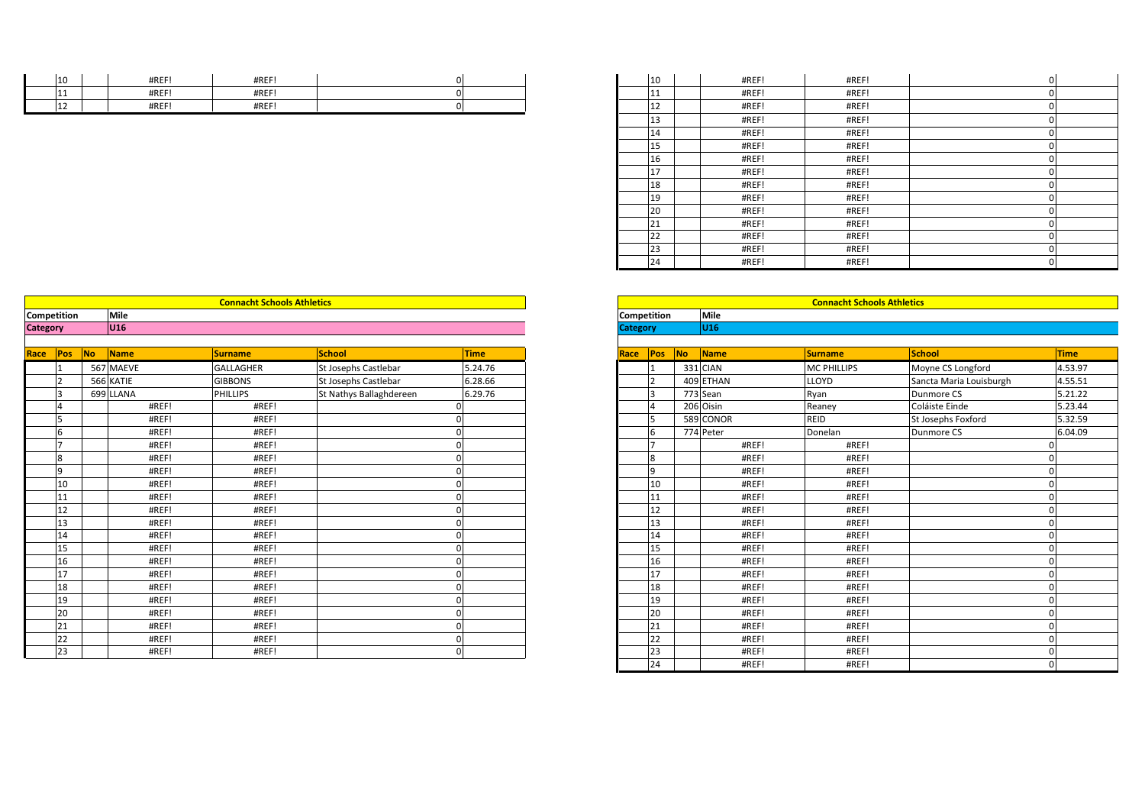| $\sim$<br>LΟ | #REF!                  | <b>HDEE</b><br>11 I V L     |  |
|--------------|------------------------|-----------------------------|--|
| .            | #REF!                  | <b>HDEE</b>                 |  |
| .            | <b>HDEE</b><br>H N L F | <b>HDEE</b><br><b>TIVLI</b> |  |

| 10 | #REF! | #REF!                             | $\mathbf 0$ | 10 | #REF! | #REF!                             | $\Omega$   |  |
|----|-------|-----------------------------------|-------------|----|-------|-----------------------------------|------------|--|
| 11 | #REF! | #REF!                             | $\Omega$    | 11 | #REF! | #REF!                             | $\Omega$   |  |
| 12 | #REF! | #REF!                             | $\Omega$    | 12 | #REF! | #REF!                             |            |  |
|    |       |                                   |             | 13 | #REF! | #REF!                             |            |  |
|    |       |                                   |             | 14 | #REF! | #REF!                             | $\sqrt{ }$ |  |
|    |       |                                   |             | 15 | #REF! | #REF!                             | $\Omega$   |  |
|    |       |                                   |             | 16 | #REF! | #REF!                             | $\Omega$   |  |
|    |       |                                   |             | 17 | #REF! | #REF!                             | $\Omega$   |  |
|    |       |                                   |             | 18 | #REF! | #REF!                             |            |  |
|    |       |                                   |             | 19 | #REF! | #REF!                             |            |  |
|    |       |                                   |             | 20 | #REF! | #REF!                             |            |  |
|    |       |                                   |             | 21 | #REF! | #REF!                             |            |  |
|    |       |                                   |             | 22 | #REF! | #REF!                             |            |  |
|    |       |                                   |             | 23 | #REF! | #REF!                             |            |  |
|    |       |                                   |             | 24 | #REF! | #REF!                             | $\Omega$   |  |
|    |       |                                   |             |    |       |                                   |            |  |
|    |       |                                   |             |    |       |                                   |            |  |
|    |       | <b>Connacht Schools Athletics</b> |             |    |       | <b>Connacht Schools Athletics</b> |            |  |

|                 |                |           |             |                                   |                         |             |      | 22              |           | #RE         |
|-----------------|----------------|-----------|-------------|-----------------------------------|-------------------------|-------------|------|-----------------|-----------|-------------|
|                 |                |           |             |                                   |                         |             |      | 23              |           | #RE         |
|                 |                |           |             |                                   |                         |             |      | 24              |           | #RE         |
|                 |                |           |             |                                   |                         |             |      |                 |           |             |
|                 |                |           |             |                                   |                         |             |      |                 |           |             |
|                 |                |           |             | <b>Connacht Schools Athletics</b> |                         |             |      |                 |           |             |
| Competition     |                |           | Mile        |                                   |                         |             |      | Competition     |           | <b>Mile</b> |
| <b>Category</b> |                |           | <b>U16</b>  |                                   |                         |             |      | <b>Category</b> |           | <b>U16</b>  |
|                 |                |           |             |                                   |                         |             |      |                 |           |             |
| Race            | <b>Pos</b>     | <b>No</b> | <b>Name</b> | <b>Surname</b>                    | <b>School</b>           | <b>Time</b> | Race | <b>Pos</b>      | <b>No</b> | <b>Name</b> |
|                 | $\mathbf{1}$   |           | 567 MAEVE   | <b>GALLAGHER</b>                  | St Josephs Castlebar    | 5.24.76     |      | $\mathbf{1}$    |           | 331 CIAN    |
|                 | $\overline{2}$ |           | 566 KATIE   | <b>GIBBONS</b>                    | St Josephs Castlebar    | 6.28.66     |      | $\overline{2}$  |           | 409 ETHAN   |
|                 | 3              |           | 699 LLANA   | <b>PHILLIPS</b>                   | St Nathys Ballaghdereen | 6.29.76     |      | 3               |           | 773 Sean    |
|                 | $\overline{4}$ |           | #REF!       | #REF!                             |                         | $\mathbf 0$ |      | $\overline{4}$  |           | 206 Oisin   |
|                 | 5              |           | #REF!       | #REF!                             |                         | $\mathbf 0$ |      | 5               |           | 589 CONOR   |
|                 | 6              |           | #REF!       | #REF!                             |                         | 0           |      | 6               |           | 774 Peter   |
|                 | $\overline{7}$ |           | #REF!       | #REF!                             |                         | $\mathbf 0$ |      | $\overline{7}$  |           | #RE         |
|                 | 8              |           | #REF!       | #REF!                             |                         | $\mathbf 0$ |      | 8               |           | #RE         |
|                 | $\overline{9}$ |           | #REF!       | #REF!                             |                         | $\mathbf 0$ |      | $\overline{9}$  |           | #RE         |
|                 | 10             |           | #REF!       | #REF!                             |                         | 0           |      | 10              |           | #RE         |
|                 | 11             |           | #REF!       | #REF!                             |                         | $\mathbf 0$ |      | 11              |           | #RE         |
|                 | 12             |           | #REF!       | #REF!                             |                         | $\mathbf 0$ |      | 12              |           | #RE         |
|                 | 13             |           | #REF!       | #REF!                             |                         | $\mathbf 0$ |      | 13              |           | #RE         |
|                 | 14             |           | #REF!       | #REF!                             |                         | $\mathbf 0$ |      | 14              |           | #RE         |
|                 | 15             |           | #REF!       | #REF!                             |                         | $\mathbf 0$ |      | 15              |           | #RE         |
|                 | 16             |           | #REF!       | #REF!                             |                         | $\mathbf 0$ |      | 16              |           | #RE         |
|                 | 17             |           | #REF!       | #REF!                             |                         | $\mathbf 0$ |      | 17              |           | #RE         |
|                 | 18             |           | #REF!       | #REF!                             |                         | $\mathbf 0$ |      | 18              |           | #RE         |
|                 | 19             |           | #REF!       | #REF!                             |                         | $\mathbf 0$ |      | 19              |           | #RE         |
|                 | 20             |           | #REF!       | #REF!                             |                         | $\mathbf 0$ |      | 20              |           | #RE         |
|                 | 21             |           | #REF!       | #REF!                             |                         | 0           |      | 21              |           | #RE         |
|                 | 22             |           | #REF!       | #REF!                             |                         | $\mathbf 0$ |      | 22              |           | #RE         |
|                 | 23             |           | #REF!       | #REF!                             |                         | $\Omega$    |      | 23              |           | #RE         |

|                  |             |       | <b>Connacht Schools Athletics</b> |                         |             |                 |                              |                 | <b>Connacht Schools Athletics</b> |                         |
|------------------|-------------|-------|-----------------------------------|-------------------------|-------------|-----------------|------------------------------|-----------------|-----------------------------------|-------------------------|
| ition:           | Mile        |       |                                   |                         |             | Competition     |                              | Mile            |                                   |                         |
|                  | <b>U16</b>  |       |                                   |                         |             | <b>Category</b> |                              | U <sub>16</sub> |                                   |                         |
| <b>No</b><br>Pos | <b>Name</b> |       | Surname                           | School                  | <b>Time</b> | Race            | N <sub>o</sub><br><b>Pos</b> | Name            | <b>Surname</b>                    | <b>School</b>           |
|                  | 567 MAEVE   |       | <b>GALLAGHER</b>                  | St Josephs Castlebar    | 5.24.76     |                 |                              | 331 CIAN        | <b>MC PHILLIPS</b>                | Moyne CS Longford       |
|                  | 566 KATIE   |       | <b>GIBBONS</b>                    | St Josephs Castlebar    | 6.28.66     |                 |                              | 409 ETHAN       | LLOYD                             | Sancta Maria Louisburgh |
|                  | 699 LLANA   |       | <b>PHILLIPS</b>                   | St Nathys Ballaghdereen | 6.29.76     | l 3             |                              | 773 Sean        | Ryan                              | Dunmore CS              |
|                  |             | #REF! | #REF!                             |                         |             |                 |                              | 206 Oisin       | Reaney                            | Coláiste Einde          |
|                  |             | #REF! | #REF!                             |                         |             |                 |                              | 589 CONOR       | <b>REID</b>                       | St Josephs Foxford      |
|                  |             | #REF! | #REF!                             |                         |             | 6               |                              | 774 Peter       | Donelan                           | <b>Dunmore CS</b>       |
|                  |             | #REF! | #REF!                             |                         |             |                 |                              | #REF!           | #REF!                             |                         |
|                  |             | #REF! | #REF!                             |                         |             | $\mathbf{R}$    |                              | #REF!           | #REF!                             |                         |
|                  |             | #REF! | #REF!                             |                         |             | $\mathsf{q}$    |                              | #REF!           | #REF!                             |                         |
|                  |             | #REF! | #REF!                             |                         |             |                 | 10                           | #REF!           | #REF!                             |                         |
|                  |             | #REF! | #REF!                             |                         |             |                 | 11                           | #REF!           | #REF!                             |                         |
|                  |             | #REF! | #REF!                             |                         |             |                 | 12                           | #REF!           | #REF!                             |                         |
|                  |             | #REF! | #REF!                             |                         |             |                 | 13                           | #REF!           | #REF!                             |                         |
|                  |             | #REF! | #REF!                             |                         |             |                 | 14                           | #REF!           | #REF!                             |                         |
|                  |             | #REF! | #REF!                             |                         |             |                 | 15                           | #REF!           | #REF!                             |                         |
|                  |             | #REF! | #REF!                             |                         |             |                 | 16                           | #REF!           | #REF!                             |                         |
|                  |             | #REF! | #REF!                             |                         |             |                 | 17                           | #REF!           | #REF!                             |                         |
|                  |             | #REF! | #REF!                             |                         |             |                 | 18                           | #REF!           | #REF!                             |                         |
|                  |             | #REF! | #REF!                             |                         |             |                 | 19                           | #REF!           | #REF!                             |                         |
|                  |             | #REF! | #REF!                             |                         |             |                 | 20                           | #REF!           | #REF!                             |                         |
|                  |             | #REF! | #REF!                             |                         |             |                 | 21                           | #REF!           | #REF!                             |                         |
|                  |             | #REF! | #REF!                             |                         |             |                 | 22                           | #REF!           | #REF!                             |                         |
|                  |             | #REF! | #REF!                             |                         | $\Omega$    |                 | 23                           | #REF!           | #REF!                             |                         |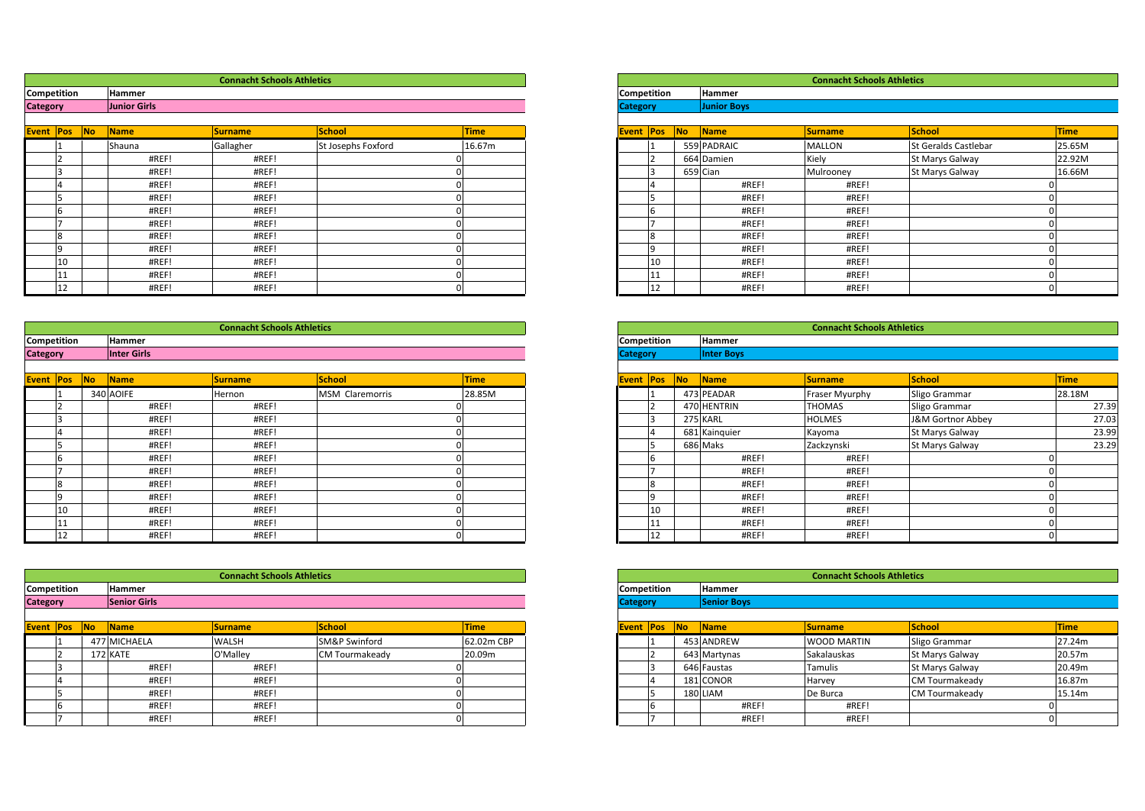|                                           |              | <b>Connacht Schools Athletics</b> |                   |                                                |  |
|-------------------------------------------|--------------|-----------------------------------|-------------------|------------------------------------------------|--|
| Competition                               | Hammer       |                                   |                   |                                                |  |
| <b>Category</b>                           | Junior Girls |                                   |                   |                                                |  |
|                                           |              |                                   |                   |                                                |  |
| <b>Provident Providence International</b> |              | <b>International Action</b>       | <b>Letter and</b> | <b>Contact Contact Contact Contact Contact</b> |  |

| <b>Event Pos</b>   |    | <b>INO</b> | <b>Name</b>   | <b>Surname</b>                    | <b>School</b>      | Time   | <b>Event Pos</b>   |    | INO. | <b>Name</b>   | <b>ISurname</b>                   | <b>School</b>     |
|--------------------|----|------------|---------------|-----------------------------------|--------------------|--------|--------------------|----|------|---------------|-----------------------------------|-------------------|
|                    |    |            | Shauna        | Gallagher                         | St Josephs Foxford | 16.67m |                    |    |      | 559 PADRAIC   | <b>MALLON</b>                     | <b>St Geralds</b> |
|                    |    |            | #REF!         | #REF!                             |                    |        |                    |    |      | 664 Damien    | Kiely                             | St Marys O        |
|                    |    |            | #REF!         | #REF!                             |                    |        |                    | ı٩ |      | 659 Cian      | Mulrooney                         | St Marys 0        |
|                    |    |            | #REF!         | #REF!                             |                    |        |                    |    |      | #REF!         | #REF!                             |                   |
|                    |    |            | #REF!         | #REF!                             |                    |        |                    |    |      | #REF!         | #REF!                             |                   |
|                    | 6  |            | #REF!         | #REF!                             |                    |        |                    |    |      | #REF!         | #REF!                             |                   |
|                    |    |            | #REF!         | #REF!                             |                    |        |                    |    |      | #REF!         | #REF!                             |                   |
|                    | 8  |            | #REF!         | #REF!                             |                    |        |                    |    |      | #REF!         | #REF!                             |                   |
|                    | 19 |            | #REF!         | #REF!                             |                    |        |                    |    |      | #REF!         | #REF!                             |                   |
|                    | 10 |            | #REF!         | #REF!                             |                    |        |                    | 10 |      | #REF!         | #REF!                             |                   |
|                    | 11 |            | #REF!         | #REF!                             |                    |        |                    |    |      | #REF!         | #REF!                             |                   |
|                    | 12 |            | #REF!         | #REF!                             |                    |        |                    | 12 |      | #REF!         | #REF!                             |                   |
|                    |    |            |               |                                   |                    |        |                    |    |      |               |                                   |                   |
|                    |    |            |               | <b>Connacht Schools Athletics</b> |                    |        |                    |    |      |               | <b>Connacht Schools Athletics</b> |                   |
| <b>Competition</b> |    |            | <b>Hammer</b> |                                   |                    |        | <b>Competition</b> |    |      | <b>Hammer</b> |                                   |                   |

|                    |                    | <b>Connacht Schools Athletics</b> |  |                    |                   |
|--------------------|--------------------|-----------------------------------|--|--------------------|-------------------|
| <b>Competition</b> | <b>Hammer</b>      |                                   |  | <b>Competition</b> | Hammer            |
| <b>Category</b>    | <b>Inter Girls</b> |                                   |  | <b>Category</b>    | <b>Inter Boys</b> |

| Event Pos          | <b>No</b> | <b>Name</b>   |       | <b>Surname</b>                    | <b>School</b>   | <b>Time</b> |
|--------------------|-----------|---------------|-------|-----------------------------------|-----------------|-------------|
|                    |           | 340 AOIFE     |       | Hernon                            | MSM Claremorris | 28.85M      |
|                    |           |               | #REF! | #REF!                             |                 |             |
|                    |           |               | #REF! | #REF!                             |                 |             |
|                    |           |               | #REF! | #REF!                             |                 |             |
|                    |           |               | #REF! | #REF!                             |                 |             |
| b                  |           |               | #REF! | #REF!                             |                 |             |
|                    |           |               | #REF! | #REF!                             |                 |             |
| 8                  |           |               | #REF! | #REF!                             |                 |             |
| 19                 |           |               | #REF! | #REF!                             |                 |             |
| 10                 |           |               | #REF! | #REF!                             |                 |             |
| 11                 |           |               | #REF! | #REF!                             |                 |             |
| 12                 |           |               | #REF! | #REF!                             |                 |             |
|                    |           |               |       |                                   |                 |             |
|                    |           |               |       | <b>Connacht Schools Athletics</b> |                 |             |
| <b>Competition</b> |           | <b>Hammer</b> |       |                                   |                 |             |

| <b>Category</b> | <b>Senior Girls</b> |                                   |  | <b>Category</b>    |    | Senior Boys |
|-----------------|---------------------|-----------------------------------|--|--------------------|----|-------------|
| Competition     | <b>Hammer</b>       |                                   |  | <b>Competition</b> |    | Hammer      |
|                 |                     | <b>Connacht Schools Athletics</b> |  |                    |    |             |
|                 |                     |                                   |  |                    |    |             |
| 12              | #REF!               | #REF!                             |  |                    | 12 | #R          |
| 11              | #REF!               | #REF!                             |  |                    | 11 | #RI         |

| <b>Event Pos</b> |   | <b>INo</b> | <b>Name</b>  | <b>Surname</b> | <b>School</b>         | <b>Time</b> |
|------------------|---|------------|--------------|----------------|-----------------------|-------------|
|                  |   |            | 477 MICHAELA | <b>WALSH</b>   | SM&P Swinford         | 62.02m CBP  |
|                  |   |            | 172 KATE     | O'Mallev       | <b>CM Tourmakeady</b> | 20.09m      |
|                  |   |            | #REF!        | #REF!          |                       |             |
|                  |   |            | #REF!        | #REF!          |                       |             |
|                  |   |            | #REF!        | #REF!          |                       |             |
|                  | 6 |            | #REF!        | #REF!          |                       |             |
|                  |   |            | #REF!        | #REF!          |                       |             |

|            |                     | <b>Connacht Schools Athletics</b> |                    |             |
|------------|---------------------|-----------------------------------|--------------------|-------------|
| ition:     | <b>Hammer</b>       |                                   |                    |             |
|            | <b>Junior Girls</b> |                                   |                    |             |
|            |                     |                                   |                    |             |
| No <br>Pos | Name                | <b>Surname</b>                    | <b>School</b>      | <b>Time</b> |
|            | Shauna              | Gallagher                         | St Josephs Foxford | 16.67m      |
|            | #REF!               | #REF!                             |                    |             |
|            | #REF!               | #REF!                             |                    |             |
|            | #REF!               | #REF!                             |                    |             |
|            | #REF!               | #REF!                             |                    |             |
|            | #REF!               | #REF!                             |                    |             |
|            | #REF!               | #REF!                             |                    |             |
|            | #REF!               | #REF!                             |                    |             |
|            | #REF!               | #REF!                             |                    |             |
| 10         | #REF!               | #REF!                             |                    |             |
| 11         | #REF!               | #REF                              |                    |             |
| 12         | #REF!               | #REF!                             |                    |             |

|        |                |                    | <b>Connacht Schools Athletics</b> |                 |             |
|--------|----------------|--------------------|-----------------------------------|-----------------|-------------|
| ition: |                | <b>Hammer</b>      |                                   |                 |             |
|        |                | <b>Inter Girls</b> |                                   |                 |             |
|        |                |                    |                                   |                 |             |
| Pos    | N <sub>o</sub> | Name               | <b>Surname</b>                    | <b>School</b>   | <b>Time</b> |
|        |                | 340 AOIFE          | Hernon                            | MSM Claremorris | 28.85M      |
|        |                | #REF!              | #REF!                             |                 |             |
|        |                | #REF!              | #REF!                             |                 |             |
|        |                | #REF!              | #REF!                             |                 |             |
|        |                | #REF!              | #REF!                             |                 |             |
|        |                | #REF!              | #REF!                             |                 |             |
|        |                | #REF!              | #REF!                             |                 |             |
|        |                | #REF!              | #REF!                             |                 |             |
|        |                | #REF!              | #REF!                             |                 |             |
| 10     |                | #REF!              | #REF!                             |                 |             |
| 11     |                | #REF!              | #REF!                             |                 |             |
| 12     |                | #REF               | #REF!                             |                 |             |

|                   |                     | <b>Connacht Schools Athletics</b> |                       |             |
|-------------------|---------------------|-----------------------------------|-----------------------|-------------|
| ition:            | Hammer              |                                   |                       |             |
|                   | <b>Senior Girls</b> |                                   |                       |             |
|                   |                     |                                   |                       |             |
| <b>INo</b><br>Pos | <b>Name</b>         | <b>Surname</b>                    | <b>School</b>         | <b>Time</b> |
|                   | 477 MICHAELA        | <b>WALSH</b>                      | SM&P Swinford         | 62.02m CBP  |
|                   | 172 KATE            | O'Malley                          | <b>CM Tourmakeady</b> | 20.09m      |

| Hammer              |                |                |             |
|---------------------|----------------|----------------|-------------|
| <b>Senior Girls</b> |                |                |             |
|                     |                |                |             |
| Name                | <b>Surname</b> | <b>School</b>  | <b>Time</b> |
| 7 MICHAELA          | <b>WALSH</b>   | SM&P Swinford  | 62.02m CBP  |
| 2 KATE              | O'Malley       | CM Tourmakeady | 20.09m      |
| #REF!               | #REF!          |                |             |
| #REF!               | #REF!          |                |             |
| #REF!               | #REF!          |                |             |
| #REF!               | #REF!          |                |             |
| #REF!               | #REF!          |                |             |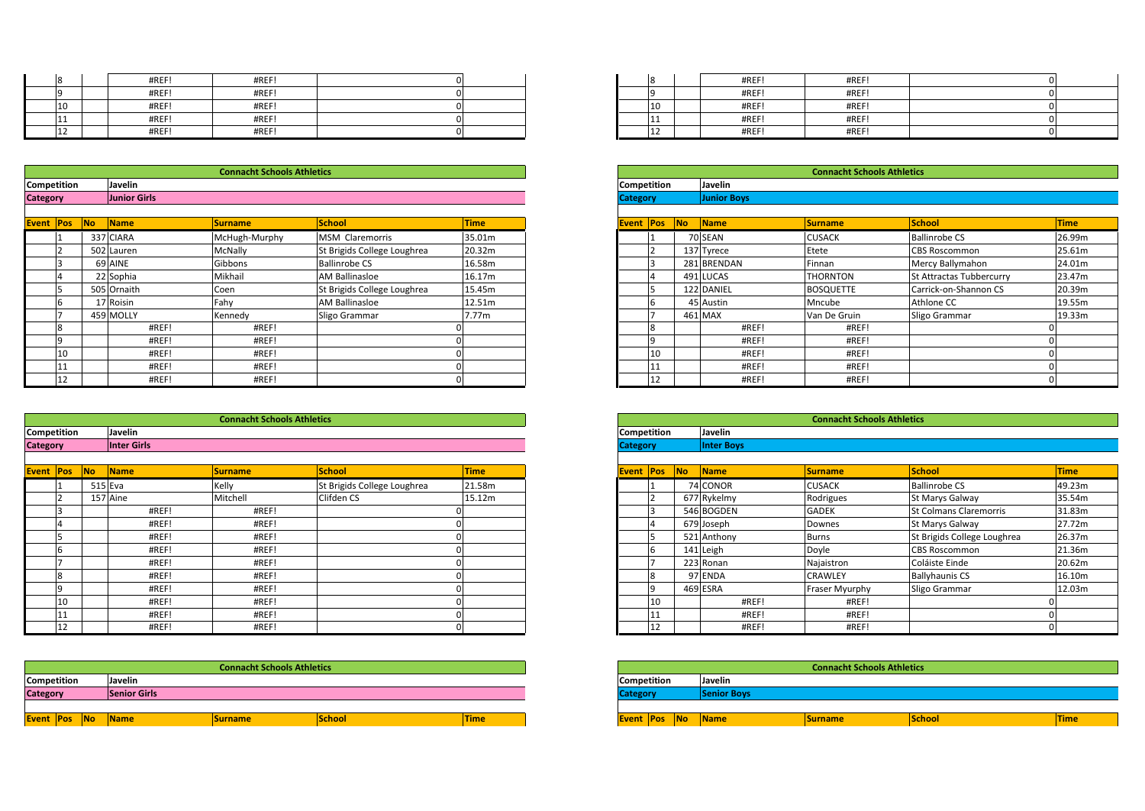| 18                 | #REF!   | #REF!                             |  | 8                  | #REF!   | #REF!                             |  |
|--------------------|---------|-----------------------------------|--|--------------------|---------|-----------------------------------|--|
|                    | #REF!   | #REF!                             |  |                    | #REF!   | #REF!                             |  |
| 10                 | #REF!   | #REF!                             |  | 10                 | #REF!   | #REF!                             |  |
|                    | #REF!   | #REF!                             |  | 11                 | #REF!   | #REF!                             |  |
|                    | #REF!   | #REF!                             |  | 12                 | #REF!   | #REF!                             |  |
|                    |         |                                   |  |                    |         |                                   |  |
|                    |         |                                   |  |                    |         |                                   |  |
|                    |         | <b>Connacht Schools Athletics</b> |  |                    |         | <b>Connacht Schools Athletics</b> |  |
| <b>Competition</b> | Javelin |                                   |  | <b>Competition</b> | Javelin |                                   |  |

|          | 111                |           | #REF!               | #REF!                             |                             | 0           |                  | 11             |                | #REF!              | #REF!                             |                  |
|----------|--------------------|-----------|---------------------|-----------------------------------|-----------------------------|-------------|------------------|----------------|----------------|--------------------|-----------------------------------|------------------|
|          | 12                 |           | #REF!               | #REF!                             |                             | 0           |                  | 12             |                | #REF!              | #REF!                             |                  |
|          |                    |           |                     |                                   |                             |             |                  |                |                |                    |                                   |                  |
|          |                    |           |                     | <b>Connacht Schools Athletics</b> |                             |             |                  |                |                |                    | <b>Connacht Schools Athletics</b> |                  |
|          | Competition        |           | Javelin             |                                   |                             |             | Competition      |                |                | Javelin            |                                   |                  |
| Category |                    |           | <b>Junior Girls</b> |                                   |                             |             | <b>Category</b>  |                |                | <b>Junior Boys</b> |                                   |                  |
|          |                    |           |                     |                                   |                             |             |                  |                |                |                    |                                   |                  |
|          | <b>Event Pos</b>   | <b>No</b> | <b>Name</b>         | <b>Surname</b>                    | <b>School</b>               | <b>Time</b> | <b>Event Pos</b> |                | N <sub>o</sub> | Name               | <b>Surname</b>                    | School           |
|          |                    |           | 337 CIARA           | McHugh-Murphy                     | MSM Claremorris             | 35.01m      |                  |                |                | 70 SEAN            | <b>CUSACK</b>                     | Ballinrobe       |
|          |                    |           | 502 Lauren          | <b>McNally</b>                    | St Brigids College Loughrea | 20.32m      |                  |                |                | 137 Tyrece         | Etete                             | <b>CBS Rosco</b> |
|          |                    |           | 69 AINE             | Gibbons                           | <b>Ballinrobe CS</b>        | 16.58m      |                  | 3              |                | 281 BRENDAN        | Finnan                            | Mercy Bal        |
|          |                    |           | 22 Sophia           | Mikhail                           | AM Ballinasloe              | 16.17m      |                  |                |                | 491 LUCAS          | <b>THORNTON</b>                   | St Attracta      |
|          | 5                  |           | 505 Ornaith         | Coen                              | St Brigids College Loughrea | 15.45m      |                  | 15             |                | 122 DANIEL         | <b>BOSQUETTE</b>                  | Carrick-on       |
|          | 6                  |           | 17 Roisin           | Fahy                              | <b>AM Ballinasloe</b>       | 12.51m      |                  | 6              |                | 45 Austin          | Mncube                            | Athlone C        |
|          |                    |           | 459 MOLLY           | Kennedy                           | Sligo Grammar               | 7.77m       |                  | $\overline{ }$ |                | 461 MAX            | Van De Gruin                      | Sligo Gran       |
|          | 8                  |           | #REF!               | #REF!                             |                             |             |                  | 8              |                | #REF!              | #REF!                             |                  |
|          | $\overline{9}$     |           | #REF!               | #REF!                             |                             |             |                  | $\overline{9}$ |                | #REF!              | #REF!                             |                  |
|          | 10                 |           | #REF!               | #REF!                             |                             |             |                  | 10             |                | #REF!              | #REF!                             |                  |
|          | 11                 |           | #REF!               | #REF!                             |                             |             |                  | 11             |                | #REF!              | #REF!                             |                  |
|          | 12                 |           | #REF!               | #REF!                             |                             | 0           |                  | 12             |                | #REF!              | #REF!                             |                  |
|          |                    |           |                     |                                   |                             |             |                  |                |                |                    |                                   |                  |
|          |                    |           |                     | <b>Connacht Schools Athletics</b> |                             |             |                  |                |                |                    | <b>Connacht Schools Athletics</b> |                  |
|          | <b>Competition</b> |           | Javelin             |                                   |                             |             | Competition      |                |                | Javelin            |                                   |                  |

|           | 11                 |           | #REF!              | #REF!                             |                             | 0           |                    | 11             |                | #REF!             | #REF!                             |                  |
|-----------|--------------------|-----------|--------------------|-----------------------------------|-----------------------------|-------------|--------------------|----------------|----------------|-------------------|-----------------------------------|------------------|
|           | 12                 |           | #REF!              | #REF!                             |                             | 0           |                    | 12             |                | #REF!             | #REF!                             |                  |
|           |                    |           |                    |                                   |                             |             |                    |                |                |                   |                                   |                  |
|           |                    |           |                    | <b>Connacht Schools Athletics</b> |                             |             |                    |                |                |                   | <b>Connacht Schools Athletics</b> |                  |
|           | Competition        |           | Javelin            |                                   |                             |             | Competition        |                |                | Javelin           |                                   |                  |
| Category  |                    |           | <b>Inter Girls</b> |                                   |                             |             | <b>Category</b>    |                |                | <b>Inter Boys</b> |                                   |                  |
|           |                    |           |                    |                                   |                             |             |                    |                |                |                   |                                   |                  |
| Event Pos |                    | <b>No</b> | <b>Name</b>        | <b>Surname</b>                    | <b>School</b>               | <b>Time</b> | <b>Event Pos</b>   |                | N <sub>o</sub> | Name              | <b>Surname</b>                    | School           |
|           |                    |           | 515 Eva            | Kelly                             | St Brigids College Loughrea | 21.58m      |                    |                |                | 74 CONOR          | <b>CUSACK</b>                     | Ballinrobe       |
|           |                    |           | 157 Aine           | Mitchell                          | Clifden CS                  | 15.12m      |                    |                |                | 677 Rykelmy       | Rodrigues                         | St Marys G       |
|           |                    |           | #REF!              | #REF!                             |                             |             |                    | 3              |                | 546 BOGDEN        | <b>GADEK</b>                      | <b>St Colman</b> |
|           |                    |           | #REF!              | #REF!                             |                             |             |                    |                |                | 679 Joseph        | Downes                            | St Marys 0       |
|           | 5                  |           | #REF!              | #REF!                             |                             |             |                    | 15             |                | 521 Anthony       | <b>Burns</b>                      | St Brigids       |
|           | 6                  |           | #REF!              | #REF!                             |                             |             |                    | 6              |                | 141 Leigh         | Doyle                             | <b>CBS Rosco</b> |
|           |                    |           | #REF!              | #REF!                             |                             |             |                    | $\overline{ }$ |                | 223 Ronan         | Najaistron                        | Coláiste Ei      |
|           | 8                  |           | #REF!              | #REF!                             |                             |             |                    | 8              |                | 97 ENDA           | CRAWLEY                           | Ballyhauni       |
|           | $\overline{9}$     |           | #REF!              | #REF!                             |                             |             |                    | $\overline{9}$ |                | 469 ESRA          | Fraser Myurphy                    | Sligo Gran       |
|           | 10                 |           | #REF!              | #REF!                             |                             |             |                    | 10             |                | #REF!             | #REF!                             |                  |
|           | 11                 |           | #REF!              | #REF!                             |                             |             |                    | 11             |                | #REF!             | #REF!                             |                  |
|           | 12                 |           | #REF!              | #REF!                             |                             | 0           |                    | 12             |                | #REF!             | #REF!                             |                  |
|           |                    |           |                    |                                   |                             |             |                    |                |                |                   |                                   |                  |
|           |                    |           |                    | <b>Connacht Schools Athletics</b> |                             |             |                    |                |                |                   | <b>Connacht Schools Athletics</b> |                  |
|           | <b>Competition</b> |           | Javelin            |                                   |                             |             | <b>Competition</b> |                |                | Javelin           |                                   |                  |

| Event Pos       |     | <b>INo</b> | <b>Name</b>         | Surname                           | <b>School</b> | <b>Time</b> | <b>Event Pos</b>   |     | <b>No</b> | Name        |
|-----------------|-----|------------|---------------------|-----------------------------------|---------------|-------------|--------------------|-----|-----------|-------------|
|                 |     |            |                     |                                   |               |             |                    |     |           |             |
| <b>Category</b> |     |            | <b>Senior Girls</b> |                                   |               |             | <b>Category</b>    |     |           | Senior Boys |
| Competition     |     |            | Javelin             |                                   |               |             | <b>Competition</b> |     |           | Javelin     |
|                 |     |            |                     | <b>Connacht Schools Athletics</b> |               |             |                    |     |           |             |
|                 |     |            |                     |                                   |               |             |                    |     |           |             |
|                 | ᅩ   |            | #REF!               | #REF!                             |               |             |                    | ᆠ   |           | #RI         |
|                 | 111 |            | #REF!               | #REF!                             |               | 01          |                    | 111 |           | #RI         |

| #REF! | #REF! |  | 8            | #REF! | #REF! |  |
|-------|-------|--|--------------|-------|-------|--|
| #REF! | #REF! |  | $\Omega$     | #REF! | #REF! |  |
| #REF! | #REF! |  | 10           | #REF! | #REF! |  |
| #REF! | #REF! |  | .            | #REF! | #REF! |  |
| #REF! | #REF! |  | 112<br>$\pm$ | #REF! | #REF! |  |

|           |                     | <b>Connacht Schools Athletics</b> |                             |             |
|-----------|---------------------|-----------------------------------|-----------------------------|-------------|
| ition:    | Javelin             |                                   |                             |             |
|           | <b>Junior Girls</b> |                                   |                             |             |
| <b>No</b> | Name                | <b>Surname</b>                    | <b>School</b>               | <b>Time</b> |
|           | 337 CIARA           | McHugh-Murphy                     | <b>MSM Claremorris</b>      | 35.01m      |
| 502       | Lauren              | McNally                           | St Brigids College Loughrea | 20.32m      |
|           | 69 AINE             | Gibbons                           | <b>Ballinrobe CS</b>        | 16.58m      |
|           | 22 Sophia           | Mikhail                           | AM Ballinasloe              | 16.17m      |
|           | 505 Ornaith         | Coen                              | St Brigids College Loughrea | 15.45m      |
|           | 17 Roisin           | Fahy                              | AM Ballinasloe              | 12.51m      |
|           | 459 MOLLY           | Kennedy                           | Sligo Grammar               | 7.77m       |
|           | #REF!               | #REF!                             |                             |             |
|           | #REF!               | #REF!                             |                             |             |
|           | #REF!               | #REF!                             |                             |             |
|           | #REF!               | #REF!                             |                             |             |
|           | #REF!               | #REF!                             |                             |             |

|        |           |                                                            | <b>Connacht Schools Athletics</b> |                             |             |  |  |  |  |
|--------|-----------|------------------------------------------------------------|-----------------------------------|-----------------------------|-------------|--|--|--|--|
| :ition |           | Javelin                                                    |                                   |                             |             |  |  |  |  |
|        |           | <b>Inter Girls</b><br><b>Inter Boys</b><br><b>Category</b> |                                   |                             |             |  |  |  |  |
|        |           |                                                            |                                   |                             |             |  |  |  |  |
| Pos    | <b>No</b> | Name                                                       | <b>Surname</b>                    | <b>School</b>               | <b>Time</b> |  |  |  |  |
|        |           | 515 Eva                                                    | Kelly                             | St Brigids College Loughrea | 21.58m      |  |  |  |  |
|        |           | 157 Aine                                                   | Mitchell                          | Clifden CS                  | 15.12m      |  |  |  |  |
|        |           | #REF!                                                      | #REF!                             |                             |             |  |  |  |  |
|        |           | #REF!                                                      | #REF!                             |                             |             |  |  |  |  |
|        |           | #REF!                                                      | #REF!                             |                             |             |  |  |  |  |
|        |           | #REF!                                                      | #REF!                             |                             |             |  |  |  |  |
|        |           | #REF!                                                      | #REF!                             |                             |             |  |  |  |  |
|        |           | #REF!                                                      | #REF!                             |                             |             |  |  |  |  |
|        |           | #REF!                                                      | #REF!                             |                             |             |  |  |  |  |
| 10     |           | #REF!                                                      | #REF!                             |                             |             |  |  |  |  |
|        |           | #REF!                                                      | #REF!                             |                             |             |  |  |  |  |
| 12     |           | #REF!                                                      | #REF!                             |                             |             |  |  |  |  |

|        |                     | <b>Connacht Schools Athletics</b> |        |             |                          |                    | <b>Connacht Schools Athletics</b> |               |             |
|--------|---------------------|-----------------------------------|--------|-------------|--------------------------|--------------------|-----------------------------------|---------------|-------------|
| :ition | Javelin             |                                   |        |             | <b>Competition</b>       | Javelin            |                                   |               |             |
|        | <b>Senior Girls</b> |                                   |        |             | <b>Category</b>          | <b>Senior Boys</b> |                                   |               |             |
|        |                     |                                   |        |             |                          |                    |                                   |               |             |
| Pos No | <b>Name</b>         | Surname                           | School | <b>Time</b> | <b>Event Pos No Name</b> |                    | <b>Surname</b>                    | <b>School</b> | <b>Time</b> |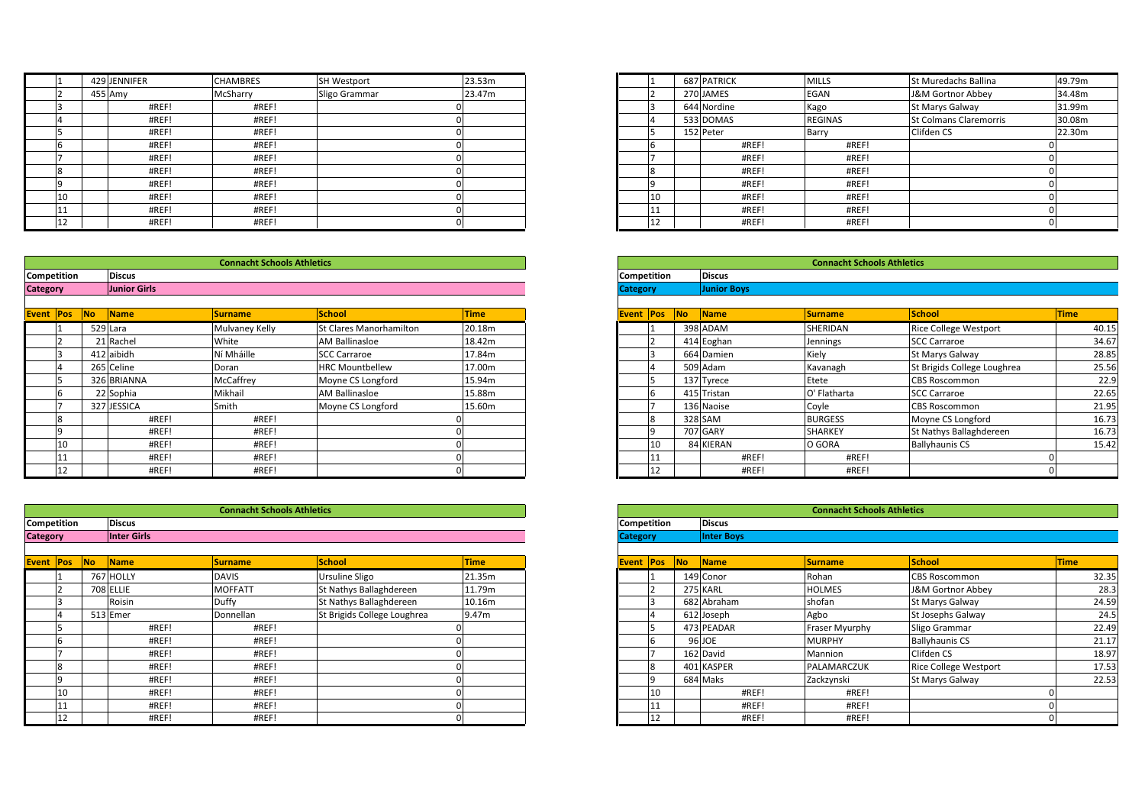|             | 429 JENNIFER  | <b>CHAMBRES</b>                   | <b>SH Westport</b> | 23.53m |                    | <b>687 PATRICK</b> | <b>MILLS</b>                      | <b>St Mureda</b> |
|-------------|---------------|-----------------------------------|--------------------|--------|--------------------|--------------------|-----------------------------------|------------------|
|             | 455 Amy       | McSharry                          | Sligo Grammar      | 23.47m |                    | 270 JAMES          | <b>EGAN</b>                       | J&M Gorti        |
|             | #REF!         | #REF!                             |                    |        |                    | 644 Nordine        | Kago                              | St Marys 0       |
|             | #REF!         | #REF!                             |                    |        |                    | 533 DOMAS          | <b>REGINAS</b>                    | <b>St Colman</b> |
|             | #REF!         | #REF!                             |                    |        |                    | 152 Peter          | Barry                             | Clifden CS       |
| ı'n         | #REF!         | #REF!                             |                    |        |                    | #REF!              | #REF!                             |                  |
|             | #REF!         | #REF!                             |                    |        |                    | #REF!              | #REF!                             |                  |
| ıχ          | #REF!         | #REF!                             |                    |        |                    | #REF!              | #REF!                             |                  |
|             | #REF!         | #REF!                             |                    |        |                    | #REF!              | #REF!                             |                  |
| 10          | #REF!         | #REF!                             |                    |        | 10                 | #REF!              | #REF!                             |                  |
| 11          | #REF!         | #REF!                             |                    |        |                    | #REF!              | #REF!                             |                  |
| 12          | #REF!         | #REF!                             |                    |        | ۰IZ.               | #REF!              | #REF!                             |                  |
|             |               |                                   |                    |        |                    |                    |                                   |                  |
|             |               |                                   |                    |        |                    |                    |                                   |                  |
|             |               | <b>Connacht Schools Athletics</b> |                    |        |                    |                    | <b>Connacht Schools Athletics</b> |                  |
| Competition | <b>Discus</b> |                                   |                    |        | <b>Competition</b> | <b>Discus</b>      |                                   |                  |

|                 | 11                 |    | #REF!               | #REF!                             |                         | 0           |                    | 11             |           | #REF!              | #REF!                             |                    |
|-----------------|--------------------|----|---------------------|-----------------------------------|-------------------------|-------------|--------------------|----------------|-----------|--------------------|-----------------------------------|--------------------|
|                 | 12                 |    | #REF!               | #REF!                             |                         | $\Omega$    |                    | 12             |           | #REF!              | #REF!                             |                    |
|                 |                    |    |                     |                                   |                         |             |                    |                |           |                    |                                   |                    |
|                 |                    |    |                     | <b>Connacht Schools Athletics</b> |                         |             |                    |                |           |                    | <b>Connacht Schools Athletics</b> |                    |
|                 | Competition        |    | <b>Discus</b>       |                                   |                         |             | Competition        |                |           | <b>Discus</b>      |                                   |                    |
| <b>Category</b> |                    |    | <b>Junior Girls</b> |                                   |                         |             | <b>Category</b>    |                |           | <b>Junior Boys</b> |                                   |                    |
|                 |                    |    |                     |                                   |                         |             |                    |                |           |                    |                                   |                    |
|                 | <b>Event Pos</b>   | No | Name                | <b>Surname</b>                    | <b>School</b>           | <b>Time</b> | <b>Event Pos</b>   |                | <b>No</b> | Name               | <b>Surname</b>                    | <b>School</b>      |
|                 |                    |    | 529 Lara            | Mulvaney Kelly                    | St Clares Manorhamilton | 20.18m      |                    |                |           | 398 ADAM           | SHERIDAN                          | <b>Rice Colley</b> |
|                 |                    |    | 21 Rachel           | White                             | <b>AM Ballinasloe</b>   | 18.42m      |                    |                |           | 414 Eoghan         | Jennings                          | <b>SCC Carra</b>   |
|                 |                    |    | 412 aibidh          | Ní Mháille                        | <b>SCC Carraroe</b>     | 17.84m      |                    | 3              |           | 664 Damien         | Kiely                             | St Marys G         |
|                 |                    |    | 265 Celine          | Doran                             | <b>HRC Mountbellew</b>  | 17.00m      |                    |                |           | 509 Adam           | Kavanagh                          | St Brigids         |
|                 | רו                 |    | 326 BRIANNA         | McCaffrey                         | Moyne CS Longford       | 15.94m      |                    | 5              |           | 137 Tyrece         | Etete                             | <b>CBS Rosco</b>   |
|                 | Ih                 |    | 22 Sophia           | Mikhail                           | <b>AM Ballinasloe</b>   | 15.88m      |                    | 6              |           | 415 Tristan        | O' Flatharta                      | <b>SCC Carra</b>   |
|                 |                    |    | 327 JESSICA         | Smith                             | Moyne CS Longford       | 15.60m      |                    |                |           | 136 Naoise         | Coyle                             | <b>CBS Rosco</b>   |
|                 | $\mathbf{R}$       |    | #REF!               | #REF!                             |                         |             |                    | 8              |           | 328 SAM            | <b>BURGESS</b>                    | Moyne CS           |
|                 | q                  |    | #REF!               | #REF!                             |                         |             |                    | $\overline{9}$ |           | 707 GARY           | <b>SHARKEY</b>                    | St Nathys          |
|                 | 10                 |    | #REF!               | #REF!                             |                         |             |                    | 10             |           | 84 KIERAN          | O GORA                            | Ballyhauni         |
|                 |                    |    | #REF!               | #REF!                             |                         |             |                    | 11             |           | #REF!              | #REF!                             |                    |
|                 | 12                 |    | #REF!               | #REF!                             |                         | U           |                    | 12             |           | #REF!              | #REF!                             |                    |
|                 |                    |    |                     |                                   |                         |             |                    |                |           |                    |                                   |                    |
|                 |                    |    |                     |                                   |                         |             |                    |                |           |                    |                                   |                    |
|                 |                    |    |                     | <b>Connacht Schools Athletics</b> |                         |             |                    |                |           |                    | <b>Connacht Schools Athletics</b> |                    |
|                 | <b>Competition</b> |    | <b>Discus</b>       |                                   |                         |             | <b>Competition</b> |                |           | <b>Discus</b>      |                                   |                    |

|                 | 111 |     | #REF!              | #REF!                             |                             | 0 |             |                 | 11 |     | #                 |
|-----------------|-----|-----|--------------------|-----------------------------------|-----------------------------|---|-------------|-----------------|----|-----|-------------------|
|                 | 12  |     | #REF!              | #REF!                             |                             | 0 |             |                 | 12 |     | #                 |
|                 |     |     |                    |                                   |                             |   |             |                 |    |     |                   |
|                 |     |     |                    | <b>Connacht Schools Athletics</b> |                             |   |             |                 |    |     |                   |
| Competition     |     |     | <b>Discus</b>      |                                   |                             |   |             | Competition     |    |     | <b>Discus</b>     |
| <b>Category</b> |     |     | <b>Inter Girls</b> |                                   |                             |   |             | <b>Category</b> |    |     | <b>Inter Boys</b> |
|                 |     |     |                    |                                   |                             |   |             |                 |    |     |                   |
| Event Pos       |     | No. | Name               | <b>Surname</b>                    | <b>School</b>               |   | <b>Time</b> | Event Pos       |    | No. | Name              |
|                 |     |     | 767 HOLLY          | <b>DAVIS</b>                      | Ursuline Sligo              |   | 21.35m      |                 |    |     | 149 Conor         |
|                 |     |     | <b>708 ELLIE</b>   | <b>MOFFATT</b>                    | St Nathys Ballaghdereen     |   | 11.79m      |                 |    |     | 275 KARL          |
|                 | 3   |     | Roisin             | Duffy                             | St Nathys Ballaghdereen     |   | 10.16m      |                 | 3  |     | 682 Abraham       |
|                 | 4   |     | 513 Emer           | Donnellan                         | St Brigids College Loughrea |   | 9.47m       |                 | 4  |     | 612 Joseph        |
|                 | 5   |     | #REF!              | #REF!                             |                             |   |             |                 | 5  |     | 473 PEADAR        |
|                 | 6   |     | #REF!              | #REF!                             |                             |   |             |                 | 6  |     | 96 JOE            |
|                 |     |     | #REF!              | #REF!                             |                             |   |             |                 |    |     | 162 David         |
|                 | 8   |     | #REF!              | #REF!                             |                             |   |             |                 | 8  |     | 401 KASPER        |
|                 | 9   |     | #REF!              | #REF!                             |                             |   |             |                 | 9  |     | 684 Maks          |
|                 | 10  |     | #REF!              | #REF!                             |                             |   |             |                 | 10 |     | #                 |
|                 | 11  |     | #REF!              | #REF!                             |                             |   |             |                 | 11 |     | #                 |
|                 | 12  |     | #REF!              | #REF!                             |                             | 0 |             |                 | 12 |     | #                 |

| 429 JENNIFER | <b>CHAMBRES</b> | <b>SH Westport</b> | 23.53m |
|--------------|-----------------|--------------------|--------|
| 455 Amy      | McSharry        | Sligo Grammar      | 23.47m |
| #REF!        | #REF!           |                    |        |
| #REF!        | #REF!           |                    |        |
| #REF!        | #REF!           |                    |        |
| #REF!        | #REF!           |                    |        |
| #REF!        | #REF!           |                    |        |
| #REF!        | #REF!           |                    |        |
| #REF!        | #REF!           |                    |        |
| #REF!        | #REF!           |                    |        |
| #REF!        | #REF!           |                    |        |
| #REF!        | #REF!           |                    |        |

|           |                     | <b>Connacht Schools Athletics</b> |                         |             |
|-----------|---------------------|-----------------------------------|-------------------------|-------------|
| ition:    | <b>Discus</b>       |                                   |                         |             |
|           | <b>Junior Girls</b> |                                   |                         |             |
|           |                     |                                   |                         |             |
| No<br>Pos | Name                | <b>Surname</b>                    | <b>School</b>           | <b>Time</b> |
|           | 529 Lara            | Mulvaney Kelly                    | St Clares Manorhamilton | 20.18m      |
|           | 21 Rachel           | White                             | <b>AM Ballinasloe</b>   | 18.42m      |
|           | 412 aibidh          | Ní Mháille                        | <b>SCC Carraroe</b>     | 17.84m      |
|           | 265 Celine          | Doran                             | <b>HRC Mountbellew</b>  | 17.00m      |
|           | 326 BRIANNA         | McCaffrey                         | Moyne CS Longford       | 15.94m      |
|           | 22 Sophia           | Mikhail                           | <b>AM Ballinasloe</b>   | 15.88m      |
|           | 327 JESSICA         | Smith                             | Moyne CS Longford       | 15.60m      |
|           | #REF!               | #REF!                             |                         |             |
|           | #REF!               | #REF!                             |                         |             |
| 10        | #REF!               | #REF!                             |                         |             |
| 11        | #REF!               | #REF!                             |                         |             |
| 12        | #REF!               | #REF!                             |                         |             |

|            |                    | <b>Connacht Schools Athletics</b> |                             |             |
|------------|--------------------|-----------------------------------|-----------------------------|-------------|
| ition:     | <b>Discus</b>      |                                   |                             |             |
|            | <b>Inter Girls</b> |                                   |                             |             |
| No.<br>Pos | Name               | <b>Surname</b>                    | <b>School</b>               | <b>Time</b> |
|            | 767 HOLLY          | DAVIS                             | Ursuline Sligo              | 21.35m      |
|            | 708 ELLIE          | <b>MOFFATT</b>                    | St Nathys Ballaghdereen     | 11.79m      |
|            | Roisin             | Duffy                             | St Nathys Ballaghdereen     | 10.16m      |
|            | 513 Emer           | Donnellan                         | St Brigids College Loughrea | 9.47m       |
|            | #REF!              | #REF!                             |                             |             |
|            | #REF!              | #REF!                             |                             |             |
|            | #REF!              | #REF!                             |                             |             |
|            | #REF!              | #REF!                             |                             |             |
|            | #REF!              | #REF!                             |                             |             |
|            | #REF!              | #REF!                             |                             |             |
|            | #REF!              | #REF!                             |                             |             |
|            | #REF!              | #REF!                             |                             |             |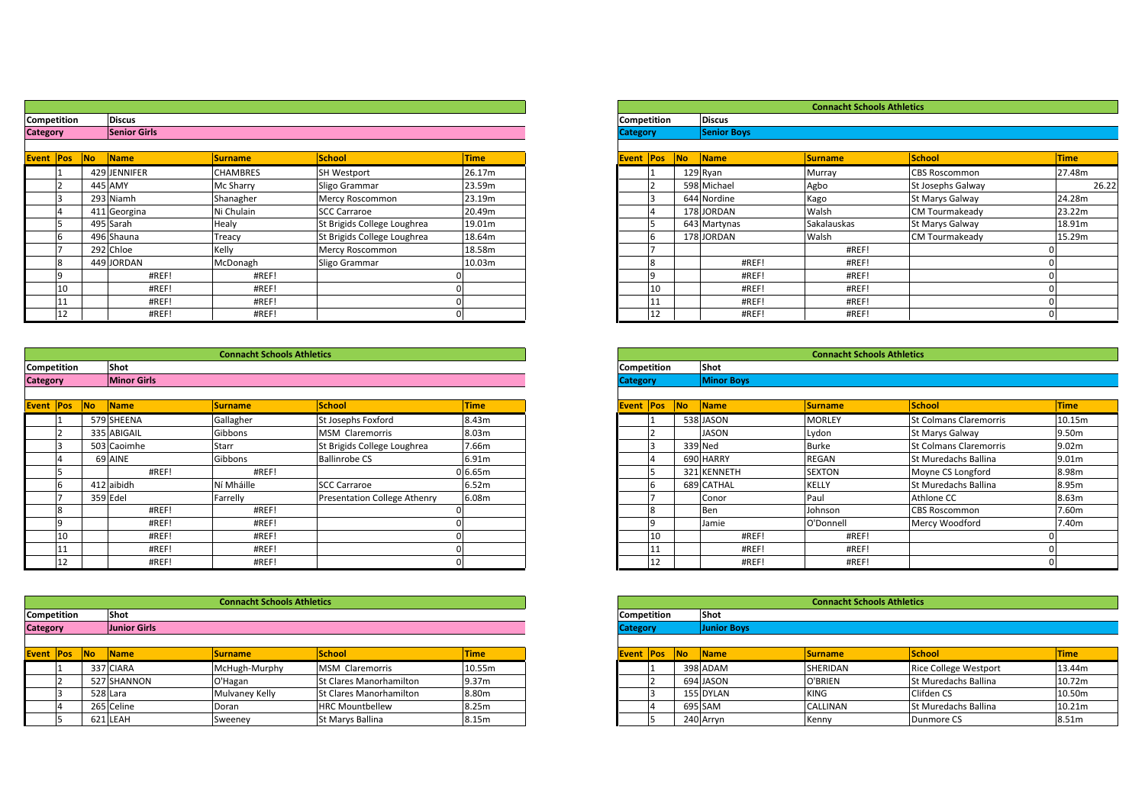| Competition<br><b>Category</b> |    | <b>Discus</b><br><b>Senior Girls</b> |                 |                             |              |
|--------------------------------|----|--------------------------------------|-----------------|-----------------------------|--------------|
|                                |    |                                      |                 |                             |              |
| Event Pos                      | No | <b>Name</b>                          | <b>Surname</b>  | <b>School</b>               | <b>Time</b>  |
|                                |    | 429 JENNIFER                         | <b>CHAMBRES</b> | SH Westport                 | 26.17m       |
| $\mathcal{P}$                  |    | 445 AMY                              | Mc Sharry       | Sligo Grammar               | 23.59m       |
| 3                              |    | 293 Niamh                            | Shanagher       | Mercy Roscommon             | 23.19m       |
| $\overline{4}$                 |    | 411 Georgina                         | Ni Chulain      | <b>SCC Carraroe</b>         | 20.49m       |
| 5                              |    | 495 Sarah                            | Healy           | St Brigids College Loughrea | 19.01m       |
| 6                              |    | 496 Shauna                           | Treacy          | St Brigids College Loughrea | 18.64m       |
|                                |    | 292 Chloe                            | Kelly           | Mercy Roscommon             | 18.58m       |
| 8                              |    | 449 JORDAN                           | McDonagh        | Sligo Grammar               | 10.03m       |
| 9                              |    | #REF!                                | #REF!           |                             |              |
| 10                             |    | #REF!                                | #REF!           |                             |              |
| 11                             |    | #REF!                                | #REF!           |                             | $\Omega$     |
| 12                             |    | #REF!                                | #REF!           |                             | $\mathbf{0}$ |

|                  | 11                 |     | #REF!              | #REF!                             |                                     | n           |                    | 11           |           | #REF!             | #REF!                             |                  |
|------------------|--------------------|-----|--------------------|-----------------------------------|-------------------------------------|-------------|--------------------|--------------|-----------|-------------------|-----------------------------------|------------------|
|                  | 12                 |     | #REF!              | #REF!                             |                                     |             |                    | 12           |           | #REF!             | #REF!                             |                  |
|                  |                    |     |                    |                                   |                                     |             |                    |              |           |                   |                                   |                  |
|                  |                    |     |                    | <b>Connacht Schools Athletics</b> |                                     |             |                    |              |           |                   | <b>Connacht Schools Athletics</b> |                  |
|                  | Competition        |     | Shot               |                                   |                                     |             | Competition        |              |           | Shot              |                                   |                  |
| <b>Category</b>  |                    |     | <b>Minor Girls</b> |                                   |                                     |             | <b>Category</b>    |              |           | <b>Minor Boys</b> |                                   |                  |
|                  |                    |     |                    |                                   |                                     |             |                    |              |           |                   |                                   |                  |
| <b>Event Pos</b> |                    | No. | Name               | <b>Surname</b>                    | <b>School</b>                       | <b>Time</b> | <b>Event Pos</b>   |              | <b>No</b> | Name              | <b>Surname</b>                    | <b>School</b>    |
|                  |                    |     | 579 SHEENA         | Gallagher                         | St Josephs Foxford                  | 8.43m       |                    |              |           | 538 JASON         | <b>MORLEY</b>                     | St Colman        |
|                  |                    |     | 335 ABIGAIL        | Gibbons                           | MSM Claremorris                     | 8.03m       |                    |              |           | <b>JASON</b>      | Lydon                             | St Marys 0       |
|                  |                    |     | 503 Caoimhe        | Starr                             | St Brigids College Loughrea         | 7.66m       |                    |              |           | 339 Ned           | <b>Burke</b>                      | St Colman        |
|                  |                    |     | 69 AINE            | Gibbons                           | <b>Ballinrobe CS</b>                | 6.91m       |                    |              |           | 690 HARRY         | <b>REGAN</b>                      | St Mureda        |
|                  |                    |     | #REF!              | #REF!                             |                                     | 0.65m       |                    | 15           |           | 321 KENNETH       | <b>SEXTON</b>                     | Moyne CS         |
|                  | h                  |     | 412 aibidh         | Ní Mháille                        | <b>SCC Carraroe</b>                 | 6.52m       |                    | 6            |           | 689 CATHAL        | <b>KELLY</b>                      | St Mureda        |
|                  |                    |     | 359 Edel           | Farrelly                          | <b>Presentation College Athenry</b> | 6.08m       |                    |              |           | Conor             | Paul                              | Athlone C        |
|                  | 8                  |     | #REF!              | #REF!                             |                                     |             |                    | $\mathsf{R}$ |           | Ben               | Johnson                           | <b>CBS Rosco</b> |
|                  | $\mathbf{q}$       |     | #REF!              | #REF!                             |                                     |             |                    | $\Omega$     |           | Jamie             | O'Donnell                         | Mercy Wo         |
|                  | 10                 |     | #REF!              | #REF!                             |                                     |             |                    | 10           |           | #REF!             | #REF!                             |                  |
|                  | 11                 |     | #REF!              | #REF!                             |                                     |             |                    | 11           |           | #REF!             | #REF!                             |                  |
|                  | 12                 |     | #REF!              | #REF!                             |                                     |             |                    | 12           |           | #REF!             | #REF!                             |                  |
|                  |                    |     |                    |                                   |                                     |             |                    |              |           |                   |                                   |                  |
|                  |                    |     |                    | <b>Connacht Schools Athletics</b> |                                     |             |                    |              |           |                   | <b>Connacht Schools Athletics</b> |                  |
|                  | <b>Competition</b> |     | Shot               |                                   |                                     |             | <b>Competition</b> |              |           | Shot              |                                   |                  |

| <b>Category</b> | <b>Junior Girls</b> |                                   |  | <b>Category</b>    |              | <b>Junior Boys</b> |
|-----------------|---------------------|-----------------------------------|--|--------------------|--------------|--------------------|
| Competition     | Shot                |                                   |  | <b>Competition</b> |              | Shot               |
|                 |                     | <b>Connacht Schools Athletics</b> |  |                    |              |                    |
|                 |                     |                                   |  |                    |              |                    |
| 12              | #REF!               | #REF!                             |  |                    | $\sim$<br>ΠZ | #R                 |
| -111            | #REF!               | #REF!                             |  | $\mathbf{11}$      |              | #R                 |

| <b>Event Pos</b> |  | <b>INo</b> | <b>Name</b> | <b>Surname</b> | <b>School</b>                  | <b>Time</b> |  |  |
|------------------|--|------------|-------------|----------------|--------------------------------|-------------|--|--|
|                  |  |            | 337 CIARA   | McHugh-Murphy  | <b>MSM Claremorris</b>         | 10.55m      |  |  |
|                  |  |            | 527 SHANNON | O'Hagan        | <b>St Clares Manorhamilton</b> | 9.37m       |  |  |
|                  |  |            | 528 Lara    | Mulvaney Kelly | <b>St Clares Manorhamilton</b> | 8.80m       |  |  |
|                  |  |            | 265 Celine  | Doran          | <b>HRC Mountbellew</b>         | 8.25m       |  |  |
|                  |  |            | 621 LEAH    | Sweenev        | <b>St Marys Ballina</b>        | 8.15m       |  |  |

| ition:                | <b>Discus</b>       |                |                             |             |
|-----------------------|---------------------|----------------|-----------------------------|-------------|
|                       | <b>Senior Girls</b> |                |                             |             |
| N <sub>o</sub><br>Pos | Name                | <b>Surname</b> | <b>School</b>               | <b>Time</b> |
|                       | 429 JENNIFER        | CHAMBRES       | <b>SH Westport</b>          | 26.17m      |
|                       | 445 AMY             | Mc Sharry      | Sligo Grammar               | 23.59m      |
|                       | 293 Niamh           | Shanagher      | Mercy Roscommon             | 23.19m      |
|                       | 411 Georgina        | Ni Chulain     | <b>SCC Carraroe</b>         | 20.49m      |
|                       | 495 Sarah           | Healy          | St Brigids College Loughrea | 19.01m      |
|                       | 496 Shauna          | Treacy         | St Brigids College Loughrea | 18.64m      |
|                       | 292 Chloe           | Kelly          | Mercy Roscommon             | 18.58m      |
|                       | 449 JORDAN          | McDonagh       | Sligo Grammar               | 10.03m      |
|                       | #REF!               | #REF!          |                             |             |
| 10                    | #REF!               | #REF!          |                             |             |
|                       | #REF!               | #REF!          |                             |             |
| 12                    | #REF                | #REF!          |                             |             |

|        |           |                    | <b>Connacht Schools Athletics</b> |                                     |             |
|--------|-----------|--------------------|-----------------------------------|-------------------------------------|-------------|
| :ition |           | Shot               |                                   |                                     |             |
|        |           | <b>Minor Girls</b> |                                   |                                     |             |
|        | <b>No</b> | Name               |                                   | <b>School</b>                       | <b>Time</b> |
| Pos    |           |                    | <b>Surname</b>                    |                                     |             |
|        |           | 579 SHEENA         | Gallagher                         | St Josephs Foxford                  | 8.43m       |
|        |           | 335 ABIGAIL        | Gibbons                           | <b>MSM Claremorris</b>              | 8.03m       |
|        |           | 503 Caoimhe        | Starr                             | St Brigids College Loughrea         | 7.66m       |
|        |           | 69 AINE            | Gibbons                           | <b>Ballinrobe CS</b>                | 6.91m       |
|        |           | #REF!              | #REF!                             |                                     | 0.65m       |
|        |           | 412 aibidh         | Ní Mháille                        | <b>SCC Carraroe</b>                 | 6.52m       |
|        |           | 359 Edel           | Farrelly                          | <b>Presentation College Athenry</b> | 6.08m       |
|        |           | #REF!              | #REF!                             |                                     |             |
|        |           | #REF!              | #REF!                             |                                     |             |
| 10     |           | #REF!              | #REF!                             |                                     |             |
|        |           | #REF!              | #REF!                             |                                     |             |
| 12     |           | #REF!              | #REF!                             |                                     |             |

|                               |                     | <b>Connacht Schools Athletics</b> |                                |             |
|-------------------------------|---------------------|-----------------------------------|--------------------------------|-------------|
| :ition                        | Shot                |                                   |                                |             |
|                               | <b>Junior Girls</b> |                                   |                                |             |
|                               |                     |                                   |                                |             |
| <b>No.</b><br><sup>o</sup> os | <b>Name</b>         | <b>Surname</b>                    | <b>School</b>                  | <b>Time</b> |
|                               | 337 CIARA           | McHugh-Murphy                     | <b>MSM Claremorris</b>         | 10.55m      |
|                               | 527 SHANNON         | O'Hagan                           | <b>St Clares Manorhamilton</b> | 9.37m       |
|                               | 528 Lara            | Mulvaney Kelly                    | <b>St Clares Manorhamilton</b> | 8.80m       |
|                               | 265 Celine          | Doran                             | <b>HRC Mountbellew</b>         | 8.25m       |
|                               | 621 LEAH            | Sweeney                           | St Marys Ballina               | 8.15m       |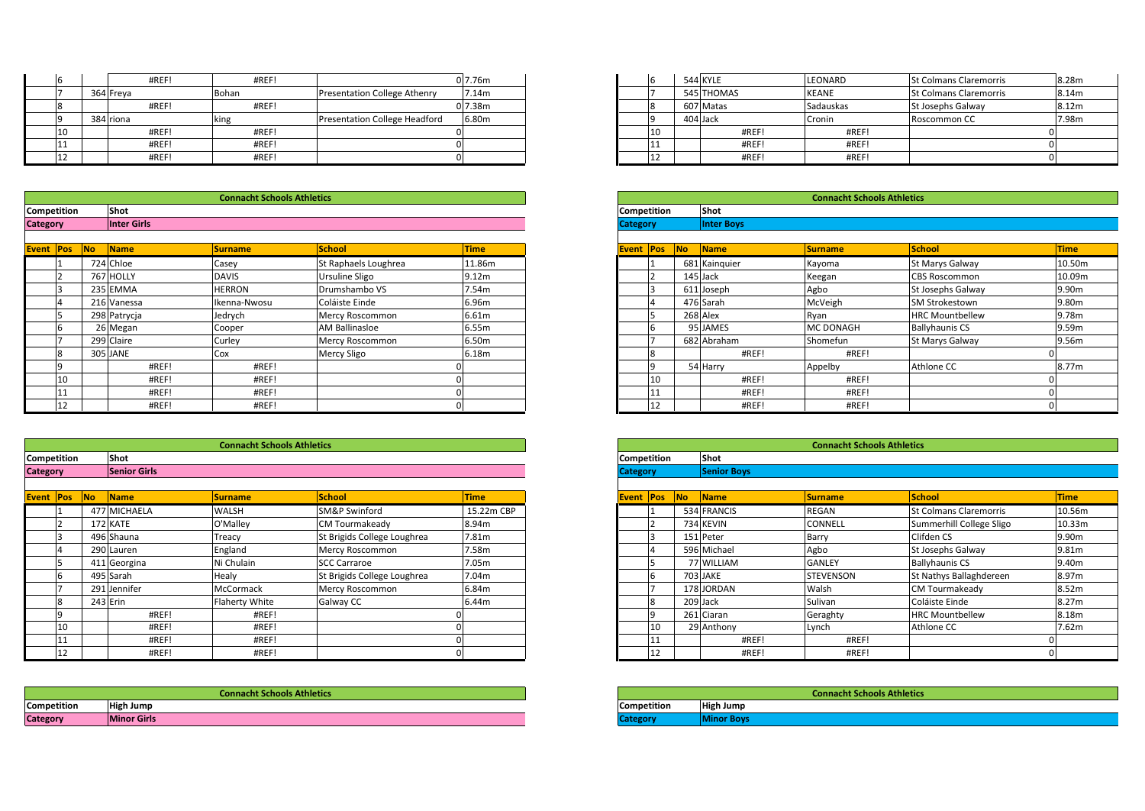|             |    | #REF!     | #REF!                             |                                     | 0 7.76m    |                    | 544 KYLE   | LEONARD                           | <b>St Colman</b>  |
|-------------|----|-----------|-----------------------------------|-------------------------------------|------------|--------------------|------------|-----------------------------------|-------------------|
|             |    | 364 Freya | Bohan                             | <b>Presentation College Athenry</b> | 7.14m      |                    | 545 THOMAS | <b>KEANE</b>                      | <b>St Colman</b>  |
|             |    | #REF!     | #REF!                             |                                     | $0\,7.38m$ |                    | 607 Matas  | Sadauskas                         | <b>St Josephs</b> |
|             |    | 384 riona | king                              | Presentation College Headford       | 6.80m      |                    | 404 Jack   | Cronin                            | Roscomm           |
|             | 10 | #REF!     | #REF!                             |                                     |            | 10                 | #REF!      | #REF!                             |                   |
|             | 11 | #REF!     | #REF!                             |                                     |            |                    | #REF!      | #REF!                             |                   |
|             | 12 | #REF!     | #REF!                             |                                     |            |                    | #REF!      | #REF!                             |                   |
|             |    |           |                                   |                                     |            |                    |            |                                   |                   |
|             |    |           |                                   |                                     |            |                    |            |                                   |                   |
|             |    |           | <b>Connacht Schools Athletics</b> |                                     |            |                    |            | <b>Connacht Schools Athletics</b> |                   |
| Competition |    | Shot      |                                   |                                     |            | <b>Competition</b> | Shot       |                                   |                   |

| <b>Category</b>    | <b>Inter Girls</b> |                                   |    |  | <b>Category</b>    | <b>Inter Boys</b> |
|--------------------|--------------------|-----------------------------------|----|--|--------------------|-------------------|
| <b>Competition</b> | <b>Shot</b>        |                                   |    |  | <b>Competition</b> | Shot              |
|                    |                    | <b>Connacht Schools Athletics</b> |    |  |                    |                   |
|                    |                    |                                   |    |  |                    |                   |
| $\sim$<br>ᅭ        | #REF!              | #REF!                             | 01 |  |                    | #REF!             |
| 11                 | #REF!              | #REF!                             | 01 |  | <b>TT</b>          | #REF!             |

| Event Pos |              |                |                       |                   |
|-----------|--------------|----------------|-----------------------|-------------------|
| <b>No</b> | <b>Name</b>  | <b>Surname</b> | <b>School</b>         | <b>Time</b>       |
| 724 Chloe |              | Casey          | St Raphaels Loughrea  | 11.86m            |
|           | 767 HOLLY    | <b>DAVIS</b>   | <b>Ursuline Sligo</b> | 9.12 <sub>m</sub> |
|           | 235 EMMA     | <b>HERRON</b>  | Drumshambo VS         | 7.54m             |
|           | 216 Vanessa  | Ikenna-Nwosu   | Coláiste Einde        | 6.96m             |
|           | 298 Patrycja | Jedrych        | Mercy Roscommon       | 6.61m             |
|           | 26 Megan     | Cooper         | <b>AM Ballinasloe</b> | 6.55m             |
|           | 299 Claire   | Curley         | Mercy Roscommon       | 6.50m             |
|           | 305 JANE     | Cox            | <b>Mercy Sligo</b>    | 6.18m             |
|           | #REF!        | #REF!          |                       |                   |
|           | #REF!        | #REF!          |                       |                   |
|           | #REF!        | #REF!          |                       |                   |
|           | #REF!        | #REF!          |                       |                   |

|                    | 11           |                | #REF!               | #REF!                             |                             |             |                    | 11                      |    | #REF!              | #REF!                             |                  |
|--------------------|--------------|----------------|---------------------|-----------------------------------|-----------------------------|-------------|--------------------|-------------------------|----|--------------------|-----------------------------------|------------------|
|                    | 12           |                | #REF!               | #REF!                             |                             |             |                    | 12                      |    | #REF!              | #REF!                             |                  |
|                    |              |                |                     |                                   |                             |             |                    |                         |    |                    |                                   |                  |
|                    |              |                |                     | <b>Connacht Schools Athletics</b> |                             |             |                    |                         |    |                    | <b>Connacht Schools Athletics</b> |                  |
|                    | Competition  |                | Shot                |                                   |                             |             | Competition        |                         |    | Shot               |                                   |                  |
| <b>Category</b>    |              |                | <b>Senior Girls</b> |                                   |                             |             | <b>Category</b>    |                         |    | <b>Senior Boys</b> |                                   |                  |
|                    |              |                |                     |                                   |                             |             |                    |                         |    |                    |                                   |                  |
| <b>Event Pos</b>   |              | N <sub>o</sub> | Name                | <b>Surname</b>                    | <b>School</b>               | <b>Time</b> | <b>Event Pos</b>   |                         | No | Name               | <b>Surname</b>                    | <b>School</b>    |
|                    |              |                | 477 MICHAELA        | WALSH                             | SM&P Swinford               | 15.22m CBP  |                    |                         |    | 534 FRANCIS        | <b>REGAN</b>                      | <b>St Colman</b> |
|                    |              |                | 172 KATE            | O'Malley                          | <b>CM Tourmakeady</b>       | 8.94m       |                    |                         |    | 734 KEVIN          | <b>CONNELL</b>                    | Summerhi         |
|                    |              |                | 496 Shauna          | Treacy                            | St Brigids College Loughrea | 7.81m       |                    |                         |    | 151 Peter          | Barry                             | Clifden CS       |
|                    |              |                | 290 Lauren          | England                           | Mercy Roscommon             | 7.58m       |                    |                         |    | 596 Michael        | Agbo                              | St Josephs       |
|                    |              |                | 411 Georgina        | Ni Chulain                        | <b>SCC Carraroe</b>         | 7.05m       |                    | 15                      |    | 77 WILLIAM         | <b>GANLEY</b>                     | Ballyhauni       |
|                    | 6            |                | 495 Sarah           | Healy                             | St Brigids College Loughrea | 7.04m       |                    | 6                       |    | 703 JAKE           | <b>STEVENSON</b>                  | St Nathys        |
|                    |              |                | 291 Jennifer        | McCormack                         | Mercy Roscommon             | 6.84m       |                    |                         |    | 178 JORDAN         | Walsh                             | <b>CM Tourm</b>  |
|                    | 8            |                | 243 Erin            | Flaherty White                    | Galway CC                   | 6.44m       |                    | $\overline{\mathbf{8}}$ |    | 209 Jack           | Sulivan                           | Coláiste Ei      |
|                    | $\mathbf{Q}$ |                | #REF!               | #REF!                             |                             |             |                    | $\mathbf{q}$            |    | 261 Ciaran         | Geraghty                          | <b>HRC Mour</b>  |
|                    | 10           |                | #REF!               | #REF!                             |                             |             |                    | 10                      |    | 29 Anthony         | Lynch                             | Athlone C        |
|                    | 11           |                | #REF!               | #REF!                             |                             |             |                    | 11                      |    | #REF!              | #REF!                             |                  |
|                    | 12           |                | #REF!               | #REF!                             |                             |             |                    | 12                      |    | #REF!              | #REF!                             |                  |
|                    |              |                |                     |                                   |                             |             |                    |                         |    |                    |                                   |                  |
|                    |              |                |                     |                                   |                             |             |                    |                         |    |                    |                                   |                  |
|                    |              |                |                     | <b>Connacht Schools Athletics</b> |                             |             |                    |                         |    |                    | <b>Connacht Schools Athletics</b> |                  |
| <b>Competition</b> |              |                | <b>High Jump</b>    |                                   |                             |             | <b>Competition</b> |                         |    | <b>High Jump</b>   |                                   |                  |

| <b>Category</b> | <b>Minor Girls</b> |                                   |   | <b>Category</b>    | <b>Minor Boys</b> |
|-----------------|--------------------|-----------------------------------|---|--------------------|-------------------|
| Competition     | <b>High Jump</b>   |                                   |   | <b>Competition</b> | <b>High Jump</b>  |
|                 |                    | <b>Connacht Schools Athletics</b> |   |                    |                   |
|                 |                    |                                   |   |                    |                   |
| 12              | #REF!              | #REF!                             |   | 12                 | #R                |
| 11              | #REF!              | #REF!                             | n | 111                | #R                |

| #REF!     | #REF!       |                               | 0 7.76m |
|-----------|-------------|-------------------------------|---------|
| 364 Freya | Bohan       | Presentation College Athenry  | 7.14m   |
| #REF!     | #REF!       |                               | 0 7.38m |
| 384 riona | <b>king</b> | Presentation College Headford | 6.80m   |
| #REF!     | #REF!       |                               |         |
| #REF!     | #REF!       |                               |         |
| #REF!     | #REF!       |                               |         |

|                   |                    | <b>Connacht Schools Athletics</b> |                       |             |
|-------------------|--------------------|-----------------------------------|-----------------------|-------------|
| :ition            | Shot               |                                   |                       |             |
|                   | <b>Inter Girls</b> |                                   |                       |             |
|                   |                    |                                   |                       |             |
| <b>INO</b><br>Pos | <b>Name</b>        | <b>Surname</b>                    | <b>School</b>         | <b>Time</b> |
|                   | 724 Chloe          | Casey                             | St Raphaels Loughrea  | 11.86m      |
|                   | 767 HOLLY          | <b>DAVIS</b>                      | <b>Ursuline Sligo</b> | 9.12m       |
|                   | 235 EMMA           | <b>HERRON</b>                     | Drumshambo VS         | 7.54m       |
|                   | 216 Vanessa        | Ikenna-Nwosu                      | Coláiste Einde        | 6.96m       |
|                   | 298 Patrycia       | Jedrvch                           | Mercy Roscommon       | 6.61m       |

|          | Ikenna-Nwosu | Coláiste Einde        | 6.96m |    | 476 Sarah   | McVeigh          | <b>SM Strokestown</b>  | 9.80m |
|----------|--------------|-----------------------|-------|----|-------------|------------------|------------------------|-------|
| Patrycja | Jedrych      | Mercy Roscommon       | 6.61m |    | 268 Alex    | Ryan             | <b>HRC Mountbellew</b> | 9.78m |
| Megan    | Cooper       | <b>AM Ballinasloe</b> | 6.55m |    | 95 JAMES    | <b>MC DONAGH</b> | <b>Ballyhaunis CS</b>  | 9.59m |
| Claire   | Curley       | Mercy Roscommon       | 6.50m |    | 682 Abraham | <b>Shomefun</b>  | <b>St Marys Galway</b> | 9.56m |
| JANE     | Cox          | Mercy Sligo           | 6.18m |    | #REF!       | #REF!            |                        |       |
| #REF!    | #REF!        |                       |       |    | 54 Harry    | Appelby          | Athlone CC             | 8.77m |
| #REF!    | #REF!        |                       |       | 10 | #REF!       | #REF!            |                        |       |
| #REF!    | #REF!        |                       |       |    | #REF!       | #REF!            |                        |       |
| #REF!    | #REF!        |                       |       |    | #REF!       | #REF!            |                        |       |

|            |     |                     | <b>Connacht Schools Athletics</b> |                             |             |
|------------|-----|---------------------|-----------------------------------|-----------------------------|-------------|
| ition:     |     | Shot                |                                   |                             |             |
|            |     | <b>Senior Girls</b> |                                   |                             |             |
|            |     |                     |                                   |                             |             |
| No.<br>Pos |     | Name                | Surname                           | <b>School</b>               | <b>Time</b> |
|            |     | 477 MICHAELA        | <b>WALSH</b>                      | <b>SM&amp;P Swinford</b>    | 15.22m CBP  |
|            |     | 172 KATE            | O'Malley                          | <b>CM Tourmakeady</b>       | 8.94m       |
|            |     | 496 Shauna          | Treacy                            | St Brigids College Loughrea | 7.81m       |
|            | 290 | Lauren              | England                           | Mercy Roscommon             | 7.58m       |
|            |     | 411 Georgina        | Ni Chulain                        | <b>SCC Carraroe</b>         | 7.05m       |
|            |     | 495 Sarah           | Healy                             | St Brigids College Loughrea | 7.04m       |
|            |     | 291 Jennifer        | McCormack                         | Mercy Roscommon             | 6.84m       |
|            |     | 243 Erin            | <b>Flaherty White</b>             | Galway CC                   | 6.44m       |
|            |     | #REF!               | #REF!                             |                             |             |
| 10         |     | #REF!               | #REF!                             |                             |             |
|            |     | #REF!               | #REF!                             |                             |             |
| 12         |     | #REF!               | #REF!                             |                             |             |

|                    | <b>Connacht Schools Athletics</b> |
|--------------------|-----------------------------------|
| <b>Competition</b> | <b>High Jump</b>                  |
| <b>Category</b>    | <b>Minor Boys</b>                 |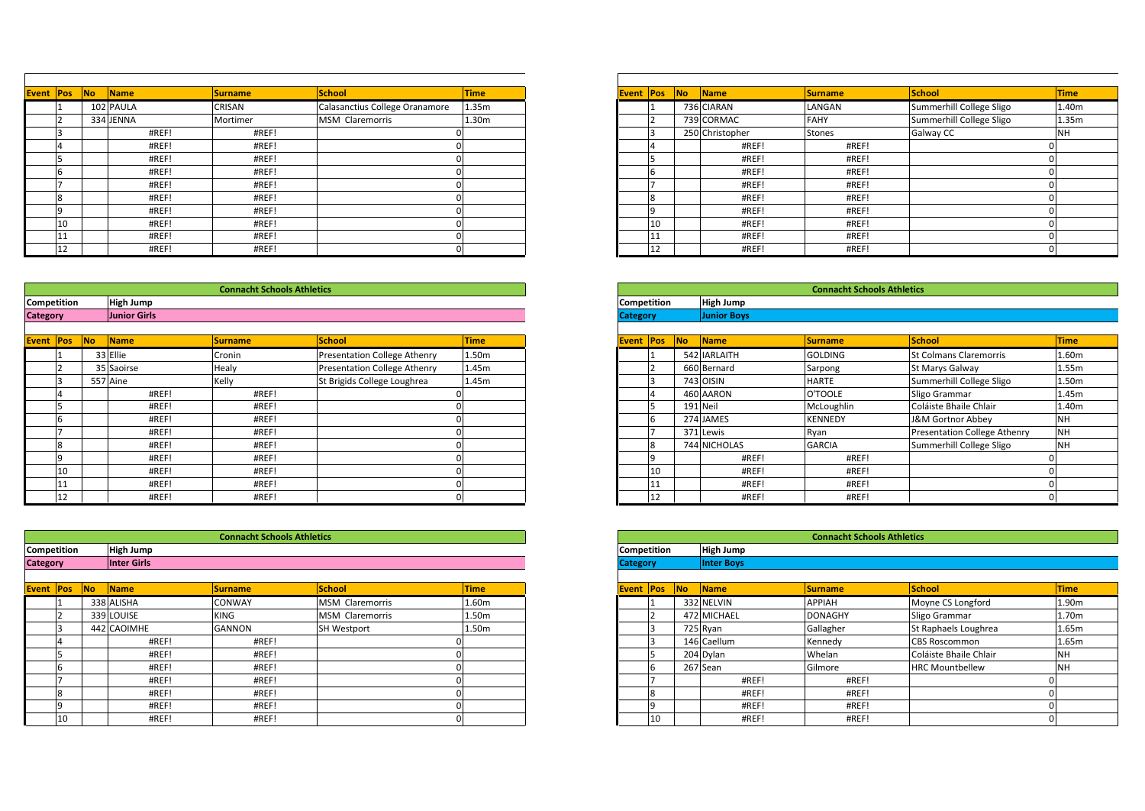| <b>Event Pos</b>   | <b>No</b> | <b>Name</b>      | <b>Surname</b>                    | <b>School</b>                  | Time  |
|--------------------|-----------|------------------|-----------------------------------|--------------------------------|-------|
|                    |           | 102 PAULA        | CRISAN                            | Calasanctius College Oranamore | 1.35m |
|                    |           | 334 JENNA        | Mortimer                          | MSM Claremorris                | 1.30m |
|                    |           | #REF!            | #REF!                             |                                |       |
|                    |           | #REF!            | #REF!                             |                                |       |
|                    |           | #REF!            | #REF!                             |                                |       |
|                    |           | #REF!            | #REF!                             |                                |       |
|                    |           | #REF!            | #REF!                             |                                |       |
| 8                  |           | #REF!            | #REF!                             |                                |       |
| ۱q                 |           | #REF!            | #REF!                             |                                |       |
|                    | 10        | #REF!            | #REF!                             |                                |       |
| TT                 |           | #REF!            | #REF!                             |                                |       |
|                    | 12        | #REF!            | #REF!                             |                                |       |
|                    |           |                  |                                   |                                |       |
|                    |           |                  | <b>Connacht Schools Athletics</b> |                                |       |
| <b>Competition</b> |           | <b>High Jump</b> |                                   |                                |       |

|                  | 11                 |                | #REF!               | #REF!                             |                                     |             |                    | 11           |                | #REF!              | #REF!                             |               |  |  |
|------------------|--------------------|----------------|---------------------|-----------------------------------|-------------------------------------|-------------|--------------------|--------------|----------------|--------------------|-----------------------------------|---------------|--|--|
|                  | 12                 |                | #REF!               | #REF!                             |                                     |             |                    | 12           |                | #REF!              | #REF!                             |               |  |  |
|                  |                    |                |                     |                                   |                                     |             |                    |              |                |                    |                                   |               |  |  |
|                  |                    |                |                     | <b>Connacht Schools Athletics</b> |                                     |             |                    |              |                |                    | <b>Connacht Schools Athletics</b> |               |  |  |
|                  | Competition        |                | <b>High Jump</b>    |                                   |                                     |             | Competition        |              |                | <b>High Jump</b>   |                                   |               |  |  |
| <b>Category</b>  |                    |                | <b>Junior Girls</b> |                                   |                                     |             | <b>Category</b>    |              |                | <b>Junior Boys</b> |                                   |               |  |  |
|                  |                    |                |                     |                                   |                                     |             |                    |              |                |                    |                                   |               |  |  |
| <b>Event Pos</b> |                    | N <sub>o</sub> | Name                | <b>Surname</b>                    | <b>School</b>                       | <b>Time</b> | <b>Event Pos</b>   |              | N <sub>o</sub> | Name               | <b>Surname</b>                    | <b>School</b> |  |  |
|                  |                    |                | 33 Ellie            | Cronin                            | Presentation College Athenry        | 1.50m       |                    |              |                | 542 IARLAITH       | <b>GOLDING</b>                    | St Colman     |  |  |
|                  |                    |                | 35 Saoirse          | Healy                             | <b>Presentation College Athenry</b> | 1.45m       |                    |              |                | 660 Bernard        | Sarpong                           | St Marys 0    |  |  |
|                  | 3                  |                | 557 Aine            | Kelly                             | St Brigids College Loughrea         | 1.45m       |                    | 3            |                | 743 OISIN          | <b>HARTE</b>                      | Summerhi      |  |  |
|                  |                    |                | #REF!               | #REF!                             |                                     |             |                    |              |                | 460 AARON          | O'TOOLE                           | Sligo Gran    |  |  |
|                  |                    |                | #REF!               | #REF!                             |                                     |             |                    | 15           |                | 191 Neil           | McLoughlin                        | Coláiste B    |  |  |
|                  | 6                  |                | #REF!               | #REF!                             |                                     |             |                    | 6            |                | 274 JAMES          | <b>KENNEDY</b>                    | J&M Gorti     |  |  |
|                  |                    |                | #REF!               | #REF!                             |                                     |             |                    |              |                | 371 Lewis          | Ryan                              | Presentati    |  |  |
|                  | 8                  |                | #REF!               | #REF!                             |                                     |             |                    | 8            |                | 744 NICHOLAS       | <b>GARCIA</b>                     | Summerhi      |  |  |
|                  | 9                  |                | #REF!               | #REF!                             |                                     |             |                    | $\mathbf{q}$ |                | #REF!              | #REF!                             |               |  |  |
|                  | 10                 |                | #REF!               | #REF!                             |                                     |             |                    | 10           |                | #REF!              | #REF!                             |               |  |  |
|                  | 11                 |                | #REF!               | #REF!                             |                                     |             |                    | 11           |                | #REF!              | #REF!                             |               |  |  |
|                  | 12                 |                | #REF!               | #REF!                             |                                     |             |                    | 12           |                | #REF!              | #REF!                             |               |  |  |
|                  |                    |                |                     |                                   |                                     |             |                    |              |                |                    |                                   |               |  |  |
|                  |                    |                |                     | <b>Connacht Schools Athletics</b> |                                     |             |                    |              |                |                    | <b>Connacht Schools Athletics</b> |               |  |  |
|                  | <b>Competition</b> |                | <b>High Jump</b>    |                                   |                                     |             | <b>Competition</b> |              |                | High Jump          |                                   |               |  |  |

|                 | 11 |           | #REF!            | #REF!                             |                        | 01 |             |                 | 11  |           | #                 |
|-----------------|----|-----------|------------------|-----------------------------------|------------------------|----|-------------|-----------------|-----|-----------|-------------------|
|                 | 12 |           | #REF!            | #REF!                             |                        | 0  |             |                 | 12  |           | #                 |
|                 |    |           |                  |                                   |                        |    |             |                 |     |           |                   |
|                 |    |           |                  | <b>Connacht Schools Athletics</b> |                        |    |             |                 |     |           |                   |
| Competition     |    |           | <b>High Jump</b> |                                   |                        |    |             | Competition     |     |           | <b>High Jump</b>  |
| <b>Category</b> |    |           | Inter Girls      |                                   |                        |    |             | <b>Category</b> |     |           | <b>Inter Boys</b> |
|                 |    |           |                  |                                   |                        |    |             |                 |     |           |                   |
| Event Pos       |    | <b>No</b> | Name             | <b>Surname</b>                    | <b>School</b>          |    | <b>Time</b> | <b>Event</b>    | Pos | <b>No</b> | Name              |
|                 |    |           | 338 ALISHA       | CONWAY                            | <b>MSM Claremorris</b> |    | 1.60m       |                 |     |           | 332 NELVIN        |
|                 |    |           | 339 LOUISE       | <b>KING</b>                       | <b>MSM Claremorris</b> |    | 1.50m       |                 |     |           | 472 MICHAEL       |
|                 |    |           | 442 CAOIMHE      | <b>GANNON</b>                     | SH Westport            |    | 1.50m       |                 | 3   |           | 725 Ryan          |
|                 | 4  |           | #REF!            | #REF!                             |                        |    |             |                 |     |           | 146 Caellum       |
|                 |    |           | #REF!            | #REF!                             |                        | n  |             |                 |     |           | 204 Dylan         |
|                 | 6  |           | #REF!            | #REF!                             |                        | 0  |             |                 | 16  |           | 267 Sean          |
|                 |    |           | #REF!            | #REF!                             |                        | n  |             |                 |     |           | #                 |
|                 | 8  |           | #REF!            | #REF!                             |                        | 0  |             |                 | 8   |           | #                 |
|                 | 9  |           | #REF!            | #REF!                             |                        | 0  |             |                 | 19  |           | #                 |
|                 | 10 |           | #REF!            | #REF!                             |                        | 0  |             |                 | 10  |           | #                 |

| Pos | No | Name      | <b>Surname</b> | School                         | <b>Time</b>       |
|-----|----|-----------|----------------|--------------------------------|-------------------|
|     |    | 102 PAULA | CRISAN         | Calasanctius College Oranamore | 1.35m             |
|     |    | 334 JENNA | Mortimer       | MSM Claremorris                | 1.30 <sub>m</sub> |
|     |    | #REF!     | #REF!          |                                |                   |
|     |    | #REF!     | #REF!          |                                |                   |
|     |    | #REF!     | #REF!          |                                |                   |
|     |    | #REF!     | #REF!          |                                |                   |
|     |    | #REF!     | #REF!          |                                |                   |
|     |    | #REF!     | #REF!          |                                |                   |
|     |    | #REF!     | #REF!          |                                |                   |
| 10  |    | #REF!     | #REF!          |                                |                   |
| 11  |    | #REF!     | #REF!          |                                |                   |
| 12  |    | #REF!     | #REF!          |                                |                   |

|        |    |                     | <b>Connacht Schools Athletics</b> |                                     |             |
|--------|----|---------------------|-----------------------------------|-------------------------------------|-------------|
| ition: |    | High Jump           |                                   |                                     |             |
|        |    | <b>Junior Girls</b> |                                   |                                     |             |
|        |    |                     |                                   |                                     |             |
| Pos    | No | Name                | <b>Surname</b>                    | School                              | <b>Time</b> |
|        |    | 33 Ellie            | Cronin                            | <b>Presentation College Athenry</b> | 1.50m       |
|        |    | 35 Saoirse          | Healy                             | <b>Presentation College Athenry</b> | 1.45m       |
|        |    | 557 Aine            | Kelly                             | St Brigids College Loughrea         | 1.45m       |
|        |    | #REF!               | #REF!                             |                                     |             |
|        |    | #REF!               | #REF!                             |                                     |             |
|        |    | #REF!               | #REF!                             |                                     |             |
|        |    | #REF!               | #REF!                             |                                     |             |
|        |    | #REF!               | #REF!                             |                                     |             |
|        |    | #REF!               | #REF!                             |                                     |             |
| 10     |    | #REF!               | #REF!                             |                                     |             |
| 11     |    | #REF!               | #REF!                             |                                     |             |
| 12     |    | #REF!               | #REF!                             |                                     |             |

|        |     |                    | <b>Connacht Schools Athletics</b> |                    |             |
|--------|-----|--------------------|-----------------------------------|--------------------|-------------|
| ition: |     | <b>High Jump</b>   |                                   |                    |             |
|        |     | <b>Inter Girls</b> |                                   |                    |             |
|        |     |                    |                                   |                    |             |
| Pos    | No. | Name               | <b>Surname</b>                    | School             | <b>Time</b> |
|        |     | 338 ALISHA         | CONWAY                            | MSM Claremorris    | 1.60m       |
|        |     | 339 LOUISE         | <b>KING</b>                       | MSM Claremorris    | 1.50m       |
|        |     | 442 CAOIMHE        | <b>GANNON</b>                     | <b>SH Westport</b> | 1.50m       |
|        |     | #REF!              | #REF!                             |                    |             |
|        |     | #REF!              | #REF!                             |                    |             |
|        |     | #REF!              | #REF!                             |                    |             |
|        |     | #REF!              | #REF!                             |                    |             |
|        |     | #REF!              | #REF!                             |                    |             |
|        |     | #REF!              | #REF!                             |                    |             |
| 10     |     | #REF!              | #REF!                             |                    |             |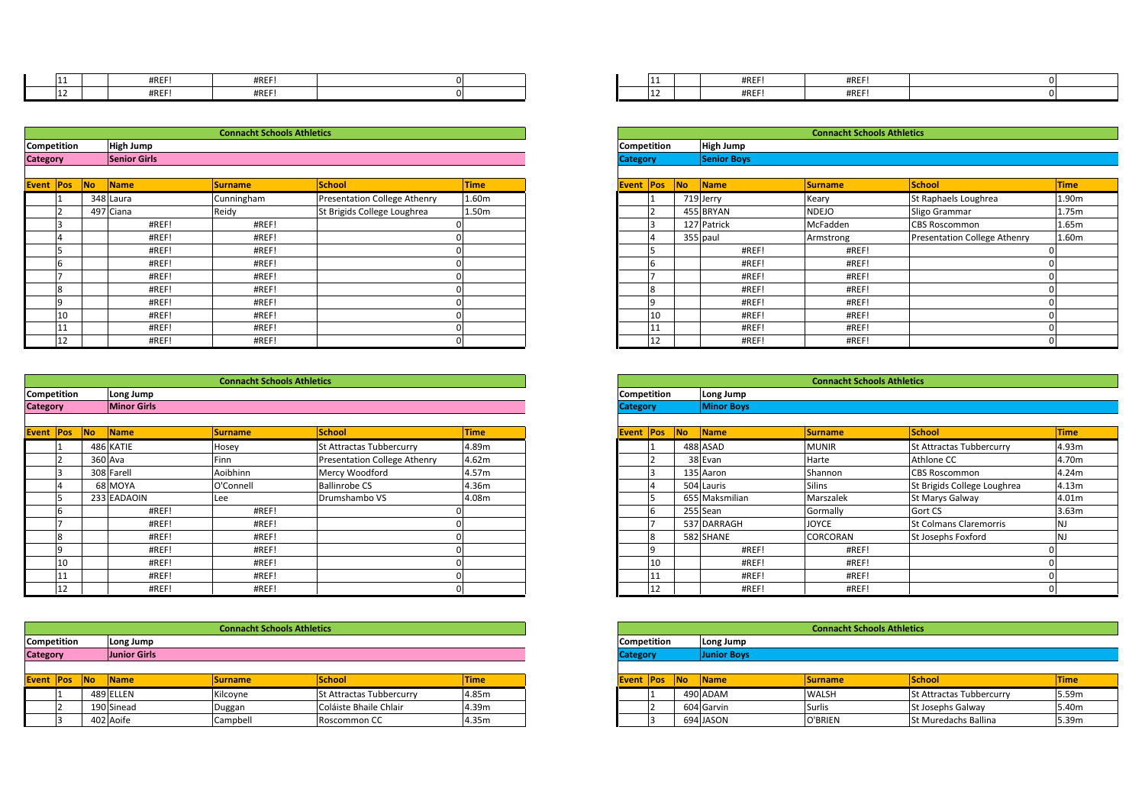|             | #REF!            | #REF!                             |  |                    | 11 | #REF!     | #REF!                             |  |
|-------------|------------------|-----------------------------------|--|--------------------|----|-----------|-----------------------------------|--|
|             | #REF!            | #REF!                             |  |                    |    | #REF!     | #REF!                             |  |
|             |                  |                                   |  |                    |    |           |                                   |  |
|             |                  |                                   |  |                    |    |           |                                   |  |
|             |                  | <b>Connacht Schools Athletics</b> |  |                    |    |           | <b>Connacht Schools Athletics</b> |  |
| Competition | <b>High Jump</b> |                                   |  | <b>Competition</b> |    | High Jump |                                   |  |

|                 | 11                 |           | #REF!               | #REF!                             |                              |             |                    | 11           |    | #REF!              | #REF!                             |                  |  |
|-----------------|--------------------|-----------|---------------------|-----------------------------------|------------------------------|-------------|--------------------|--------------|----|--------------------|-----------------------------------|------------------|--|
|                 | 12                 |           | #REF!               | #REF!                             |                              |             |                    | 12           |    | #REF!              | #REF!                             |                  |  |
|                 |                    |           |                     |                                   |                              |             |                    |              |    |                    |                                   |                  |  |
|                 |                    |           |                     | <b>Connacht Schools Athletics</b> |                              |             |                    |              |    |                    | <b>Connacht Schools Athletics</b> |                  |  |
|                 | Competition        |           | High Jump           |                                   |                              |             | Competition        |              |    | <b>High Jump</b>   |                                   |                  |  |
| <b>Category</b> |                    |           | <b>Senior Girls</b> |                                   |                              |             | <b>Category</b>    |              |    | <b>Senior Boys</b> |                                   |                  |  |
|                 |                    |           |                     |                                   |                              |             |                    |              |    |                    |                                   |                  |  |
| Event Pos       |                    | <b>No</b> | Name                | <b>Surname</b>                    | <b>School</b>                | <b>Time</b> | Event Pos          |              | No | Name               | <b>Surname</b>                    | School           |  |
|                 |                    |           | 348 Laura           | Cunningham                        | Presentation College Athenry | 1.60m       |                    |              |    | 719 Jerry          | Keary                             | St Raphae        |  |
|                 |                    |           | 497 Ciana           | Reidy                             | St Brigids College Loughrea  | 1.50m       |                    |              |    | 455 BRYAN          | <b>NDEJO</b>                      | Sligo Gran       |  |
|                 |                    |           | #REF!               | #REF!                             |                              |             |                    | 3            |    | 127 Patrick        | McFadden                          | <b>CBS Rosco</b> |  |
|                 |                    |           | #REF!               | #REF!                             |                              |             |                    |              |    | 355 paul           | Armstrong                         | Presentati       |  |
|                 |                    |           | #REF!               | #REF!                             |                              |             |                    | 5            |    | #REF!              | #REF!                             |                  |  |
|                 | b                  |           | #REF!               | #REF!                             |                              |             |                    | 6            |    | #REF!              | #REF!                             |                  |  |
|                 |                    |           | #REF!               | #REF!                             |                              |             |                    |              |    | #REF!              | #REF!                             |                  |  |
|                 | 8                  |           | #REF!               | #REF!                             |                              |             |                    | $\mathbf{R}$ |    | #REF!              | #REF!                             |                  |  |
|                 | $\Omega$           |           | #REF!               | #REF!                             |                              |             |                    | $\Omega$     |    | #REF!              | #REF!                             |                  |  |
|                 | 10                 |           | #REF!               | #REF!                             |                              |             |                    | 10           |    | #REF!              | #REF!                             |                  |  |
|                 | 11                 |           | #REF!               | #REF!                             |                              |             |                    | 11           |    | #REF!              | #REF!                             |                  |  |
|                 | 12                 |           | #REF!               | #REF!                             |                              |             |                    | 12           |    | #REF!              | #REF!                             |                  |  |
|                 |                    |           |                     |                                   |                              |             |                    |              |    |                    |                                   |                  |  |
|                 |                    |           |                     | <b>Connacht Schools Athletics</b> |                              |             |                    |              |    |                    | <b>Connacht Schools Athletics</b> |                  |  |
|                 | <b>Competition</b> |           | Long Jump           |                                   |                              |             | <b>Competition</b> |              |    | Long Jump          |                                   |                  |  |

| Category    | <b>Minor Girls</b> |                                   |  | <b>Category</b>    | <b>Minor Boys</b> |
|-------------|--------------------|-----------------------------------|--|--------------------|-------------------|
| Competition | Long Jump          |                                   |  | <b>Competition</b> | Long Jump         |
|             |                    | <b>Connacht Schools Athletics</b> |  |                    |                   |
|             |                    |                                   |  |                    |                   |
| L Z         | #REF!              | #REF!                             |  | 12                 | #REF!             |
| <b>LL</b>   | #REF!              | #REF!                             |  | 11                 | #REF!             |

| Event   Pos |                    | <b>No</b> | Name        | <b>Surname</b>                    | <b>School</b>                | <b>Time</b> |
|-------------|--------------------|-----------|-------------|-----------------------------------|------------------------------|-------------|
|             |                    |           | 486 KATIE   | Hosey                             | St Attractas Tubbercurry     | 4.89m       |
|             |                    |           | 360 Ava     | Finn                              | Presentation College Athenry | 4.62m       |
|             |                    |           | 308 Farell  | Aoibhinn                          | Mercy Woodford               | 4.57m       |
|             |                    |           | 68 MOYA     | O'Connell                         | <b>Ballinrobe CS</b>         | 4.36m       |
|             |                    |           | 233 EADAOIN | Lee                               | Drumshambo VS                | 4.08m       |
|             |                    |           | #REF!       | #REF!                             |                              |             |
|             |                    |           | #REF!       | #REF!                             |                              |             |
|             |                    |           | #REF!       | #REF!                             |                              |             |
|             |                    |           | #REF!       | #REF!                             |                              |             |
|             | 10                 |           | #REF!       | #REF!                             |                              |             |
|             |                    |           | #REF!       | #REF!                             |                              |             |
|             | 12                 |           | #REF!       | #REF!                             |                              |             |
|             |                    |           |             |                                   |                              |             |
|             |                    |           |             | <b>Connacht Schools Athletics</b> |                              |             |
|             | <b>Competition</b> |           | Long Jump   |                                   |                              |             |

|                 | '11 |            | #REF!               | #REF!                             |                                 |             |                  | 111                |            | #R          |
|-----------------|-----|------------|---------------------|-----------------------------------|---------------------------------|-------------|------------------|--------------------|------------|-------------|
|                 | 12  |            | #REF!               | #REF!                             |                                 |             |                  | 12                 |            | #R          |
|                 |     |            |                     |                                   |                                 |             |                  |                    |            |             |
|                 |     |            |                     |                                   |                                 |             |                  |                    |            |             |
|                 |     |            |                     | <b>Connacht Schools Athletics</b> |                                 |             |                  |                    |            |             |
| Competition     |     |            | Long Jump           | <b>Competition</b>                |                                 |             | Long Jump        |                    |            |             |
| <b>Category</b> |     |            | <b>Junior Girls</b> |                                   | <b>Category</b>                 |             |                  | <b>Junior Boys</b> |            |             |
|                 |     |            |                     |                                   |                                 |             |                  |                    |            |             |
| Event Pos       |     | <b>INo</b> | <b>Name</b>         | <b>Surname</b>                    | School                          | <b>Time</b> | <b>Event Pos</b> |                    | <b>INo</b> | <b>Name</b> |
|                 |     |            | 489 ELLEN           | Kilcoyne                          | <b>St Attractas Tubbercurry</b> | 4.85m       |                  |                    |            | 490 ADAM    |
|                 |     |            | 190 Sinead          | Duggan                            | Coláiste Bhaile Chlair          | 4.39m       |                  |                    |            | 604 Garvin  |
|                 |     |            | 402 Aoife           | Campbell                          | Roscommon CC                    | 4.35m       |                  |                    |            | 694 JASON   |
|                 |     |            |                     |                                   |                                 |             |                  |                    |            |             |

| #REF! | #REF! |  | 11 | #REF! | #REF! |  |
|-------|-------|--|----|-------|-------|--|
| #REF! | #REF! |  | 12 | #REF! | #REF! |  |

|        | <b>Connacht Schools Athletics</b> |           |                |                              |             |  |  |  |  |  |
|--------|-----------------------------------|-----------|----------------|------------------------------|-------------|--|--|--|--|--|
| ition: | <b>High Jump</b>                  |           |                |                              |             |  |  |  |  |  |
|        | <b>Senior Girls</b>               |           |                |                              |             |  |  |  |  |  |
|        |                                   |           |                |                              |             |  |  |  |  |  |
| Pos    | No                                | Name      | <b>Surname</b> | School                       | <b>Time</b> |  |  |  |  |  |
|        |                                   | 348 Laura | Cunningham     | Presentation College Athenry | 1.60m       |  |  |  |  |  |
|        |                                   | 497 Ciana | Reidy          | St Brigids College Loughrea  | 1.50m       |  |  |  |  |  |
|        |                                   | #REF!     | #REF!          |                              |             |  |  |  |  |  |
|        |                                   | #REF!     | #REF!          |                              |             |  |  |  |  |  |
|        |                                   | #REF!     | #REF!          |                              |             |  |  |  |  |  |
|        |                                   | #REF!     | #REF!          |                              |             |  |  |  |  |  |
|        |                                   | #REF!     | #REF!          |                              |             |  |  |  |  |  |
|        |                                   | #REF!     | #REF!          |                              |             |  |  |  |  |  |
|        |                                   | #REF!     | #REF!          |                              |             |  |  |  |  |  |
| 10     |                                   | #REF!     | #REF!          |                              |             |  |  |  |  |  |
| 11     |                                   | #REF!     | #REF!          |                              |             |  |  |  |  |  |
| 12     |                                   | #REF!     | #REF!          |                              |             |  |  |  |  |  |

|        | <b>Connacht Schools Athletics</b> |             |                |                                     |             |  |  |  |  |  |
|--------|-----------------------------------|-------------|----------------|-------------------------------------|-------------|--|--|--|--|--|
| ition: | Long Jump                         |             |                |                                     |             |  |  |  |  |  |
|        | <b>Minor Girls</b>                |             |                |                                     |             |  |  |  |  |  |
|        |                                   |             |                |                                     |             |  |  |  |  |  |
| Pos    | <b>No</b>                         | Name        | <b>Surname</b> | School                              | <b>Time</b> |  |  |  |  |  |
|        |                                   | 486 KATIE   | Hosey          | St Attractas Tubbercurry            | 4.89m       |  |  |  |  |  |
|        |                                   | 360 Ava     | Finn           | <b>Presentation College Athenry</b> | 4.62m       |  |  |  |  |  |
|        |                                   | 308 Farell  | Aoibhinn       | Mercy Woodford                      | 4.57m       |  |  |  |  |  |
|        |                                   | 68 MOYA     | O'Connell      | <b>Ballinrobe CS</b>                | 4.36m       |  |  |  |  |  |
|        |                                   | 233 EADAOIN | Lee            | Drumshambo VS                       | 4.08m       |  |  |  |  |  |
|        |                                   | #REF!       | #REF!          |                                     |             |  |  |  |  |  |
|        |                                   | #REF!       | #REF!          |                                     |             |  |  |  |  |  |
|        |                                   | #REF!       | #REF!          |                                     |             |  |  |  |  |  |
|        |                                   | #REF!       | #REF!          |                                     |             |  |  |  |  |  |
| 10     |                                   | #REF!       | #REF!          |                                     |             |  |  |  |  |  |
|        |                                   | #REF!       | #REF!          |                                     |             |  |  |  |  |  |
| 12     | #REF!                             |             | #REF!          |                                     |             |  |  |  |  |  |

|        | <b>Connacht Schools Athletics</b> |             |                |                                 |             |  |  |  |  |  |  |
|--------|-----------------------------------|-------------|----------------|---------------------------------|-------------|--|--|--|--|--|--|
| :ition | Long Jump                         |             |                |                                 |             |  |  |  |  |  |  |
|        | <b>Junior Girls</b>               |             |                |                                 |             |  |  |  |  |  |  |
|        |                                   |             |                |                                 |             |  |  |  |  |  |  |
| Pos    | <b>No</b>                         | <b>Name</b> | <b>Surname</b> | School                          | <b>Time</b> |  |  |  |  |  |  |
|        |                                   | 489 ELLEN   | Kilcoyne       | <b>St Attractas Tubbercurry</b> | 4.85m       |  |  |  |  |  |  |
|        |                                   | 190 Sinead  | Duggan         | Coláiste Bhaile Chlair          | 4.39m       |  |  |  |  |  |  |
|        |                                   | 402 Aoife   | Campbell       | Roscommon CC                    | 4.35m       |  |  |  |  |  |  |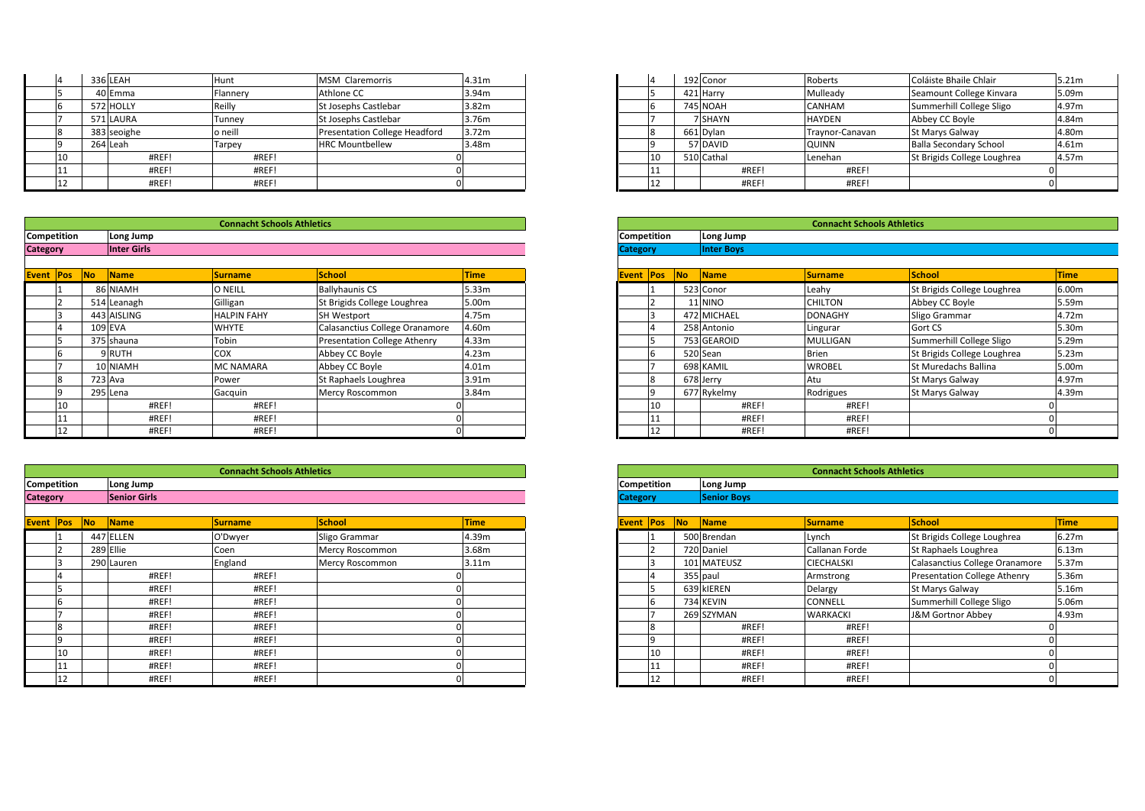| <b>Competition</b> |    | Long Jump   |                                   |                                      |                   | <b>Competition</b> | Long Jump                         |                 |                   |
|--------------------|----|-------------|-----------------------------------|--------------------------------------|-------------------|--------------------|-----------------------------------|-----------------|-------------------|
|                    |    |             | <b>Connacht Schools Athletics</b> |                                      |                   |                    | <b>Connacht Schools Athletics</b> |                 |                   |
|                    |    |             |                                   |                                      |                   |                    |                                   |                 |                   |
|                    | 12 | #REF!       | #REF!                             |                                      |                   | ᅭ                  | #REF!                             | #REF!           |                   |
|                    |    | #REF!       | #REF!                             |                                      |                   |                    | #REF!                             | #REF!           |                   |
|                    | 10 | #REF!       | #REF!                             |                                      |                   | ΊŪ                 | 510 Cathal                        | Lenehan         | St Brigids        |
|                    |    | 264 Leah    | Tarpey                            | <b>HRC Mountbellew</b>               | 3.48m             |                    | 57 DAVID                          | <b>QUINN</b>    | <b>Balla Seco</b> |
|                    |    | 383 seoighe | o neill                           | <b>Presentation College Headford</b> | 3.72m             |                    | 661 Dylan                         | Traynor-Canavan | St Marys 0        |
|                    |    | 571 LAURA   | Tunney                            | St Josephs Castlebar                 | 3.76m             |                    | 7 SHAYN                           | <b>HAYDEN</b>   | Abbey CC          |
|                    |    | 572 HOLLY   | Reilly                            | St Josephs Castlebar                 | 3.82 <sub>m</sub> |                    | <b>745 NOAH</b>                   | <b>CANHAM</b>   | Summerhi          |
|                    |    | 40 Emma     | Flannery                          | Athlone CC                           | 3.94m             |                    | 421 Harry                         | Mulleady        | Seamount          |
|                    |    | 336 LEAH    | Hunt                              | <b>MSM Claremorris</b>               | 4.31m             |                    | 192 Conor                         | Roberts         | Coláiste B        |
|                    |    |             |                                   |                                      |                   |                    |                                   |                 |                   |

| <b>Category</b>    | <b>Inter Girls</b> |                                   |  | <b>Category</b>    | <b>Inter Boys</b> |
|--------------------|--------------------|-----------------------------------|--|--------------------|-------------------|
| <b>Competition</b> | Long Jump          |                                   |  | <b>Competition</b> | Long Jump         |
|                    |                    | <b>Connacht Schools Athletics</b> |  |                    |                   |
|                    |                    |                                   |  |                    |                   |
| 12                 | #REF!              | #REF!                             |  | . .<br>--          | #REF!             |
| 11                 | #REF!              | #REF!                             |  | ᆠᆂ                 | #REF!             |

| Event Pos          | <b>No</b> | <b>Name</b> | Surname                           | <b>School</b>                  | <b>Time</b> |
|--------------------|-----------|-------------|-----------------------------------|--------------------------------|-------------|
|                    |           | 86 NIAMH    | O NEILL                           | <b>Ballyhaunis CS</b>          | 5.33m       |
|                    |           | 514 Leanagh | Gilligan                          | St Brigids College Loughrea    | 5.00m       |
|                    |           | 443 AISLING | <b>HALPIN FAHY</b>                | <b>SH Westport</b>             | 4.75m       |
|                    |           | 109 EVA     | <b>WHYTE</b>                      | Calasanctius College Oranamore | 4.60m       |
|                    |           | 375 shauna  | Tobin                             | Presentation College Athenry   | 4.33m       |
|                    |           | 9 RUTH      | COX                               | Abbey CC Boyle                 | 4.23m       |
|                    |           | 10 NIAMH    | <b>MC NAMARA</b>                  | Abbey CC Boyle                 | 4.01m       |
|                    |           | 723 Ava     | Power                             | St Raphaels Loughrea           | 3.91m       |
|                    |           | 295 Lena    | Gacquin                           | Mercy Roscommon                | 3.84m       |
| 10                 |           | #REF!       | #REF!                             |                                |             |
|                    |           | #REF!       | #REF!                             |                                |             |
| 12                 |           | #REF!       | #REF!                             |                                |             |
|                    |           |             |                                   |                                |             |
|                    |           |             |                                   |                                |             |
|                    |           |             | <b>Connacht Schools Athletics</b> |                                |             |
| <b>Competition</b> |           | Long Jump   |                                   |                                |             |

|                 | 11 |    | #REF!               | #REF!                             |                 | 01          |                 | 11             |                | #REF!              |
|-----------------|----|----|---------------------|-----------------------------------|-----------------|-------------|-----------------|----------------|----------------|--------------------|
|                 | 12 |    | #REF!               | #REF!                             |                 | 0           |                 | 12             |                | #REF!              |
|                 |    |    |                     |                                   |                 |             |                 |                |                |                    |
|                 |    |    |                     | <b>Connacht Schools Athletics</b> |                 |             |                 |                |                |                    |
| Competition     |    |    | Long Jump           |                                   |                 |             | Competition     |                |                | Long Jump          |
| <b>Category</b> |    |    | <b>Senior Girls</b> |                                   |                 |             | <b>Category</b> |                |                | <b>Senior Boys</b> |
|                 |    |    |                     |                                   |                 |             |                 |                |                |                    |
| Event Pos       |    | No | <b>Name</b>         | <b>Surname</b>                    | School          | <b>Time</b> | Event Pos       |                | N <sub>o</sub> | Name               |
|                 |    |    | 447 ELLEN           | O'Dwyer                           | Sligo Grammar   | 4.39m       |                 |                |                | 500 Brendan        |
|                 |    |    | 289 Ellie           | Coen                              | Mercy Roscommon | 3.68m       |                 | 2              |                | 720 Daniel         |
|                 |    |    | 290 Lauren          | England                           | Mercy Roscommon | 3.11m       |                 | 3              |                | 101 MATEUSZ        |
|                 | 4  |    | #REF!               | #REF!                             |                 |             |                 | $\overline{4}$ |                | 355 paul           |
|                 | 5  |    | #REF!               | #REF!                             |                 |             |                 | 5              |                | 639 kIEREN         |
|                 | 6  |    | #REF!               | #REF!                             |                 |             |                 | 6              |                | 734 KEVIN          |
|                 |    |    | #REF!               | #REF!                             |                 |             |                 | $\overline{7}$ |                | 269 SZYMAN         |
|                 | 8  |    | #REF!               | #REF!                             |                 |             |                 | 8              |                | #REF!              |
|                 | 9  |    | #REF!               | #REF!                             |                 |             |                 | 19             |                | #REF!              |
|                 | 10 |    | #REF!               | #REF!                             |                 |             |                 | 10             |                | #REF!              |
|                 | 11 |    | #REF!               | #REF!                             |                 |             |                 | 11             |                | #REF!              |
|                 | 12 |    | #REF!               | #REF!                             |                 | 0           |                 | 12             |                | #REF!              |

| 336 LEAH    | Hunt     | MSM Claremorris                      | 4.31m             |
|-------------|----------|--------------------------------------|-------------------|
| 40 Emma     | Flannery | Athlone CC                           | 3.94m             |
| 572 HOLLY   | Reilly   | St Josephs Castlebar                 | 3.82 <sub>m</sub> |
| 571 LAURA   | Tunney   | <b>St Josephs Castlebar</b>          | 3.76m             |
| 383 seoighe | o neill  | <b>Presentation College Headford</b> | 3.72 <sub>m</sub> |
| 264 Leah    | Tarpey   | <b>HRC Mountbellew</b>               | 3.48m             |
| #REF!       | #REF!    |                                      |                   |
| #REF!       | #REF!    |                                      |                   |
| #REF!       | #REF!    |                                      |                   |

|        |    |                    | <b>Connacht Schools Athletics</b> |                                     |                   |
|--------|----|--------------------|-----------------------------------|-------------------------------------|-------------------|
| :ition |    | Long Jump          |                                   |                                     |                   |
|        |    | <b>Inter Girls</b> |                                   |                                     |                   |
|        |    |                    |                                   |                                     |                   |
| Pos    | No | Name               | <b>Surname</b>                    | School                              | <b>Time</b>       |
|        |    | 86 NIAMH           | O NEILL                           | <b>Ballyhaunis CS</b>               | 5.33m             |
|        |    | 514 Leanagh        | Gilligan                          | St Brigids College Loughrea         | 5.00m             |
|        |    | 443 AISLING        | <b>HALPIN FAHY</b>                | <b>SH Westport</b>                  | 4.75m             |
|        |    | 109 EVA            | <b>WHYTE</b>                      | Calasanctius College Oranamore      | 4.60m             |
|        |    | 375 shauna         | Tobin                             | <b>Presentation College Athenry</b> | 4.33m             |
|        |    | 9 RUTH             | COX                               | Abbey CC Boyle                      | 4.23m             |
|        |    | <b>NIAMH</b>       | MC NAMARA                         | Abbey CC Boyle                      | 4.01m             |
|        |    | 723 Ava            | Power                             | St Raphaels Loughrea                | 3.91 <sub>m</sub> |
|        |    | 295 Lena           | Gacquin                           | Mercy Roscommon                     | 3.84m             |
| 10     |    | #REF!              | #REF!                             |                                     |                   |
|        |    | #REF!              | #REF!                             |                                     |                   |
| 12     |    | #REF!              | #REF!                             |                                     |                   |

|                     | <b>Connacht Schools Athletics</b> |            |                |                 |                   |  |  |  |  |  |  |
|---------------------|-----------------------------------|------------|----------------|-----------------|-------------------|--|--|--|--|--|--|
| :ition              | Long Jump                         |            |                |                 |                   |  |  |  |  |  |  |
| <b>Senior Girls</b> |                                   |            |                |                 |                   |  |  |  |  |  |  |
|                     |                                   |            |                |                 |                   |  |  |  |  |  |  |
| Pos                 | No                                | Name       | <b>Surname</b> | School          | <b>Time</b>       |  |  |  |  |  |  |
|                     |                                   | 447 ELLEN  | O'Dwyer        | Sligo Grammar   | 4.39m             |  |  |  |  |  |  |
|                     |                                   | 289 Ellie  | Coen           | Mercy Roscommon | 3.68m             |  |  |  |  |  |  |
|                     |                                   | 290 Lauren | England        | Mercy Roscommon | 3.11 <sub>m</sub> |  |  |  |  |  |  |
|                     |                                   | #REF!      | #REF!          |                 |                   |  |  |  |  |  |  |
|                     |                                   | #REF!      | #REF!          |                 |                   |  |  |  |  |  |  |
|                     |                                   | #REF!      | #REF!          |                 |                   |  |  |  |  |  |  |
|                     |                                   | #REF!      | #REF!          |                 |                   |  |  |  |  |  |  |
|                     |                                   | #REF!      | #REF!          |                 |                   |  |  |  |  |  |  |
|                     |                                   | #REF!      | #REF!          |                 |                   |  |  |  |  |  |  |
| 10                  |                                   | #REF!      | #REF!          |                 |                   |  |  |  |  |  |  |
| 11                  |                                   | #REF!      | #REF!          |                 |                   |  |  |  |  |  |  |
| 12                  |                                   | #REF!      | #REF!          |                 |                   |  |  |  |  |  |  |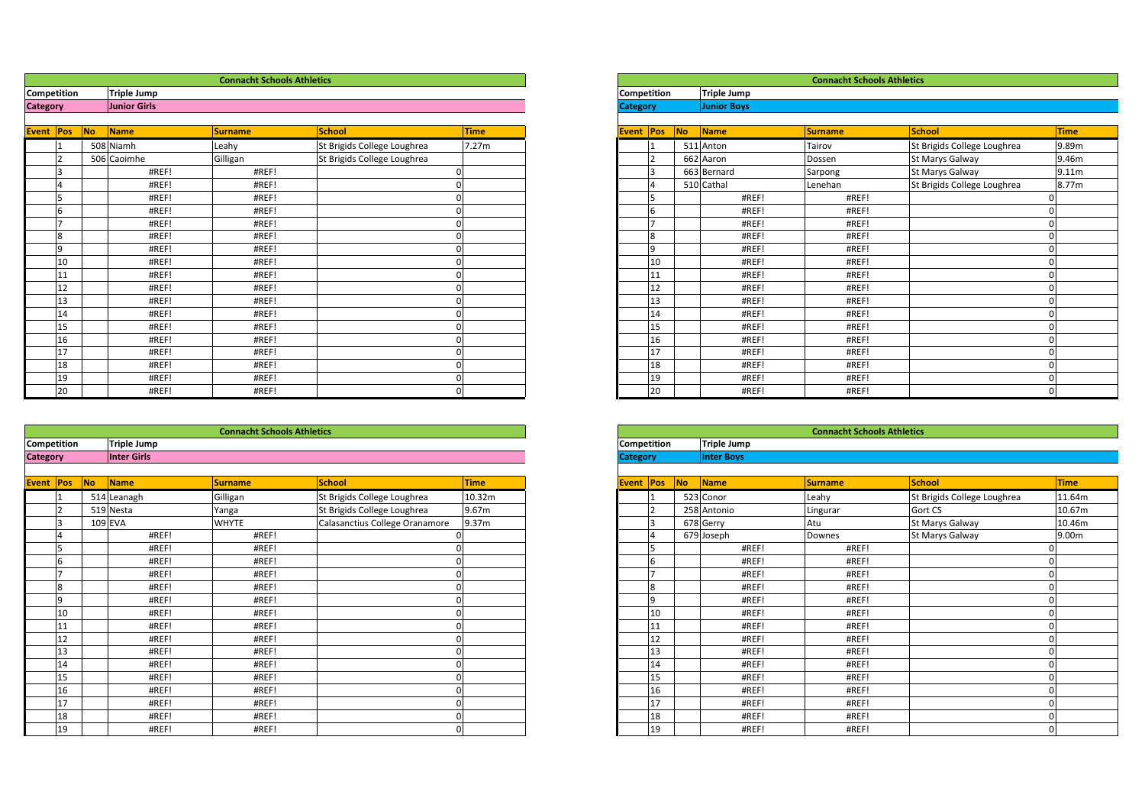|                 |    |    |                    | <b>Connacht Schools Athletics</b> |                             |             |                 |                |    |                    | <b>Connacht Schools Athletics</b> |               |  |  |
|-----------------|----|----|--------------------|-----------------------------------|-----------------------------|-------------|-----------------|----------------|----|--------------------|-----------------------------------|---------------|--|--|
| Competition     |    |    | <b>Triple Jump</b> |                                   |                             |             | Competition     |                |    | <b>Triple Jump</b> |                                   |               |  |  |
| <b>Category</b> |    |    | Junior Girls       |                                   |                             |             | <b>Category</b> |                |    | <b>Junior Boys</b> |                                   |               |  |  |
| Event Pos       |    | No | Name               | <b>Surname</b>                    | School                      | <b>Time</b> | Event Pos       |                | No | Name               | <b>Surname</b>                    | <b>School</b> |  |  |
|                 |    |    | 508 Niamh          | Leahy                             | St Brigids College Loughrea | 7.27m       |                 |                |    | 511 Anton          | Tairov                            | St Brigids    |  |  |
|                 |    |    | 506 Caoimhe        | Gilligan                          | St Brigids College Loughrea |             |                 | $\mathcal{P}$  |    | 662 Aaron          | Dossen                            | St Marys G    |  |  |
|                 |    |    | #REF!              | #REF!                             |                             |             |                 | l3             |    | 663 Bernard        | Sarpong                           | St Marys G    |  |  |
|                 |    |    | #REF!              | #REF!                             |                             |             |                 | $\overline{4}$ |    | 510 Cathal         | Lenehan                           | St Brigids    |  |  |
|                 | 5  |    | #REF!              | #REF!                             |                             |             |                 | 5              |    | #REF!              | #REF!                             |               |  |  |
|                 | 6  |    | #REF!              | #REF!                             |                             |             |                 | 6              |    | #REF!              | #REF!                             |               |  |  |
|                 |    |    | #REF!              | #REF!                             |                             |             |                 | ∣ →            |    | #REF!              | #REF!                             |               |  |  |
|                 | 8  |    | #REF!              | #REF!                             |                             |             |                 | $\overline{8}$ |    | #REF!              | #REF!                             |               |  |  |
|                 | 9  |    | #REF!              | #REF!                             |                             |             |                 | 9              |    | #REF!              | #REF!                             |               |  |  |
|                 | 10 |    | #REF!              | #REF!                             |                             |             |                 | 10             |    | #REF!              | #REF!                             |               |  |  |
|                 | 11 |    | #REF!              | #REF!                             |                             |             |                 | 11             |    | #REF!              | #REF!                             |               |  |  |
|                 | 12 |    | #REF!              | #REF!                             |                             |             |                 | 12             |    | #REF!              | #REF!                             |               |  |  |
|                 | 13 |    | #REF!              | #REF!                             |                             |             |                 | 13             |    | #REF!              | #REF!                             |               |  |  |
|                 | 14 |    | #REF!              | #REF!                             |                             |             |                 | 14             |    | #REF!              | #REF!                             |               |  |  |
|                 | 15 |    | #REF!              | #REF!                             |                             |             |                 | 15             |    | #REF!              | #REF!                             |               |  |  |
|                 | 16 |    | #REF!              | #REF!                             |                             |             |                 | 16             |    | #REF!              | #REF!                             |               |  |  |
|                 | 17 |    | #REF!              | #REF!                             |                             |             |                 | 17             |    | #REF!              | #REF!                             |               |  |  |

|                 | 18          |    | #REF!              | #REF!                             |                                |        |
|-----------------|-------------|----|--------------------|-----------------------------------|--------------------------------|--------|
|                 | 19          |    | #REF!              | #REF!                             |                                |        |
|                 | 20          |    | #REF!              | #REF!                             |                                |        |
|                 |             |    |                    |                                   |                                |        |
|                 |             |    |                    |                                   |                                |        |
|                 |             |    |                    | <b>Connacht Schools Athletics</b> |                                |        |
|                 | Competition |    | <b>Triple Jump</b> |                                   |                                |        |
| <b>Category</b> |             |    | <b>Inter Girls</b> |                                   |                                |        |
|                 |             |    |                    |                                   |                                |        |
| Event Pos       |             | No | Name               | Surname                           | School                         | Time   |
|                 |             |    | 514 Leanagh        | Gilligan                          | St Brigids College Loughrea    | 10.32m |
|                 |             |    | 519 Nesta          | Yanga                             | St Brigids College Loughrea    | 9.67m  |
|                 |             |    | 109 EVA            | <b>WHYTE</b>                      | Calasanctius College Oranamore | 9.37m  |
|                 |             |    | #REF!              | #REF!                             |                                |        |
|                 |             |    | #REF!              | #REF!                             |                                |        |
|                 |             |    | #REF!              | #REF!                             |                                |        |
|                 |             |    | #REF!              | #REF!                             |                                |        |
|                 |             |    | #REF!              | #REF!                             |                                |        |
|                 |             |    | #REF!              | #REF!                             |                                |        |
|                 | 10          |    | #REF!              | #REF!                             |                                |        |
|                 | 11          |    | #REF!              | #REF!                             |                                |        |
|                 | 12          |    | #REF!              | #REF!                             |                                |        |
|                 | 13          |    | #REF!              | #REF!                             |                                |        |
|                 | 14          |    | #REF!              | #REF!                             |                                |        |
|                 | 15          |    | #REF!              | #REF!                             |                                |        |
|                 | 16          |    | #REF!              | #REF!                             |                                |        |
|                 | 17          |    | #REF!              | #REF!                             |                                |        |
|                 | 18          |    | #REF!              | #REF!                             |                                |        |
|                 | 19          |    | #REF!              | #REF!                             |                                |        |

|                 |    |                     | <b>Connacht Schools Athletics</b> |                             |             |                 |    |           |                    | <b>Connacht Schools Athletics</b> |                             |             |
|-----------------|----|---------------------|-----------------------------------|-----------------------------|-------------|-----------------|----|-----------|--------------------|-----------------------------------|-----------------------------|-------------|
| Competition     |    | <b>Triple Jump</b>  |                                   |                             |             | Competition     |    |           | <b>Triple Jump</b> |                                   |                             |             |
| <b>Category</b> |    | <b>Junior Girls</b> |                                   |                             |             | <b>Category</b> |    |           | <b>Junior Boys</b> |                                   |                             |             |
| Event   Pos     | No | Name                | Surname                           | School                      | <b>Time</b> | Event   Pos     |    | <b>No</b> | <b>Name</b>        | Surname                           | <b>School</b>               | <b>Time</b> |
|                 |    | 508 Niamh           | Leahy                             | St Brigids College Loughrea | 7.27m       |                 |    |           | 511 Anton          | Tairov                            | St Brigids College Loughrea | 9.89m       |
|                 |    | 506 Caoimhe         | Gilligan                          | St Brigids College Loughrea |             |                 |    |           | 662 Aaron          | Dossen                            | St Marys Galway             | 9.46m       |
|                 |    | #REF!               | #REF!                             |                             |             |                 |    |           | 663 Bernard        | Sarpong                           | St Marys Galway             | 9.11m       |
|                 |    | #REF!               | #REF!                             |                             |             |                 |    |           | 510 Cathal         | Lenehan                           | St Brigids College Loughrea | 8.77m       |
|                 |    | #REF!               | #REF!                             |                             |             |                 |    |           | #REF!              | #REF!                             |                             |             |
|                 |    | #REF!               | #REF!                             |                             |             |                 |    |           | #REF!              | #REF!                             |                             |             |
|                 |    | #REF!               | #REF!                             |                             |             |                 |    |           | #REF!              | #REF!                             |                             |             |
|                 |    | #REF!               | #REF!                             |                             |             |                 |    |           | #REF!              | #REF!                             |                             |             |
|                 |    | #REF!               | #REF!                             |                             |             |                 |    |           | #REF!              | #REF!                             |                             |             |
| 10              |    | #REF!               | #REF!                             |                             |             |                 | 10 |           | #REF!              | #REF!                             |                             |             |
| 11              |    | #REF!               | #REF!                             |                             |             |                 | 11 |           | #REF!              | #REF!                             |                             |             |
| 12              |    | #REF!               | #REF!                             |                             |             |                 | 12 |           | #REF!              | #REF!                             |                             |             |
| 13              |    | #REF!               | #REF!                             |                             |             |                 | 13 |           | #REF!              | #REF!                             |                             |             |
| 14              |    | #REF!               | #REF!                             |                             |             |                 | 14 |           | #REF!              | #REF!                             |                             |             |
| 15              |    | #REF!               | #REF!                             |                             |             |                 | 15 |           | #REF!              | #REF!                             |                             |             |
| 16              |    | #REF!               | #REF!                             |                             |             |                 | 16 |           | #REF!              | #REF!                             |                             |             |
| 17              |    | #REF!               | #REF!                             |                             |             |                 | 17 |           | #REF!              | #REF!                             |                             |             |
| 18              |    | #REF!               | #REF!                             |                             |             |                 | 18 |           | #REF!              | #REF!                             |                             |             |
| 19              |    | #REF!               | #REF!                             |                             |             |                 | 19 |           | #REF!              | #REF!                             |                             |             |
| 20              |    | #REF!               | #REF!                             |                             |             |                 | 20 |           | #REF!              | #REF!                             |                             |             |

|                    | <b>Connacht Schools Athletics</b> |                                |             |  |  |  |  |
|--------------------|-----------------------------------|--------------------------------|-------------|--|--|--|--|
| <b>Triple Jump</b> |                                   |                                |             |  |  |  |  |
| <b>Inter Girls</b> |                                   |                                |             |  |  |  |  |
|                    |                                   |                                |             |  |  |  |  |
| <b>Name</b>        | <b>Surname</b>                    | <b>School</b>                  | <b>Time</b> |  |  |  |  |
| 514 Leanagh        | Gilligan                          | St Brigids College Loughrea    | 10.32m      |  |  |  |  |
| 519 Nesta          | Yanga                             | St Brigids College Loughrea    | 9.67m       |  |  |  |  |
| <b>109 EVA</b>     | <b>WHYTE</b>                      | Calasanctius College Oranamore | 9.37m       |  |  |  |  |
| #REF!              | #REF!                             |                                |             |  |  |  |  |
| #REF!              | #REF!                             |                                |             |  |  |  |  |
| #REF!              | #REF!                             |                                |             |  |  |  |  |
| #REF!              | #REF!                             |                                |             |  |  |  |  |
| #REF!              | #REF!                             |                                |             |  |  |  |  |
| #REF!              | #REF!                             |                                |             |  |  |  |  |
| #REF!              | #REF!                             |                                |             |  |  |  |  |
| #REF!              | #REF!                             |                                |             |  |  |  |  |
| #REF!              | #REF!                             |                                |             |  |  |  |  |
| #REF!              | #REF!                             |                                |             |  |  |  |  |
| #REF!              | #REF!                             |                                |             |  |  |  |  |
| #REF!              | #REF!                             |                                |             |  |  |  |  |
| #REF!              | #REF!                             |                                |             |  |  |  |  |
| #REF!              | #REF!                             |                                |             |  |  |  |  |
| #REF!              | #REF!                             |                                |             |  |  |  |  |
| #REF!              | #REF!                             |                                |             |  |  |  |  |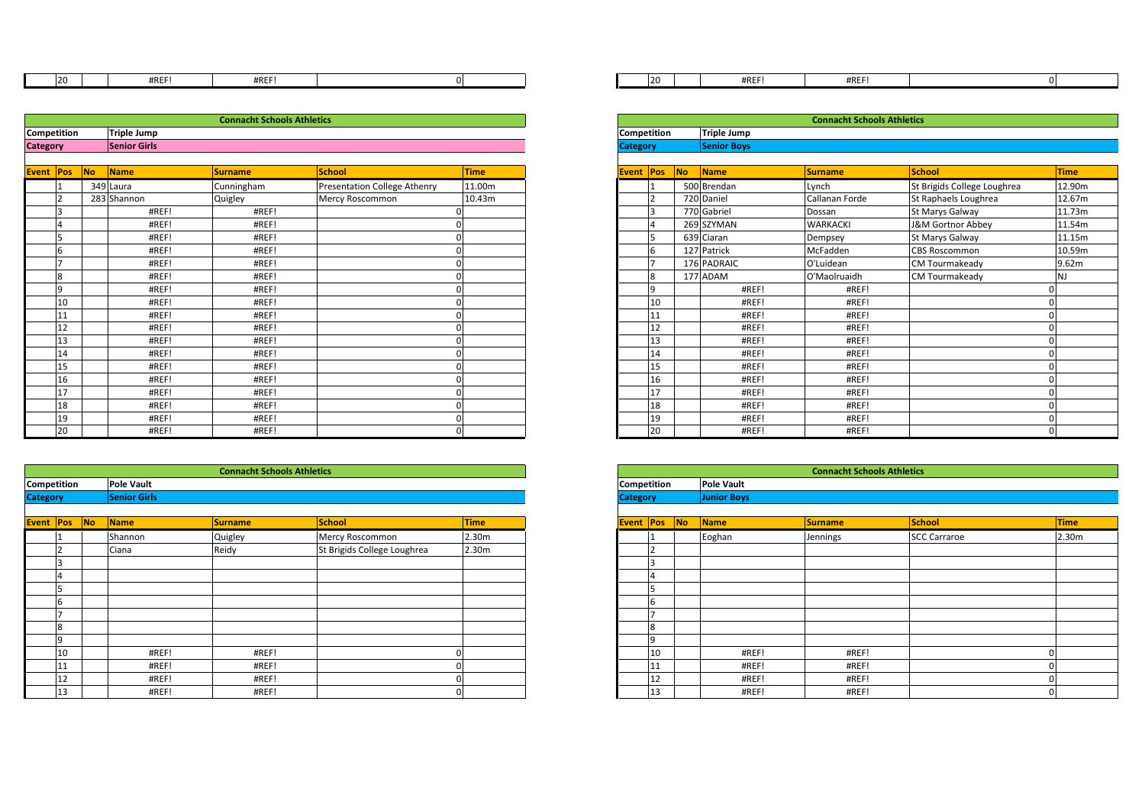| י ה<br>Zu | <b>HDFF</b><br><b>#KEF</b> | $1.0 - 7.1$<br><b>TWL</b><br>HIVLI |  |
|-----------|----------------------------|------------------------------------|--|

| 20              | #REF!               | #REF!                             |  | 20              | #REF!              |
|-----------------|---------------------|-----------------------------------|--|-----------------|--------------------|
|                 |                     |                                   |  |                 |                    |
|                 |                     | <b>Connacht Schools Athletics</b> |  |                 |                    |
| Competition     | <b>Triple Jump</b>  |                                   |  | Competition     | Triple Jump        |
| <b>Category</b> | <b>Senior Girls</b> |                                   |  | <b>Category</b> | <b>Senior Boys</b> |
|                 |                     |                                   |  |                 |                    |

| <b>Event</b> | Pos | <b>No</b> | <b>Name</b> | <b>Surname</b> | <b>School</b>                | <b>Time</b> |
|--------------|-----|-----------|-------------|----------------|------------------------------|-------------|
|              | 1   |           | 349 Laura   | Cunningham     | Presentation College Athenry | 11.00m      |
|              | 2   |           | 283 Shannon | Quigley        | Mercy Roscommon              | 10.43m      |
|              | 3   |           | #REF!       | #REF!          |                              | 0           |
|              | 4   |           | #REF!       | #REF!          |                              | 0           |
|              | 5   |           | #REF!       | #REF!          |                              | 0           |
|              | 6   |           | #REF!       | #REF!          |                              | 0           |
|              | 7   |           | #REF!       | #REF!          |                              | 0           |
|              | 8   |           | #REF!       | #REF!          |                              | 0           |
|              | 9   |           | #REF!       | #REF!          |                              | 0           |
|              | 10  |           | #REF!       | #REF!          |                              | 0           |
|              | 11  |           | #REF!       | #REF!          |                              | 0           |
|              | 12  |           | #REF!       | #REF!          |                              | 0           |
|              | 13  |           | #REF!       | #REF!          |                              | 0           |
|              | 14  |           | #REF!       | #REF!          |                              | 0           |
|              | 15  |           | #REF!       | #REF!          |                              | 0           |
|              | 16  |           | #REF!       | #REF!          |                              | 0           |
|              | 17  |           | #REF!       | #REF!          |                              | $\mathbf 0$ |
|              | 18  |           | #REF!       | #REF!          |                              | 0           |
|              | 19  |           | #REF!       | #REF!          |                              | 0           |
|              | 20  |           | #REF!       | #REF!          |                              | 0           |

| 19              | #REF!               | #REF!                             |                             |                   |
|-----------------|---------------------|-----------------------------------|-----------------------------|-------------------|
| 20              | #REF!               | #REF!                             |                             |                   |
|                 |                     |                                   |                             |                   |
|                 |                     |                                   |                             |                   |
|                 |                     | <b>Connacht Schools Athletics</b> |                             |                   |
| Competition     | <b>Pole Vault</b>   |                                   |                             |                   |
| <b>Category</b> | <b>Senior Girls</b> |                                   |                             |                   |
|                 |                     |                                   |                             |                   |
| Event Pos No    | Name                | <b>Surname</b>                    | <b>School</b>               | <b>Time</b>       |
|                 | Shannon             | Quigley                           | Mercy Roscommon             | 2.30m             |
|                 | Ciana               | Reidy                             | St Brigids College Loughrea | 2.30 <sub>m</sub> |
|                 |                     |                                   |                             |                   |
|                 |                     |                                   |                             |                   |
|                 |                     |                                   |                             |                   |
| <b>b</b>        |                     |                                   |                             |                   |
|                 |                     |                                   |                             |                   |
| 8               |                     |                                   |                             |                   |
|                 |                     |                                   |                             |                   |
| 10              | #REF!               | #REF!                             |                             |                   |
| 11              | #REF!               | #REF!                             |                             |                   |
| 12              | #REF!               | #REF!                             |                             |                   |
| 13              | #REF!               | #REF!                             |                             |                   |

| #REF!<br>#REF!                    | 20 | #REF! | #REF!                             |  |
|-----------------------------------|----|-------|-----------------------------------|--|
|                                   |    |       |                                   |  |
| <b>Connacht Schools Athletics</b> |    |       | <b>Connacht Schools Athletics</b> |  |

|                  |           |                     | <b>Connacht Schools Athletics</b> |                              |             |
|------------------|-----------|---------------------|-----------------------------------|------------------------------|-------------|
| ition:           |           | <b>Triple Jump</b>  |                                   |                              |             |
|                  |           | <b>Senior Girls</b> |                                   |                              |             |
| <b>No</b><br>Pos |           | Name                | <b>Surname</b>                    | School                       | <b>Time</b> |
|                  | 349 Laura |                     | Cunningham                        | Presentation College Athenry | 11.00m      |
|                  |           | 283 Shannon         | Quigley                           | Mercy Roscommon              | 10.43m      |
|                  |           | #REF!               | #REF!                             |                              |             |
|                  |           | #REF!               | #REF!                             |                              |             |
|                  |           | #REF!               | #REF!                             |                              |             |
|                  |           | #REF!               | #REF!                             |                              |             |
|                  |           | #REF!               | #REF!                             |                              |             |
| g                |           | #REF!               | #REF!                             |                              |             |
| Q                |           | #REF!               | #REF!                             |                              |             |
| 10               |           | #REF!               | #REF!                             |                              |             |
| 11               |           | #REF!               | #REF!                             |                              |             |
| 12               |           | #REF!               | #REF!                             |                              |             |
| 13               |           | #REF!               | #REF!                             |                              |             |
| 14               |           | #REF!               | #REF!                             |                              |             |
| 15               |           | #REF!               | #REF!                             |                              |             |
| 16               |           | #REF!               | #REF!                             |                              |             |
| 17               |           | #REF!               | #REF!                             |                              |             |
| 18               |           | #REF!               | #REF!                             |                              |             |
| 19               |           | #REF!               | #REF!                             |                              |             |
| 20               |           | #REF!               | #REF!                             |                              |             |

|                   | #REF!               | #REF!                             |                             |                   |
|-------------------|---------------------|-----------------------------------|-----------------------------|-------------------|
|                   | #REF!               | #REF!                             |                             |                   |
|                   |                     |                                   |                             |                   |
|                   |                     |                                   |                             |                   |
|                   |                     | <b>Connacht Schools Athletics</b> |                             |                   |
| <b>Pole Vault</b> |                     |                                   |                             |                   |
|                   | <b>Senior Girls</b> |                                   |                             |                   |
|                   |                     |                                   |                             |                   |
| Name              |                     | <b>Surname</b>                    | <b>School</b>               | <b>Time</b>       |
| Shannon           |                     | Quigley                           | Mercy Roscommon             | 2.30 <sub>m</sub> |
| Ciana             |                     | Reidy                             | St Brigids College Loughrea | 2.30m             |
|                   |                     |                                   |                             |                   |
|                   |                     |                                   |                             |                   |
|                   |                     |                                   |                             |                   |
|                   |                     |                                   |                             |                   |
|                   |                     |                                   |                             |                   |
|                   |                     |                                   |                             |                   |
|                   |                     |                                   |                             |                   |
|                   | #REF!               | #REF!                             |                             |                   |
|                   | #REF!               | #REF!                             |                             |                   |
|                   | #REF!               | #REF!                             |                             |                   |
|                   | #REF!               | #REF!                             |                             |                   |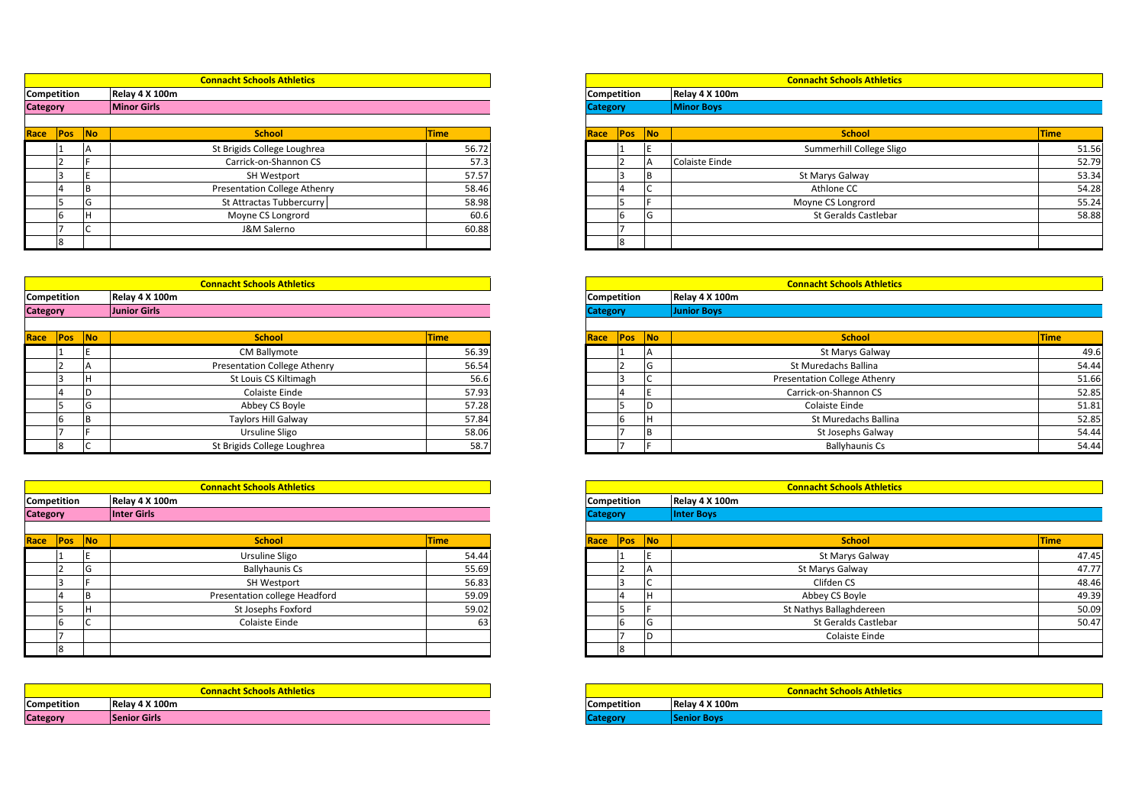|                 |  | <b>Connacht Schools Athletics</b> |             |
|-----------------|--|-----------------------------------|-------------|
| Competition     |  | Relay 4 X 100m                    |             |
| <b>Category</b> |  | <b>Minor Girls</b>                |             |
|                 |  |                                   |             |
| Race Pos No     |  | <b>School</b>                     | <b>Time</b> |
|                 |  | Chi Detatela Callaga Laughean     | FC.72       |

| <b>Race Pos No</b> |  | <b>School</b>                | Time  | <mark>Race  Pos  No</mark> |  | <b>School</b>            | <b>Time</b> |
|--------------------|--|------------------------------|-------|----------------------------|--|--------------------------|-------------|
|                    |  | St Brigids College Loughrea  | 56.72 |                            |  | Summerhill College Sligo | 51.56       |
|                    |  | Carrick-on-Shannon CS        | 57.3  |                            |  | <b>Colaiste Einde</b>    | 52.79       |
|                    |  | SH Westport                  | 57.57 |                            |  | St Marys Galway          | 53.34       |
|                    |  | Presentation College Athenry | 58.46 |                            |  | Athlone CC               | 54.28       |
|                    |  | St Attractas Tubbercurry     | 58.98 |                            |  | Moyne CS Longrord        | 55.24       |
|                    |  | Moyne CS Longrord            | 60.6  |                            |  | St Geralds Castlebar     | 58.88       |
|                    |  | J&M Salerno                  | 60.88 |                            |  |                          |             |
|                    |  |                              |       |                            |  |                          |             |

|                    |   | ╰ | J&M Salerno                       | 60.881 |                 |                    |
|--------------------|---|---|-----------------------------------|--------|-----------------|--------------------|
|                    | 8 |   |                                   |        | $\circ$         |                    |
|                    |   |   |                                   |        |                 |                    |
|                    |   |   |                                   |        |                 |                    |
|                    |   |   | <b>Connacht Schools Athletics</b> |        |                 |                    |
| <b>Competition</b> |   |   | Relay 4 X 100m                    |        | Competition     | Relay 4 X 100m     |
| <b>Category</b>    |   |   | <b>Junior Girls</b>               |        | <b>Category</b> | <b>Junior Boys</b> |
|                    |   |   |                                   |        |                 |                    |

| Race Pos No |  | <b>School</b>                | <b>Time</b> | Race Pos No | <b>School</b>                       | <b>Time</b> |
|-------------|--|------------------------------|-------------|-------------|-------------------------------------|-------------|
|             |  | <b>CM Ballymote</b>          | 56.39       |             | St Marys Galway                     | 49.6        |
|             |  | Presentation College Athenry | 56.54       |             | St Muredachs Ballina                | 54.44       |
|             |  | St Louis CS Kiltimagh        | 56.6        |             | <b>Presentation College Athenry</b> | 51.66       |
|             |  | Colaiste Einde               | 57.93       |             | Carrick-on-Shannon CS               | 52.85       |
|             |  | Abbey CS Boyle               | 57.28       |             | Colaiste Einde                      | 51.81       |
|             |  | Taylors Hill Galway          | 57.84       |             | St Muredachs Ballina                | 52.85       |
|             |  | Ursuline Sligo               | 58.06       |             | St Josephs Galway                   | 54.44       |
|             |  | St Brigids College Loughrea  | 58.7        |             | <b>Ballyhaunis Cs</b>               | 54.44       |

|                 |                    | IF       | Ursuline Sligo                    | 58.06       |                    |     | IВ  |                   |
|-----------------|--------------------|----------|-----------------------------------|-------------|--------------------|-----|-----|-------------------|
|                 |                    | C        | St Brigids College Loughrea       | 58.7        |                    |     |     |                   |
|                 |                    |          |                                   |             |                    |     |     |                   |
|                 |                    |          | <b>Connacht Schools Athletics</b> |             |                    |     |     | Co                |
|                 | Competition        |          | Relay 4 X 100m                    |             | <b>Competition</b> |     |     | Relay 4 X 100m    |
| <b>Category</b> |                    |          | <b>Inter Girls</b>                |             | <b>Category</b>    |     |     | <b>Inter Boys</b> |
|                 |                    |          |                                   |             |                    |     |     |                   |
| Race            | Pos                | No.      | <b>School</b>                     | <b>Time</b> | Race               | Pos | No. |                   |
|                 |                    | ΙE       | Ursuline Sligo                    | 54.44       |                    |     | E   |                   |
|                 |                    | G        | <b>Ballyhaunis Cs</b>             | 55.69       |                    |     | A   |                   |
|                 |                    | F        | SH Westport                       | 56.83       |                    | 3   |     |                   |
|                 |                    | <b>B</b> | Presentation college Headford     | 59.09       |                    | 4   | lн  |                   |
|                 |                    | H        | St Josephs Foxford                | 59.02       |                    | 5   |     | St N              |
|                 | 6                  | C        | Colaiste Einde                    | 63          |                    | 6   | G   |                   |
|                 |                    |          |                                   |             |                    |     | In  |                   |
|                 |                    |          |                                   |             |                    | 8   |     |                   |
|                 |                    |          |                                   |             |                    |     |     |                   |
|                 |                    |          |                                   |             |                    |     |     |                   |
|                 |                    |          | <b>Connacht Schools Athletics</b> |             |                    |     |     | Co                |
|                 | <b>Competition</b> |          | Relay 4 X 100m                    |             | <b>Competition</b> |     |     | Relay 4 X 100m    |

|                 |    |                                   |  |                    | ID |                     |
|-----------------|----|-----------------------------------|--|--------------------|----|---------------------|
|                 | 18 |                                   |  |                    |    |                     |
|                 |    |                                   |  |                    |    |                     |
|                 |    |                                   |  |                    |    |                     |
|                 |    | <b>Connacht Schools Athletics</b> |  |                    |    |                     |
| Competition     |    | Relay 4 X 100m                    |  | <b>Competition</b> |    | <b>Relay 4 X 10</b> |
| <b>Category</b> |    | <b>Senior Girls</b>               |  | <b>Category</b>    |    | Senior Boys         |

|        |                    | <b>Connacht Schools Athletics</b>   |             |
|--------|--------------------|-------------------------------------|-------------|
| ition: | Relay 4 X 100m     |                                     |             |
|        | <b>Minor Girls</b> |                                     |             |
|        |                    |                                     |             |
| Pos No |                    | <b>School</b>                       | <b>Time</b> |
| ΙA     |                    | St Brigids College Loughrea         | 56.72       |
|        |                    | Carrick-on-Shannon CS               | 57.3        |
|        |                    | SH Westport                         | 57.57       |
|        |                    | <b>Presentation College Athenry</b> | 58.46       |
| l G    |                    | St Attractas Tubbercurry            | 58.98       |

|                 | ΙG | St Attractas Tubbercurry            | 58.98       |      |                 |           | Moyne CS Longrord                   | 55.24          |
|-----------------|----|-------------------------------------|-------------|------|-----------------|-----------|-------------------------------------|----------------|
|                 |    | Moyne CS Longrord                   | 60.6        |      |                 | G         | St Geralds Castlebar                | 58.88          |
|                 |    | J&M Salerno                         | 60.88       |      |                 |           |                                     |                |
|                 |    |                                     |             |      |                 |           |                                     |                |
|                 |    |                                     |             |      |                 |           |                                     |                |
|                 |    |                                     |             |      |                 |           |                                     |                |
|                 |    | <b>Connacht Schools Athletics</b>   |             |      |                 |           | <b>Connacht Schools Athletics</b>   |                |
| Competition     |    | Relay 4 X 100m                      |             |      | Competition     |           | Relay 4 X 100m                      |                |
|                 |    | <b>Junior Girls</b>                 |             |      | <b>Category</b> |           | <b>Junior Boys</b>                  |                |
| <b>Category</b> |    |                                     |             |      |                 |           |                                     |                |
|                 |    |                                     |             |      |                 |           |                                     |                |
| Race Pos No     |    | <b>School</b>                       | <b>Time</b> | Race | Pos             | <b>No</b> | <b>School</b>                       | <b>Time</b>    |
|                 |    | CM Ballymote                        | 56.39       |      |                 |           | St Marys Galway                     |                |
|                 |    | <b>Presentation College Athenry</b> | 56.54       |      |                 |           | St Muredachs Ballina                | 49.6<br>54.44  |
|                 |    | St Louis CS Kiltimagh               | 56.6        |      |                 |           | <b>Presentation College Athenry</b> | 51.66          |
|                 |    | Colaiste Einde                      | 57.93       |      |                 |           | Carrick-on-Shannon CS               | 52.85          |
|                 | L. | Abbey CS Boyle                      | 57.28       |      |                 |           | <b>Colaiste Einde</b>               |                |
|                 |    | <b>Taylors Hill Galway</b>          | 57.84       |      |                 |           | St Muredachs Ballina                | 51.81<br>52.85 |

|                     |                    | <b>Connacht Schools Athletics</b> |             |                 |             |                | <b>Connacht Schools Athletics</b> |             |
|---------------------|--------------------|-----------------------------------|-------------|-----------------|-------------|----------------|-----------------------------------|-------------|
| ition:              | Relay 4 X 100m     |                                   |             |                 | Competition |                | Relay 4 X 100m                    |             |
|                     | <b>Inter Girls</b> |                                   |             | <b>Category</b> |             |                | Inter Boys                        |             |
| Pos <mark>No</mark> |                    | <b>School</b>                     | <b>Time</b> |                 | Race Pos    | N <sub>o</sub> | <b>School</b>                     | <b>Time</b> |
| Ŀ.                  |                    | Ursuline Sligo                    | 54.44       |                 |             |                | St Marys Galway                   | 47.45       |
| G                   |                    | <b>Ballyhaunis Cs</b>             | 55.69       |                 |             |                | St Marys Galway                   | 47.77       |
|                     |                    | SH Westport                       | 56.83       |                 |             | ◡              | Clifden CS                        | 48.46       |
| IB.                 |                    | Presentation college Headford     | 59.09       |                 |             | IН             | Abbey CS Boyle                    | 49.39       |
| Ιн                  |                    | St Josephs Foxford                | 59.02       |                 |             |                | St Nathys Ballaghdereen           | 50.09       |
| I C                 |                    | Colaiste Einde                    | 63          |                 |             | $\mathsf{G}$   | St Geralds Castlebar              | 50.47       |
|                     |                    |                                   |             |                 |             |                | Colaiste Einde                    |             |
|                     |                    |                                   |             |                 |             |                |                                   |             |

|                 | <b>Connacht Schools Athletics</b> |
|-----------------|-----------------------------------|
| Competition     | Relay 4 X 100m                    |
| <b>Category</b> | <b>Senior Boys</b>                |